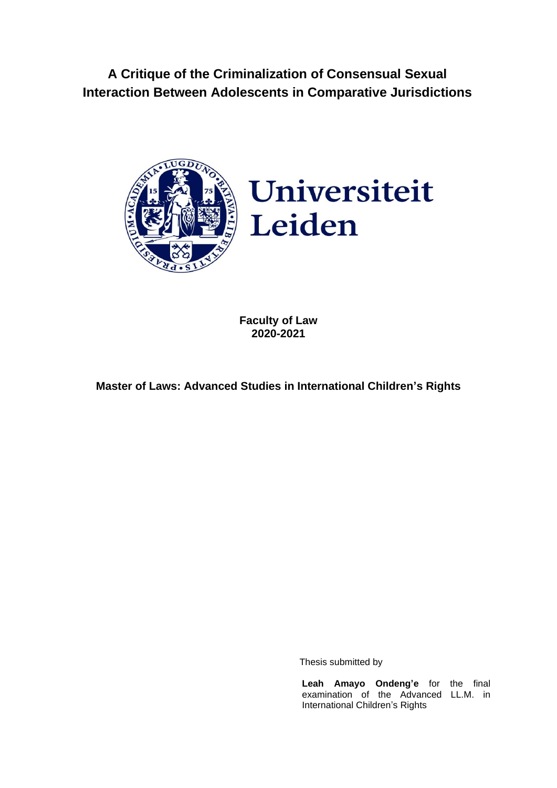**A Critique of the Criminalization of Consensual Sexual Interaction Between Adolescents in Comparative Jurisdictions**





**Faculty of Law 2020-2021**

**Master of Laws: Advanced Studies in International Children's Rights**

Thesis submitted by

**Leah Amayo Ondeng'e** for the final examination of the Advanced LL.M. in International Children's Rights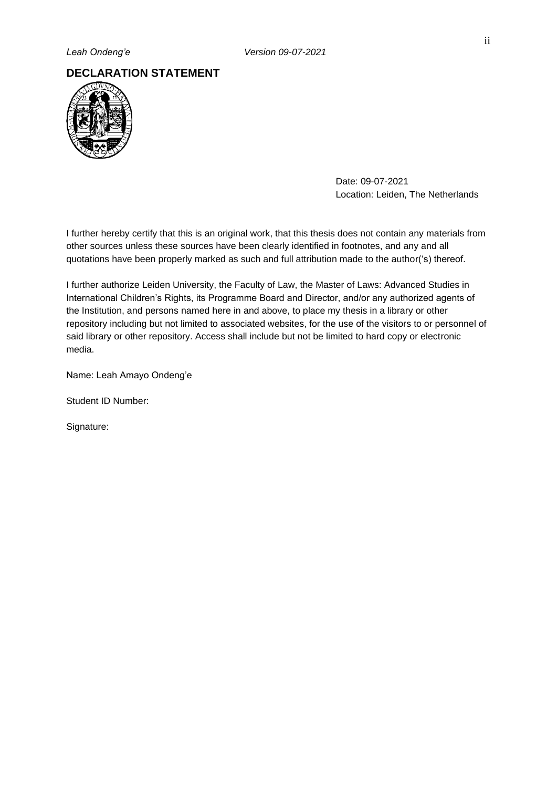# **DECLARATION STATEMENT**



Date: 09-07-2021 Location: Leiden, The Netherlands

I further hereby certify that this is an original work, that this thesis does not contain any materials from other sources unless these sources have been clearly identified in footnotes, and any and all quotations have been properly marked as such and full attribution made to the author('s) thereof.

I further authorize Leiden University, the Faculty of Law, the Master of Laws: Advanced Studies in International Children's Rights, its Programme Board and Director, and/or any authorized agents of the Institution, and persons named here in and above, to place my thesis in a library or other repository including but not limited to associated websites, for the use of the visitors to or personnel of said library or other repository. Access shall include but not be limited to hard copy or electronic media.

Name: Leah Amayo Ondeng'e

Student ID Number:

Signature: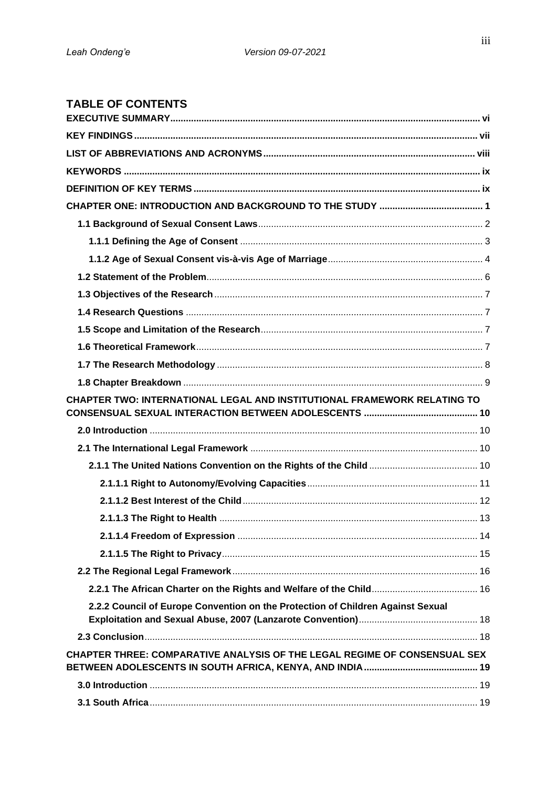# **TABLE OF CONTENTS**

| CHAPTER TWO: INTERNATIONAL LEGAL AND INSTITUTIONAL FRAMEWORK RELATING TO        |  |
|---------------------------------------------------------------------------------|--|
|                                                                                 |  |
|                                                                                 |  |
|                                                                                 |  |
|                                                                                 |  |
|                                                                                 |  |
|                                                                                 |  |
|                                                                                 |  |
|                                                                                 |  |
|                                                                                 |  |
|                                                                                 |  |
|                                                                                 |  |
| 2.2.2 Council of Europe Convention on the Protection of Children Against Sexual |  |
|                                                                                 |  |
| CHAPTER THREE: COMPARATIVE ANALYSIS OF THE LEGAL REGIME OF CONSENSUAL SEX       |  |
|                                                                                 |  |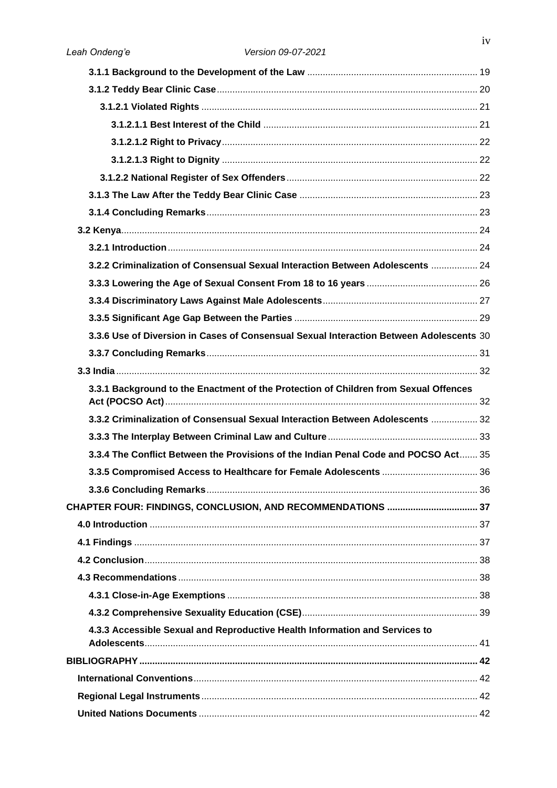| 3.2.2 Criminalization of Consensual Sexual Interaction Between Adolescents  24          |  |
|-----------------------------------------------------------------------------------------|--|
|                                                                                         |  |
|                                                                                         |  |
|                                                                                         |  |
| 3.3.6 Use of Diversion in Cases of Consensual Sexual Interaction Between Adolescents 30 |  |
|                                                                                         |  |
|                                                                                         |  |
| 3.3.1 Background to the Enactment of the Protection of Children from Sexual Offences    |  |
| 3.3.2 Criminalization of Consensual Sexual Interaction Between Adolescents  32          |  |
|                                                                                         |  |
| 3.3.4 The Conflict Between the Provisions of the Indian Penal Code and POCSO Act 35     |  |
|                                                                                         |  |
|                                                                                         |  |
| CHAPTER FOUR: FINDINGS, CONCLUSION, AND RECOMMENDATIONS  37                             |  |
|                                                                                         |  |
|                                                                                         |  |
|                                                                                         |  |
|                                                                                         |  |
|                                                                                         |  |
|                                                                                         |  |
| 4.3.3 Accessible Sexual and Reproductive Health Information and Services to             |  |
|                                                                                         |  |
|                                                                                         |  |
|                                                                                         |  |
|                                                                                         |  |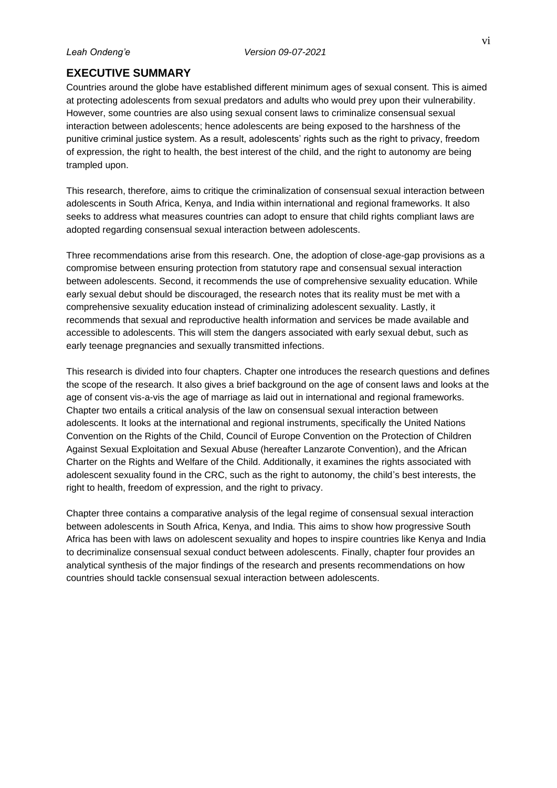# <span id="page-5-0"></span>**EXECUTIVE SUMMARY**

Countries around the globe have established different minimum ages of sexual consent. This is aimed at protecting adolescents from sexual predators and adults who would prey upon their vulnerability. However, some countries are also using sexual consent laws to criminalize consensual sexual interaction between adolescents; hence adolescents are being exposed to the harshness of the punitive criminal justice system. As a result, adolescents' rights such as the right to privacy, freedom of expression, the right to health, the best interest of the child, and the right to autonomy are being trampled upon.

This research, therefore, aims to critique the criminalization of consensual sexual interaction between adolescents in South Africa, Kenya, and India within international and regional frameworks. It also seeks to address what measures countries can adopt to ensure that child rights compliant laws are adopted regarding consensual sexual interaction between adolescents.

Three recommendations arise from this research. One, the adoption of close-age-gap provisions as a compromise between ensuring protection from statutory rape and consensual sexual interaction between adolescents. Second, it recommends the use of comprehensive sexuality education. While early sexual debut should be discouraged, the research notes that its reality must be met with a comprehensive sexuality education instead of criminalizing adolescent sexuality. Lastly, it recommends that sexual and reproductive health information and services be made available and accessible to adolescents. This will stem the dangers associated with early sexual debut, such as early teenage pregnancies and sexually transmitted infections.

This research is divided into four chapters. Chapter one introduces the research questions and defines the scope of the research. It also gives a brief background on the age of consent laws and looks at the age of consent vis-a-vis the age of marriage as laid out in international and regional frameworks. Chapter two entails a critical analysis of the law on consensual sexual interaction between adolescents. It looks at the international and regional instruments, specifically the United Nations Convention on the Rights of the Child, Council of Europe Convention on the Protection of Children Against Sexual Exploitation and Sexual Abuse (hereafter Lanzarote Convention), and the African Charter on the Rights and Welfare of the Child. Additionally, it examines the rights associated with adolescent sexuality found in the CRC, such as the right to autonomy, the child's best interests, the right to health, freedom of expression, and the right to privacy.

Chapter three contains a comparative analysis of the legal regime of consensual sexual interaction between adolescents in South Africa, Kenya, and India. This aims to show how progressive South Africa has been with laws on adolescent sexuality and hopes to inspire countries like Kenya and India to decriminalize consensual sexual conduct between adolescents. Finally, chapter four provides an analytical synthesis of the major findings of the research and presents recommendations on how countries should tackle consensual sexual interaction between adolescents.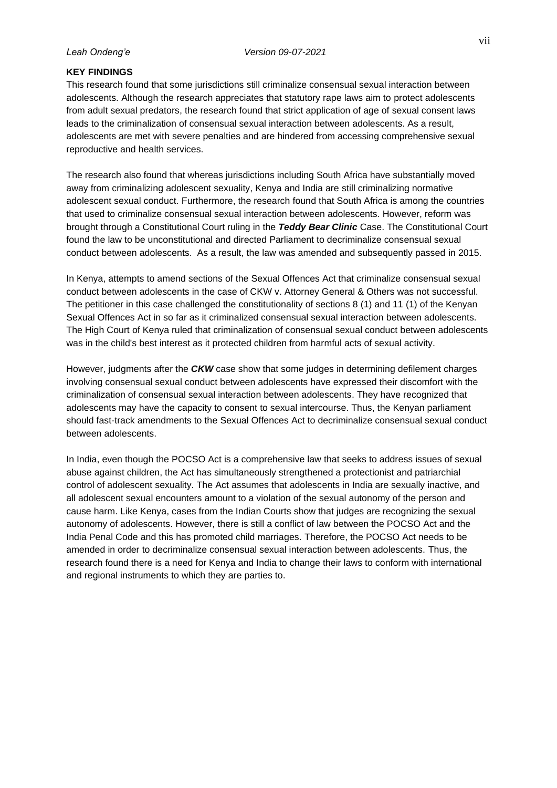# <span id="page-6-0"></span>**KEY FINDINGS**

This research found that some jurisdictions still criminalize consensual sexual interaction between adolescents. Although the research appreciates that statutory rape laws aim to protect adolescents from adult sexual predators, the research found that strict application of age of sexual consent laws leads to the criminalization of consensual sexual interaction between adolescents. As a result, adolescents are met with severe penalties and are hindered from accessing comprehensive sexual reproductive and health services.

The research also found that whereas jurisdictions including South Africa have substantially moved away from criminalizing adolescent sexuality, Kenya and India are still criminalizing normative adolescent sexual conduct. Furthermore, the research found that South Africa is among the countries that used to criminalize consensual sexual interaction between adolescents. However, reform was brought through a Constitutional Court ruling in the *Teddy Bear Clinic* Case. The Constitutional Court found the law to be unconstitutional and directed Parliament to decriminalize consensual sexual conduct between adolescents. As a result, the law was amended and subsequently passed in 2015.

In Kenya, attempts to amend sections of the Sexual Offences Act that criminalize consensual sexual conduct between adolescents in the case of CKW v. Attorney General & Others was not successful. The petitioner in this case challenged the constitutionality of sections 8 (1) and 11 (1) of the Kenyan Sexual Offences Act in so far as it criminalized consensual sexual interaction between adolescents. The High Court of Kenya ruled that criminalization of consensual sexual conduct between adolescents was in the child's best interest as it protected children from harmful acts of sexual activity.

However, judgments after the *CKW* case show that some judges in determining defilement charges involving consensual sexual conduct between adolescents have expressed their discomfort with the criminalization of consensual sexual interaction between adolescents. They have recognized that adolescents may have the capacity to consent to sexual intercourse. Thus, the Kenyan parliament should fast-track amendments to the Sexual Offences Act to decriminalize consensual sexual conduct between adolescents.

In India, even though the POCSO Act is a comprehensive law that seeks to address issues of sexual abuse against children, the Act has simultaneously strengthened a protectionist and patriarchial control of adolescent sexuality. The Act assumes that adolescents in India are sexually inactive, and all adolescent sexual encounters amount to a violation of the sexual autonomy of the person and cause harm. Like Kenya, cases from the Indian Courts show that judges are recognizing the sexual autonomy of adolescents. However, there is still a conflict of law between the POCSO Act and the India Penal Code and this has promoted child marriages. Therefore, the POCSO Act needs to be amended in order to decriminalize consensual sexual interaction between adolescents. Thus, the research found there is a need for Kenya and India to change their laws to conform with international and regional instruments to which they are parties to.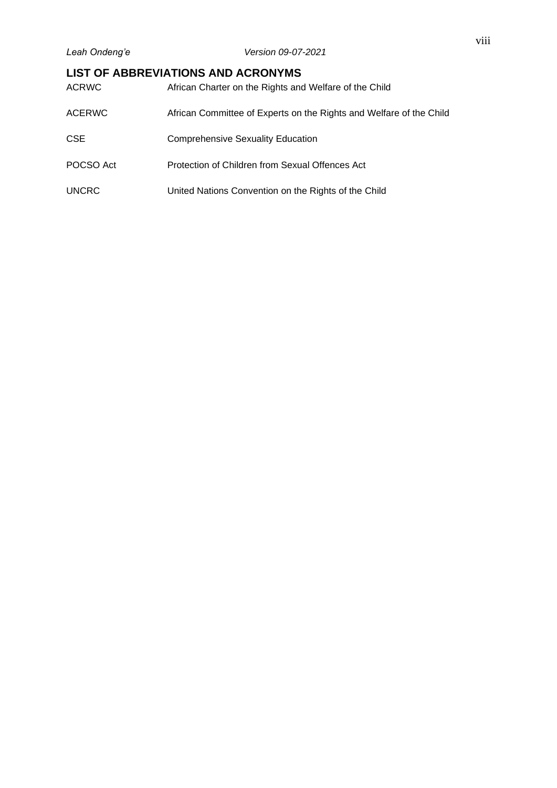# <span id="page-7-0"></span>**LIST OF ABBREVIATIONS AND ACRONYMS**

| <b>ACRWC</b>  | African Charter on the Rights and Welfare of the Child              |
|---------------|---------------------------------------------------------------------|
| <b>ACERWC</b> | African Committee of Experts on the Rights and Welfare of the Child |
| <b>CSE</b>    | <b>Comprehensive Sexuality Education</b>                            |
| POCSO Act     | Protection of Children from Sexual Offences Act                     |
| <b>UNCRC</b>  | United Nations Convention on the Rights of the Child                |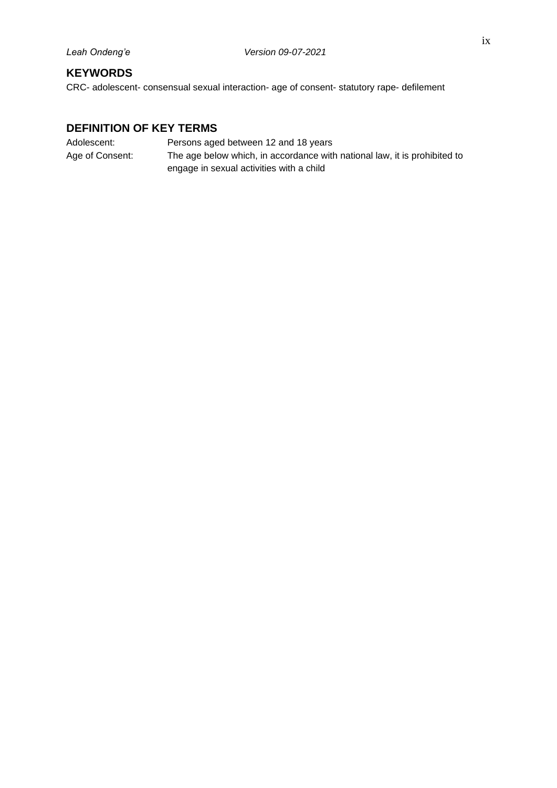# <span id="page-8-0"></span>**KEYWORDS**

CRC- adolescent- consensual sexual interaction- age of consent- statutory rape- defilement

# <span id="page-8-1"></span>**DEFINITION OF KEY TERMS**

| Adolescent:     | Persons aged between 12 and 18 years                                      |
|-----------------|---------------------------------------------------------------------------|
| Age of Consent: | The age below which, in accordance with national law, it is prohibited to |
|                 | engage in sexual activities with a child                                  |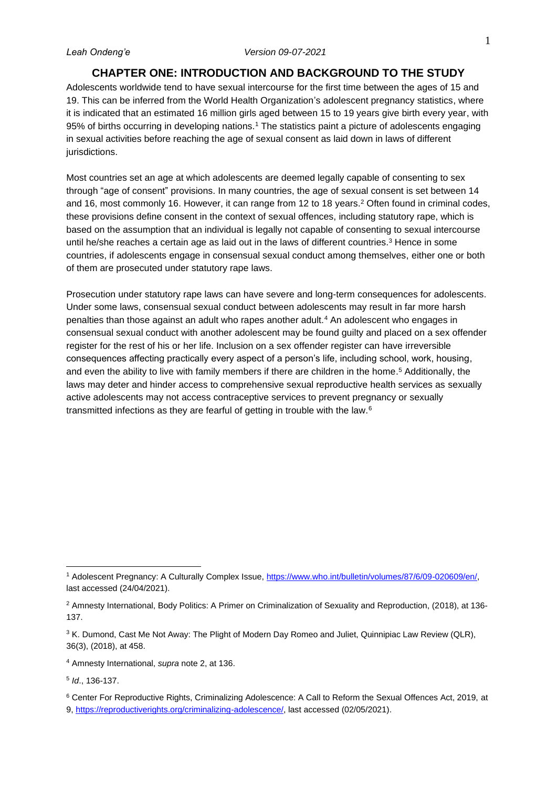# **CHAPTER ONE: INTRODUCTION AND BACKGROUND TO THE STUDY**

<span id="page-9-0"></span>Adolescents worldwide tend to have sexual intercourse for the first time between the ages of 15 and 19. This can be inferred from the World Health Organization's adolescent pregnancy statistics, where it is indicated that an estimated 16 million girls aged between 15 to 19 years give birth every year, with 95% of births occurring in developing nations.<sup>1</sup> The statistics paint a picture of adolescents engaging in sexual activities before reaching the age of sexual consent as laid down in laws of different jurisdictions.

Most countries set an age at which adolescents are deemed legally capable of consenting to sex through "age of consent" provisions. In many countries, the age of sexual consent is set between 14 and 16, most commonly 16. However, it can range from 12 to 18 years.<sup>2</sup> Often found in criminal codes, these provisions define consent in the context of sexual offences, including statutory rape, which is based on the assumption that an individual is legally not capable of consenting to sexual intercourse until he/she reaches a certain age as laid out in the laws of different countries.<sup>3</sup> Hence in some countries, if adolescents engage in consensual sexual conduct among themselves, either one or both of them are prosecuted under statutory rape laws.

Prosecution under statutory rape laws can have severe and long-term consequences for adolescents. Under some laws, consensual sexual conduct between adolescents may result in far more harsh penalties than those against an adult who rapes another adult.<sup>4</sup> An adolescent who engages in consensual sexual conduct with another adolescent may be found guilty and placed on a sex offender register for the rest of his or her life. Inclusion on a sex offender register can have irreversible consequences affecting practically every aspect of a person's life, including school, work, housing, and even the ability to live with family members if there are children in the home. <sup>5</sup> Additionally, the laws may deter and hinder access to comprehensive sexual reproductive health services as sexually active adolescents may not access contraceptive services to prevent pregnancy or sexually transmitted infections as they are fearful of getting in trouble with the law.<sup>6</sup>

<sup>4</sup> Amnesty International, *supra* note 2, at 136.

5 *Id*., 136-137.

<sup>6</sup> Center For Reproductive Rights, Criminalizing Adolescence: A Call to Reform the Sexual Offences Act, 2019, at 9, [https://reproductiverights.org/criminalizing-adolescence/,](https://reproductiverights.org/criminalizing-adolescence/) last accessed (02/05/2021).

<sup>1</sup> Adolescent Pregnancy: A Culturally Complex Issue, [https://www.who.int/bulletin/volumes/87/6/09-020609/en/,](https://www.who.int/bulletin/volumes/87/6/09-020609/en/) last accessed (24/04/2021).

<sup>2</sup> Amnesty International, Body Politics: A Primer on Criminalization of Sexuality and Reproduction, (2018), at 136- 137.

<sup>&</sup>lt;sup>3</sup> K. Dumond, Cast Me Not Away: The Plight of Modern Day Romeo and Juliet, Quinnipiac Law Review (QLR), 36(3), (2018), at 458.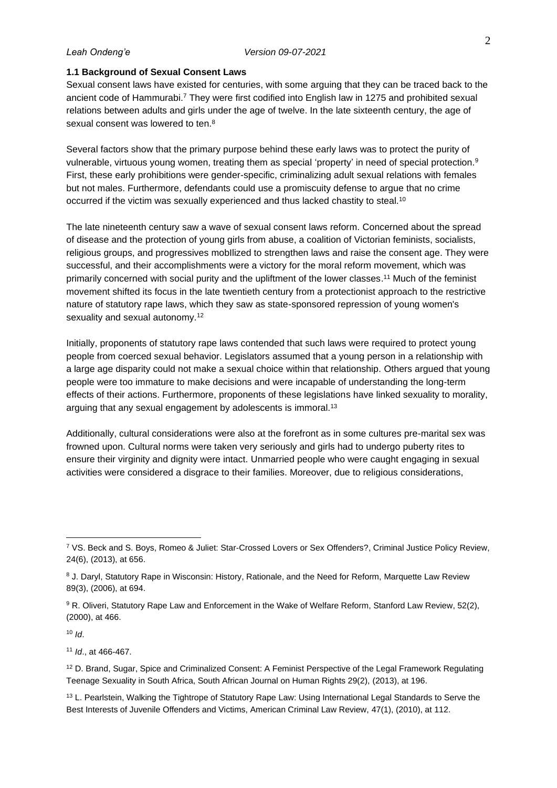### <span id="page-10-0"></span>**1.1 Background of Sexual Consent Laws**

Sexual consent laws have existed for centuries, with some arguing that they can be traced back to the ancient code of Hammurabi.<sup>7</sup> They were first codified into English law in 1275 and prohibited sexual relations between adults and girls under the age of twelve. In the late sixteenth century, the age of sexual consent was lowered to ten.<sup>8</sup>

Several factors show that the primary purpose behind these early laws was to protect the purity of vulnerable, virtuous young women, treating them as special 'property' in need of special protection.<sup>9</sup> First, these early prohibitions were gender-specific, criminalizing adult sexual relations with females but not males. Furthermore, defendants could use a promiscuity defense to argue that no crime occurred if the victim was sexually experienced and thus lacked chastity to steal.<sup>10</sup>

The late nineteenth century saw a wave of sexual consent laws reform. Concerned about the spread of disease and the protection of young girls from abuse, a coalition of Victorian feminists, socialists, religious groups, and progressives mobIlized to strengthen laws and raise the consent age. They were successful, and their accomplishments were a victory for the moral reform movement, which was primarily concerned with social purity and the upliftment of the lower classes. <sup>11</sup> Much of the feminist movement shifted its focus in the late twentieth century from a protectionist approach to the restrictive nature of statutory rape laws, which they saw as state-sponsored repression of young women's sexuality and sexual autonomy.<sup>12</sup>

Initially, proponents of statutory rape laws contended that such laws were required to protect young people from coerced sexual behavior. Legislators assumed that a young person in a relationship with a large age disparity could not make a sexual choice within that relationship. Others argued that young people were too immature to make decisions and were incapable of understanding the long-term effects of their actions. Furthermore, proponents of these legislations have linked sexuality to morality, arguing that any sexual engagement by adolescents is immoral.<sup>13</sup>

Additionally, cultural considerations were also at the forefront as in some cultures pre-marital sex was frowned upon. Cultural norms were taken very seriously and girls had to undergo puberty rites to ensure their virginity and dignity were intact. Unmarried people who were caught engaging in sexual activities were considered a disgrace to their families. Moreover, due to religious considerations,

<sup>10</sup> *Id*.

<sup>11</sup> *Id*., at 466-467.

<sup>7</sup> VS. Beck and S. Boys, Romeo & Juliet: Star-Crossed Lovers or Sex Offenders?, Criminal Justice Policy Review, 24(6), (2013), at 656.

<sup>&</sup>lt;sup>8</sup> J. Daryl, Statutory Rape in Wisconsin: History, Rationale, and the Need for Reform, Marquette Law Review 89(3), (2006), at 694.

<sup>9</sup> R. Oliveri, Statutory Rape Law and Enforcement in the Wake of Welfare Reform, Stanford Law Review, 52(2), (2000), at 466.

<sup>&</sup>lt;sup>12</sup> D. Brand, Sugar, Spice and Criminalized Consent: A Feminist Perspective of the Legal Framework Regulating Teenage Sexuality in South Africa, South African Journal on Human Rights 29(2), (2013), at 196.

<sup>&</sup>lt;sup>13</sup> L. Pearlstein, Walking the Tightrope of Statutory Rape Law: Using International Legal Standards to Serve the Best Interests of Juvenile Offenders and Victims, American Criminal Law Review, 47(1), (2010), at 112.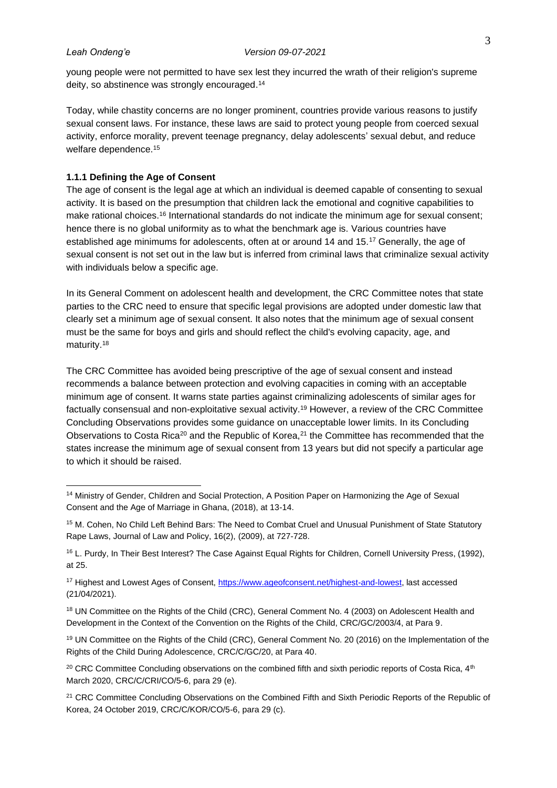young people were not permitted to have sex lest they incurred the wrath of their religion's supreme deity, so abstinence was strongly encouraged. 14

Today, while chastity concerns are no longer prominent, countries provide various reasons to justify sexual consent laws. For instance, these laws are said to protect young people from coerced sexual activity, enforce morality, prevent teenage pregnancy, delay adolescents' sexual debut, and reduce welfare dependence.<sup>15</sup>

### <span id="page-11-0"></span>**1.1.1 Defining the Age of Consent**

The age of consent is the legal age at which an individual is deemed capable of consenting to sexual activity. It is based on the presumption that children lack the emotional and cognitive capabilities to make rational choices.<sup>16</sup> International standards do not indicate the minimum age for sexual consent; hence there is no global uniformity as to what the benchmark age is. Various countries have established age minimums for adolescents, often at or around 14 and 15.<sup>17</sup> Generally, the age of sexual consent is not set out in the law but is inferred from criminal laws that criminalize sexual activity with individuals below a specific age.

In its General Comment on adolescent health and development, the CRC Committee notes that state parties to the CRC need to ensure that specific legal provisions are adopted under domestic law that clearly set a minimum age of sexual consent. It also notes that the minimum age of sexual consent must be the same for boys and girls and should reflect the child's evolving capacity, age, and maturity.<sup>18</sup>

The CRC Committee has avoided being prescriptive of the age of sexual consent and instead recommends a balance between protection and evolving capacities in coming with an acceptable minimum age of consent. It warns state parties against criminalizing adolescents of similar ages for factually consensual and non-exploitative sexual activity.<sup>19</sup> However, a review of the CRC Committee Concluding Observations provides some guidance on unacceptable lower limits. In its Concluding Observations to Costa Rica<sup>20</sup> and the Republic of Korea,<sup>21</sup> the Committee has recommended that the states increase the minimum age of sexual consent from 13 years but did not specify a particular age to which it should be raised.

<sup>&</sup>lt;sup>14</sup> Ministry of Gender, Children and Social Protection, A Position Paper on Harmonizing the Age of Sexual Consent and the Age of Marriage in Ghana, (2018), at 13-14.

<sup>&</sup>lt;sup>15</sup> M. Cohen, No Child Left Behind Bars: The Need to Combat Cruel and Unusual Punishment of State Statutory Rape Laws, Journal of Law and Policy, 16(2), (2009), at 727-728.

<sup>&</sup>lt;sup>16</sup> L. Purdy, In Their Best Interest? The Case Against Equal Rights for Children, Cornell University Press, (1992), at 25.

<sup>&</sup>lt;sup>17</sup> Highest and Lowest Ages of Consent, [https://www.ageofconsent.net/highest-and-lowest,](https://www.ageofconsent.net/highest-and-lowest) last accessed (21/04/2021).

<sup>&</sup>lt;sup>18</sup> UN Committee on the Rights of the Child (CRC), General Comment No. 4 (2003) on Adolescent Health and Development in the Context of the Convention on the Rights of the Child, CRC/GC/2003/4, at Para 9.

<sup>19</sup> UN Committee on the Rights of the Child (CRC), General Comment No. 20 (2016) on the Implementation of the Rights of the Child During Adolescence, CRC/C/GC/20, at Para 40.

<sup>&</sup>lt;sup>20</sup> CRC Committee Concluding observations on the combined fifth and sixth periodic reports of Costa Rica,  $4<sup>th</sup>$ March 2020, CRC/C/CRI/CO/5-6, para 29 (e).

<sup>&</sup>lt;sup>21</sup> CRC Committee Concluding Observations on the Combined Fifth and Sixth Periodic Reports of the Republic of Korea, 24 October 2019, CRC/C/KOR/CO/5-6, para 29 (c).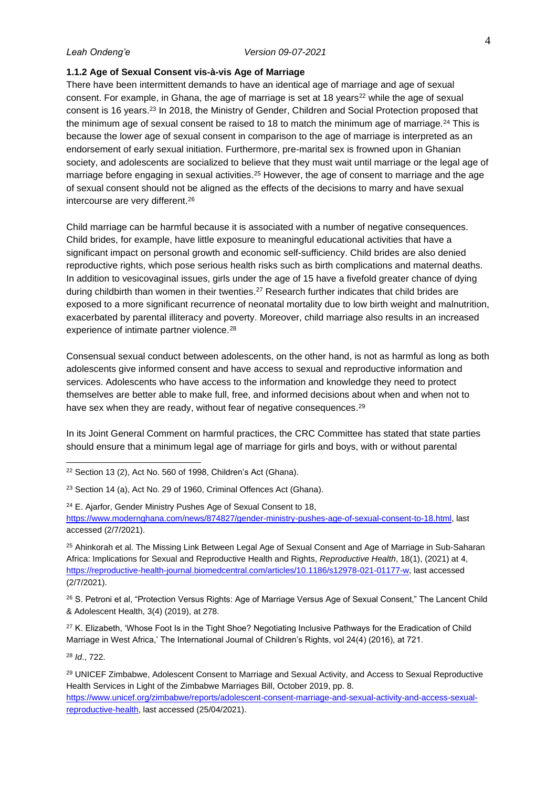### <span id="page-12-0"></span>**1.1.2 Age of Sexual Consent vis-à-vis Age of Marriage**

There have been intermittent demands to have an identical age of marriage and age of sexual consent. For example, in Ghana, the age of marriage is set at 18 years<sup>22</sup> while the age of sexual consent is 16 years.<sup>23</sup> In 2018, the Ministry of Gender, Children and Social Protection proposed that the minimum age of sexual consent be raised to 18 to match the minimum age of marriage.<sup>24</sup> This is because the lower age of sexual consent in comparison to the age of marriage is interpreted as an endorsement of early sexual initiation. Furthermore, pre-marital sex is frowned upon in Ghanian society, and adolescents are socialized to believe that they must wait until marriage or the legal age of marriage before engaging in sexual activities.<sup>25</sup> However, the age of consent to marriage and the age of sexual consent should not be aligned as the effects of the decisions to marry and have sexual intercourse are very different.<sup>26</sup>

Child marriage can be harmful because it is associated with a number of negative consequences. Child brides, for example, have little exposure to meaningful educational activities that have a significant impact on personal growth and economic self-sufficiency. Child brides are also denied reproductive rights, which pose serious health risks such as birth complications and maternal deaths. In addition to vesicovaginal issues, girls under the age of 15 have a fivefold greater chance of dying during childbirth than women in their twenties.<sup>27</sup> Research further indicates that child brides are exposed to a more significant recurrence of neonatal mortality due to low birth weight and malnutrition, exacerbated by parental illiteracy and poverty. Moreover, child marriage also results in an increased experience of intimate partner violence.<sup>28</sup>

Consensual sexual conduct between adolescents, on the other hand, is not as harmful as long as both adolescents give informed consent and have access to sexual and reproductive information and services. Adolescents who have access to the information and knowledge they need to protect themselves are better able to make full, free, and informed decisions about when and when not to have sex when they are ready, without fear of negative consequences.<sup>29</sup>

In its Joint General Comment on harmful practices, the CRC Committee has stated that state parties should ensure that a minimum legal age of marriage for girls and boys, with or without parental

<sup>24</sup> E. Ajarfor, Gender Ministry Pushes Age of Sexual Consent to 18, [https://www.modernghana.com/news/874827/gender-ministry-pushes-age-of-sexual-consent-to-18.html,](https://www.modernghana.com/news/874827/gender-ministry-pushes-age-of-sexual-consent-to-18.html) last accessed (2/7/2021).

<sup>25</sup> Ahinkorah et al. The Missing Link Between Legal Age of Sexual Consent and Age of Marriage in Sub-Saharan Africa: Implications for Sexual and Reproductive Health and Rights, *Reproductive Health*, 18(1), (2021) at 4, [https://reproductive-health-journal.biomedcentral.com/articles/10.1186/s12978-021-01177-w,](https://reproductive-health-journal.biomedcentral.com/articles/10.1186/s12978-021-01177-w) last accessed (2/7/2021).

<sup>26</sup> S. Petroni et al, "Protection Versus Rights: Age of Marriage Versus Age of Sexual Consent," The Lancent Child & Adolescent Health, 3(4) (2019), at 278.

<sup>27</sup> K. Elizabeth, 'Whose Foot Is in the Tight Shoe? Negotiating Inclusive Pathways for the Eradication of Child Marriage in West Africa,' The International Journal of Children's Rights, vol 24(4) (2016), at 721.

<sup>28</sup> *Id*., 722.

<sup>22</sup> Section 13 (2), Act No. 560 of 1998, Children's Act (Ghana).

<sup>23</sup> Section 14 (a), Act No. 29 of 1960, Criminal Offences Act (Ghana).

<sup>&</sup>lt;sup>29</sup> UNICEF Zimbabwe, Adolescent Consent to Marriage and Sexual Activity, and Access to Sexual Reproductive Health Services in Light of the Zimbabwe Marriages Bill, October 2019, pp. 8.

[https://www.unicef.org/zimbabwe/reports/adolescent-consent-marriage-and-sexual-activity-and-access-sexual](https://www.unicef.org/zimbabwe/reports/adolescent-consent-marriage-and-sexual-activity-and-access-sexual-reproductive-health)[reproductive-health,](https://www.unicef.org/zimbabwe/reports/adolescent-consent-marriage-and-sexual-activity-and-access-sexual-reproductive-health) last accessed (25/04/2021).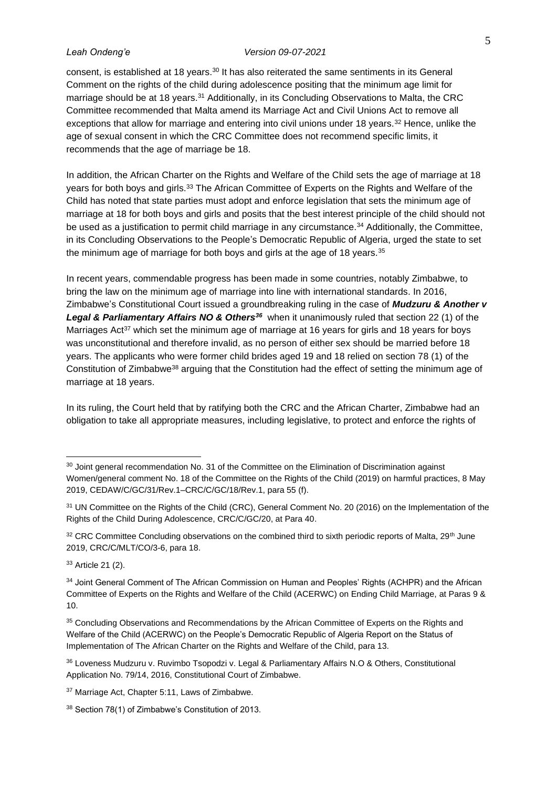consent, is established at 18 years.<sup>30</sup> It has also reiterated the same sentiments in its General Comment on the rights of the child during adolescence positing that the minimum age limit for marriage should be at 18 years.<sup>31</sup> Additionally, in its Concluding Observations to Malta, the CRC Committee recommended that Malta amend its Marriage Act and Civil Unions Act to remove all exceptions that allow for marriage and entering into civil unions under 18 years.<sup>32</sup> Hence, unlike the age of sexual consent in which the CRC Committee does not recommend specific limits, it recommends that the age of marriage be 18.

In addition, the African Charter on the Rights and Welfare of the Child sets the age of marriage at 18 years for both boys and girls.<sup>33</sup> The African Committee of Experts on the Rights and Welfare of the Child has noted that state parties must adopt and enforce legislation that sets the minimum age of marriage at 18 for both boys and girls and posits that the best interest principle of the child should not be used as a justification to permit child marriage in any circumstance.<sup>34</sup> Additionally, the Committee, in its Concluding Observations to the People's Democratic Republic of Algeria, urged the state to set the minimum age of marriage for both boys and girls at the age of 18 years. $35$ 

In recent years, commendable progress has been made in some countries, notably Zimbabwe, to bring the law on the minimum age of marriage into line with international standards. In 2016, Zimbabwe's Constitutional Court issued a groundbreaking ruling in the case of *Mudzuru & Another v*  **Legal & Parliamentary Affairs NO & Others<sup>36</sup>** when it unanimously ruled that section 22 (1) of the Marriages Act<sup>37</sup> which set the minimum age of marriage at 16 years for girls and 18 years for boys was unconstitutional and therefore invalid, as no person of either sex should be married before 18 years. The applicants who were former child brides aged 19 and 18 relied on section 78 (1) of the Constitution of Zimbabwe<sup>38</sup> arguing that the Constitution had the effect of setting the minimum age of marriage at 18 years.

In its ruling, the Court held that by ratifying both the CRC and the African Charter, Zimbabwe had an obligation to take all appropriate measures, including legislative, to protect and enforce the rights of

<sup>33</sup> Article 21 (2).

<sup>&</sup>lt;sup>30</sup> Joint general recommendation No. 31 of the Committee on the Elimination of Discrimination against Women/general comment No. 18 of the Committee on the Rights of the Child (2019) on harmful practices, 8 May 2019, CEDAW/C/GC/31/Rev.1–CRC/C/GC/18/Rev.1, para 55 (f).

<sup>&</sup>lt;sup>31</sup> UN Committee on the Rights of the Child (CRC), General Comment No. 20 (2016) on the Implementation of the Rights of the Child During Adolescence, CRC/C/GC/20, at Para 40.

<sup>32</sup> CRC Committee Concluding observations on the combined third to sixth periodic reports of Malta, 29<sup>th</sup> June 2019, CRC/C/MLT/CO/3-6, para 18.

<sup>34</sup> Joint General Comment of The African Commission on Human and Peoples' Rights (ACHPR) and the African Committee of Experts on the Rights and Welfare of the Child (ACERWC) on Ending Child Marriage, at Paras 9 & 10.

<sup>&</sup>lt;sup>35</sup> Concluding Observations and Recommendations by the African Committee of Experts on the Rights and Welfare of the Child (ACERWC) on the People's Democratic Republic of Algeria Report on the Status of Implementation of The African Charter on the Rights and Welfare of the Child, para 13.

<sup>36</sup> Loveness Mudzuru v. Ruvimbo Tsopodzi v. Legal & Parliamentary Affairs N.O & Others, Constitutional Application No. 79/14, 2016, Constitutional Court of Zimbabwe.

<sup>37</sup> Marriage Act, Chapter 5:11, Laws of Zimbabwe.

<sup>38</sup> Section 78(1) of Zimbabwe's Constitution of 2013.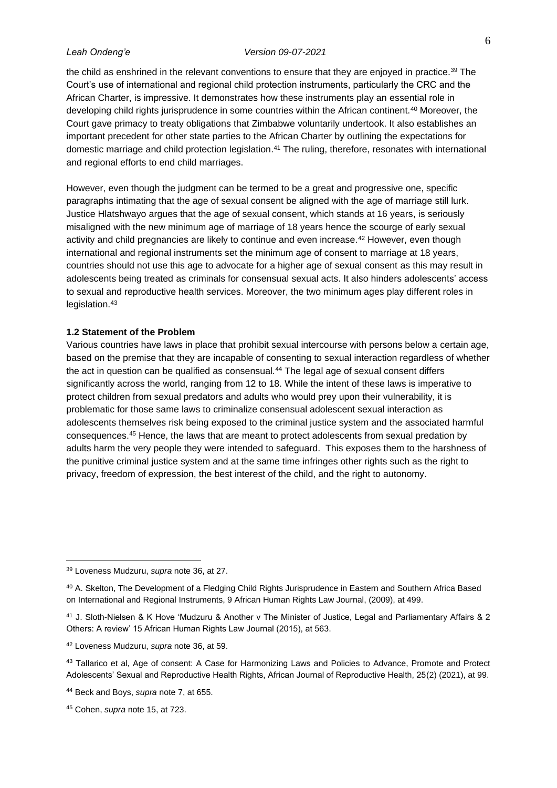the child as enshrined in the relevant conventions to ensure that they are enjoyed in practice.<sup>39</sup> The Court's use of international and regional child protection instruments, particularly the CRC and the African Charter, is impressive. It demonstrates how these instruments play an essential role in developing child rights jurisprudence in some countries within the African continent.<sup>40</sup> Moreover, the Court gave primacy to treaty obligations that Zimbabwe voluntarily undertook. It also establishes an important precedent for other state parties to the African Charter by outlining the expectations for domestic marriage and child protection legislation. <sup>41</sup> The ruling, therefore, resonates with international and regional efforts to end child marriages.

However, even though the judgment can be termed to be a great and progressive one, specific paragraphs intimating that the age of sexual consent be aligned with the age of marriage still lurk. Justice Hlatshwayo argues that the age of sexual consent, which stands at 16 years, is seriously misaligned with the new minimum age of marriage of 18 years hence the scourge of early sexual activity and child pregnancies are likely to continue and even increase.<sup>42</sup> However, even though international and regional instruments set the minimum age of consent to marriage at 18 years, countries should not use this age to advocate for a higher age of sexual consent as this may result in adolescents being treated as criminals for consensual sexual acts. It also hinders adolescents' access to sexual and reproductive health services. Moreover, the two minimum ages play different roles in legislation.<sup>43</sup>

# <span id="page-14-0"></span>**1.2 Statement of the Problem**

Various countries have laws in place that prohibit sexual intercourse with persons below a certain age, based on the premise that they are incapable of consenting to sexual interaction regardless of whether the act in question can be qualified as consensual.<sup>44</sup> The legal age of sexual consent differs significantly across the world, ranging from 12 to 18. While the intent of these laws is imperative to protect children from sexual predators and adults who would prey upon their vulnerability, it is problematic for those same laws to criminalize consensual adolescent sexual interaction as adolescents themselves risk being exposed to the criminal justice system and the associated harmful consequences.<sup>45</sup> Hence, the laws that are meant to protect adolescents from sexual predation by adults harm the very people they were intended to safeguard. This exposes them to the harshness of the punitive criminal justice system and at the same time infringes other rights such as the right to privacy, freedom of expression, the best interest of the child, and the right to autonomy.

<sup>39</sup> Loveness Mudzuru, *supra* note 36, at 27.

<sup>40</sup> A. Skelton, The Development of a Fledging Child Rights Jurisprudence in Eastern and Southern Africa Based on International and Regional Instruments, 9 African Human Rights Law Journal, (2009), at 499.

<sup>41</sup> J. Sloth-Nielsen & K Hove 'Mudzuru & Another v The Minister of Justice, Legal and Parliamentary Affairs & 2 Others: A review' 15 African Human Rights Law Journal (2015), at 563.

<sup>42</sup> Loveness Mudzuru, *supra* note 36, at 59.

<sup>&</sup>lt;sup>43</sup> Tallarico et al, Age of consent: A Case for Harmonizing Laws and Policies to Advance, Promote and Protect Adolescents' Sexual and Reproductive Health Rights, African Journal of Reproductive Health, 25(2) (2021), at 99.

<sup>44</sup> Beck and Boys, *supra* note 7, at 655.

<sup>45</sup> Cohen, *supra* note 15, at 723.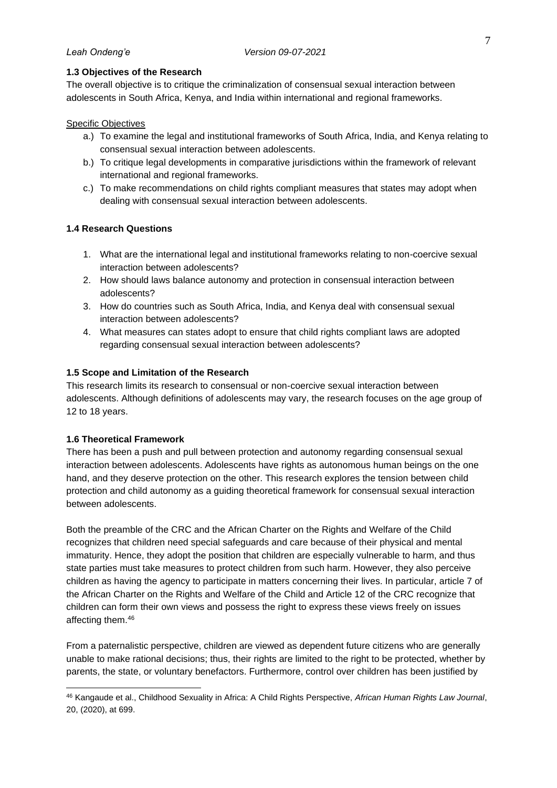# <span id="page-15-0"></span>**1.3 Objectives of the Research**

The overall objective is to critique the criminalization of consensual sexual interaction between adolescents in South Africa, Kenya, and India within international and regional frameworks.

## Specific Objectives

- a.) To examine the legal and institutional frameworks of South Africa, India, and Kenya relating to consensual sexual interaction between adolescents.
- b.) To critique legal developments in comparative jurisdictions within the framework of relevant international and regional frameworks.
- c.) To make recommendations on child rights compliant measures that states may adopt when dealing with consensual sexual interaction between adolescents.

# <span id="page-15-1"></span>**1.4 Research Questions**

- 1. What are the international legal and institutional frameworks relating to non-coercive sexual interaction between adolescents?
- 2. How should laws balance autonomy and protection in consensual interaction between adolescents?
- 3. How do countries such as South Africa, India, and Kenya deal with consensual sexual interaction between adolescents?
- 4. What measures can states adopt to ensure that child rights compliant laws are adopted regarding consensual sexual interaction between adolescents?

### <span id="page-15-2"></span>**1.5 Scope and Limitation of the Research**

This research limits its research to consensual or non-coercive sexual interaction between adolescents. Although definitions of adolescents may vary, the research focuses on the age group of 12 to 18 years.

### <span id="page-15-3"></span>**1.6 Theoretical Framework**

There has been a push and pull between protection and autonomy regarding consensual sexual interaction between adolescents. Adolescents have rights as autonomous human beings on the one hand, and they deserve protection on the other. This research explores the tension between child protection and child autonomy as a guiding theoretical framework for consensual sexual interaction between adolescents.

Both the preamble of the CRC and the African Charter on the Rights and Welfare of the Child recognizes that children need special safeguards and care because of their physical and mental immaturity. Hence, they adopt the position that children are especially vulnerable to harm, and thus state parties must take measures to protect children from such harm. However, they also perceive children as having the agency to participate in matters concerning their lives. In particular, article 7 of the African Charter on the Rights and Welfare of the Child and Article 12 of the CRC recognize that children can form their own views and possess the right to express these views freely on issues affecting them.<sup>46</sup>

From a paternalistic perspective, children are viewed as dependent future citizens who are generally unable to make rational decisions; thus, their rights are limited to the right to be protected, whether by parents, the state, or voluntary benefactors. Furthermore, control over children has been justified by

<sup>46</sup> Kangaude et al., Childhood Sexuality in Africa: A Child Rights Perspective, *African Human Rights Law Journal*, 20, (2020), at 699.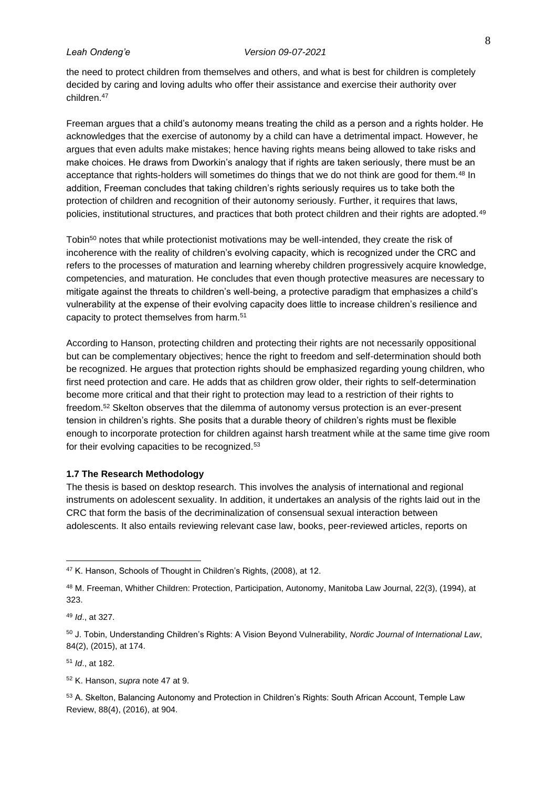the need to protect children from themselves and others, and what is best for children is completely decided by caring and loving adults who offer their assistance and exercise their authority over children.<sup>47</sup>

Freeman argues that a child's autonomy means treating the child as a person and a rights holder. He acknowledges that the exercise of autonomy by a child can have a detrimental impact. However, he argues that even adults make mistakes; hence having rights means being allowed to take risks and make choices. He draws from Dworkin's analogy that if rights are taken seriously, there must be an acceptance that rights-holders will sometimes do things that we do not think are good for them.<sup>48</sup> In addition, Freeman concludes that taking children's rights seriously requires us to take both the protection of children and recognition of their autonomy seriously. Further, it requires that laws, policies, institutional structures, and practices that both protect children and their rights are adopted.<sup>49</sup>

Tobin<sup>50</sup> notes that while protectionist motivations may be well-intended, they create the risk of incoherence with the reality of children's evolving capacity, which is recognized under the CRC and refers to the processes of maturation and learning whereby children progressively acquire knowledge, competencies, and maturation. He concludes that even though protective measures are necessary to mitigate against the threats to children's well-being, a protective paradigm that emphasizes a child's vulnerability at the expense of their evolving capacity does little to increase children's resilience and capacity to protect themselves from harm.<sup>51</sup>

According to Hanson, protecting children and protecting their rights are not necessarily oppositional but can be complementary objectives; hence the right to freedom and self-determination should both be recognized. He argues that protection rights should be emphasized regarding young children, who first need protection and care. He adds that as children grow older, their rights to self-determination become more critical and that their right to protection may lead to a restriction of their rights to freedom.<sup>52</sup> Skelton observes that the dilemma of autonomy versus protection is an ever-present tension in children's rights. She posits that a durable theory of children's rights must be flexible enough to incorporate protection for children against harsh treatment while at the same time give room for their evolving capacities to be recognized.<sup>53</sup>

### <span id="page-16-0"></span>**1.7 The Research Methodology**

The thesis is based on desktop research. This involves the analysis of international and regional instruments on adolescent sexuality. In addition, it undertakes an analysis of the rights laid out in the CRC that form the basis of the decriminalization of consensual sexual interaction between adolescents. It also entails reviewing relevant case law, books, peer-reviewed articles, reports on

<sup>49</sup> *Id*., at 327.

<sup>50</sup> J. Tobin, Understanding Children's Rights: A Vision Beyond Vulnerability, *Nordic Journal of International Law*, 84(2), (2015), at 174.

<sup>51</sup> *Id*., at 182.

<sup>52</sup> K. Hanson, *supra* note 47 at 9.

53 A. Skelton, Balancing Autonomy and Protection in Children's Rights: South African Account, Temple Law Review, 88(4), (2016), at 904.

<sup>47</sup> K. Hanson, Schools of Thought in Children's Rights, (2008), at 12.

<sup>48</sup> M. Freeman, Whither Children: Protection, Participation, Autonomy, Manitoba Law Journal, 22(3), (1994), at 323.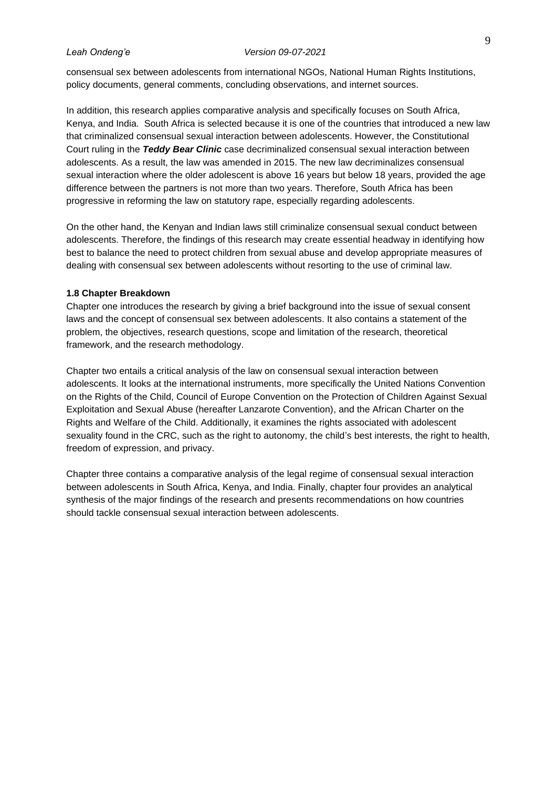consensual sex between adolescents from international NGOs, National Human Rights Institutions, policy documents, general comments, concluding observations, and internet sources.

In addition, this research applies comparative analysis and specifically focuses on South Africa, Kenya, and India. South Africa is selected because it is one of the countries that introduced a new law that criminalized consensual sexual interaction between adolescents. However, the Constitutional Court ruling in the *Teddy Bear Clinic* case decriminalized consensual sexual interaction between adolescents. As a result, the law was amended in 2015. The new law decriminalizes consensual sexual interaction where the older adolescent is above 16 years but below 18 years, provided the age difference between the partners is not more than two years. Therefore, South Africa has been progressive in reforming the law on statutory rape, especially regarding adolescents.

On the other hand, the Kenyan and Indian laws still criminalize consensual sexual conduct between adolescents. Therefore, the findings of this research may create essential headway in identifying how best to balance the need to protect children from sexual abuse and develop appropriate measures of dealing with consensual sex between adolescents without resorting to the use of criminal law.

### <span id="page-17-0"></span>**1.8 Chapter Breakdown**

Chapter one introduces the research by giving a brief background into the issue of sexual consent laws and the concept of consensual sex between adolescents. It also contains a statement of the problem, the objectives, research questions, scope and limitation of the research, theoretical framework, and the research methodology.

Chapter two entails a critical analysis of the law on consensual sexual interaction between adolescents. It looks at the international instruments, more specifically the United Nations Convention on the Rights of the Child, Council of Europe Convention on the Protection of Children Against Sexual Exploitation and Sexual Abuse (hereafter Lanzarote Convention), and the African Charter on the Rights and Welfare of the Child. Additionally, it examines the rights associated with adolescent sexuality found in the CRC, such as the right to autonomy, the child's best interests, the right to health, freedom of expression, and privacy.

Chapter three contains a comparative analysis of the legal regime of consensual sexual interaction between adolescents in South Africa, Kenya, and India. Finally, chapter four provides an analytical synthesis of the major findings of the research and presents recommendations on how countries should tackle consensual sexual interaction between adolescents.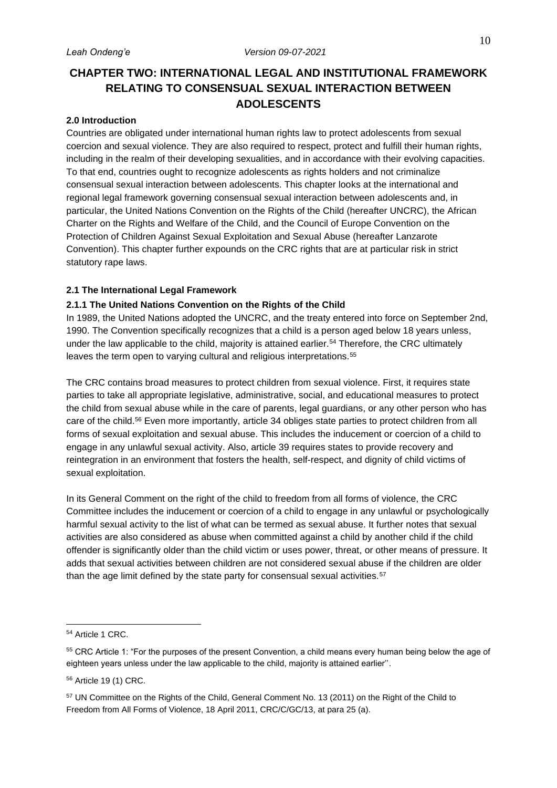# <span id="page-18-0"></span>**CHAPTER TWO: INTERNATIONAL LEGAL AND INSTITUTIONAL FRAMEWORK RELATING TO CONSENSUAL SEXUAL INTERACTION BETWEEN ADOLESCENTS**

# <span id="page-18-1"></span>**2.0 Introduction**

Countries are obligated under international human rights law to protect adolescents from sexual coercion and sexual violence. They are also required to respect, protect and fulfill their human rights, including in the realm of their developing sexualities, and in accordance with their evolving capacities. To that end, countries ought to recognize adolescents as rights holders and not criminalize consensual sexual interaction between adolescents. This chapter looks at the international and regional legal framework governing consensual sexual interaction between adolescents and, in particular, the United Nations Convention on the Rights of the Child (hereafter UNCRC), the African Charter on the Rights and Welfare of the Child, and the Council of Europe Convention on the Protection of Children Against Sexual Exploitation and Sexual Abuse (hereafter Lanzarote Convention). This chapter further expounds on the CRC rights that are at particular risk in strict statutory rape laws.

# <span id="page-18-2"></span>**2.1 The International Legal Framework**

# <span id="page-18-3"></span>**2.1.1 The United Nations Convention on the Rights of the Child**

In 1989, the United Nations adopted the UNCRC, and the treaty entered into force on September 2nd, 1990. The Convention specifically recognizes that a child is a person aged below 18 years unless, under the law applicable to the child, majority is attained earlier.<sup>54</sup> Therefore, the CRC ultimately leaves the term open to varying cultural and religious interpretations.<sup>55</sup>

The CRC contains broad measures to protect children from sexual violence. First, it requires state parties to take all appropriate legislative, administrative, social, and educational measures to protect the child from sexual abuse while in the care of parents, legal guardians, or any other person who has care of the child.<sup>56</sup> Even more importantly, article 34 obliges state parties to protect children from all forms of sexual exploitation and sexual abuse. This includes the inducement or coercion of a child to engage in any unlawful sexual activity. Also, article 39 requires states to provide recovery and reintegration in an environment that fosters the health, self-respect, and dignity of child victims of sexual exploitation.

In its General Comment on the right of the child to freedom from all forms of violence, the CRC Committee includes the inducement or coercion of a child to engage in any unlawful or psychologically harmful sexual activity to the list of what can be termed as sexual abuse. It further notes that sexual activities are also considered as abuse when committed against a child by another child if the child offender is significantly older than the child victim or uses power, threat, or other means of pressure. It adds that sexual activities between children are not considered sexual abuse if the children are older than the age limit defined by the state party for consensual sexual activities.<sup>57</sup>

<sup>54</sup> Article 1 CRC.

<sup>&</sup>lt;sup>55</sup> CRC Article 1: "For the purposes of the present Convention, a child means every human being below the age of eighteen years unless under the law applicable to the child, majority is attained earlier''.

<sup>56</sup> Article 19 (1) CRC.

<sup>57</sup> UN Committee on the Rights of the Child, General Comment No. 13 (2011) on the Right of the Child to Freedom from All Forms of Violence, 18 April 2011, CRC/C/GC/13, at para 25 (a).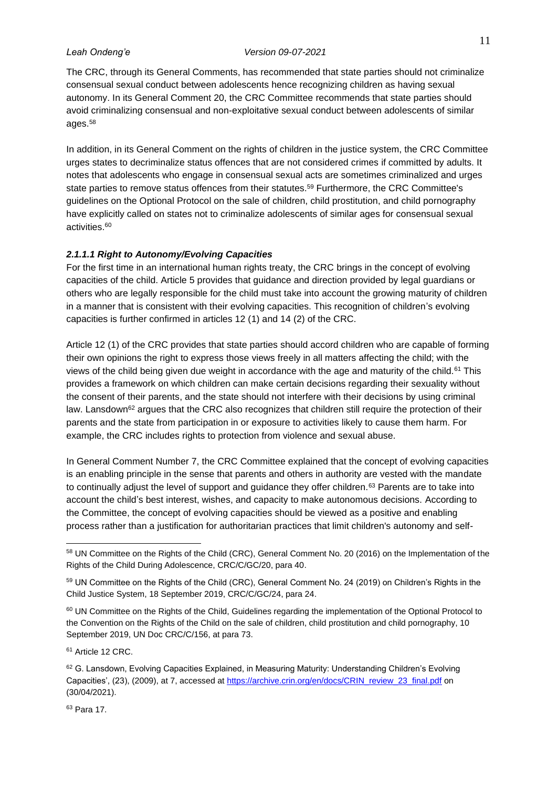The CRC, through its General Comments, has recommended that state parties should not criminalize consensual sexual conduct between adolescents hence recognizing children as having sexual autonomy. In its General Comment 20, the CRC Committee recommends that state parties should avoid criminalizing consensual and non-exploitative sexual conduct between adolescents of similar ages.<sup>58</sup>

In addition, in its General Comment on the rights of children in the justice system, the CRC Committee urges states to decriminalize status offences that are not considered crimes if committed by adults. It notes that adolescents who engage in consensual sexual acts are sometimes criminalized and urges state parties to remove status offences from their statutes.<sup>59</sup> Furthermore, the CRC Committee's guidelines on the Optional Protocol on the sale of children, child prostitution, and child pornography have explicitly called on states not to criminalize adolescents of similar ages for consensual sexual activities. 60

### <span id="page-19-0"></span>*2.1.1.1 Right to Autonomy/Evolving Capacities*

For the first time in an international human rights treaty, the CRC brings in the concept of evolving capacities of the child. Article 5 provides that guidance and direction provided by legal guardians or others who are legally responsible for the child must take into account the growing maturity of children in a manner that is consistent with their evolving capacities. This recognition of children's evolving capacities is further confirmed in articles 12 (1) and 14 (2) of the CRC.

Article 12 (1) of the CRC provides that state parties should accord children who are capable of forming their own opinions the right to express those views freely in all matters affecting the child; with the views of the child being given due weight in accordance with the age and maturity of the child.<sup>61</sup> This provides a framework on which children can make certain decisions regarding their sexuality without the consent of their parents, and the state should not interfere with their decisions by using criminal law. Lansdown<sup>62</sup> argues that the CRC also recognizes that children still require the protection of their parents and the state from participation in or exposure to activities likely to cause them harm. For example, the CRC includes rights to protection from violence and sexual abuse.

In General Comment Number 7, the CRC Committee explained that the concept of evolving capacities is an enabling principle in the sense that parents and others in authority are vested with the mandate to continually adjust the level of support and quidance they offer children.<sup>63</sup> Parents are to take into account the child's best interest, wishes, and capacity to make autonomous decisions. According to the Committee, the concept of evolving capacities should be viewed as a positive and enabling process rather than a justification for authoritarian practices that limit children's autonomy and self-

<sup>61</sup> Article 12 CRC.

<sup>63</sup> Para 17.

<sup>58</sup> UN Committee on the Rights of the Child (CRC), General Comment No. 20 (2016) on the Implementation of the Rights of the Child During Adolescence, CRC/C/GC/20, para 40.

<sup>59</sup> UN Committee on the Rights of the Child (CRC), General Comment No. 24 (2019) on Children's Rights in the Child Justice System, 18 September 2019, CRC/C/GC/24, para 24.

<sup>60</sup> UN Committee on the Rights of the Child, Guidelines regarding the implementation of the Optional Protocol to the Convention on the Rights of the Child on the sale of children, child prostitution and child pornography, 10 September 2019, UN Doc CRC/C/156, at para 73.

<sup>62</sup> G. Lansdown, Evolving Capacities Explained, in Measuring Maturity: Understanding Children's Evolving Capacities', (23), (2009), at 7, accessed a[t https://archive.crin.org/en/docs/CRIN\\_review\\_23\\_final.pdf](https://archive.crin.org/en/docs/CRIN_review_23_final.pdf) on (30/04/2021).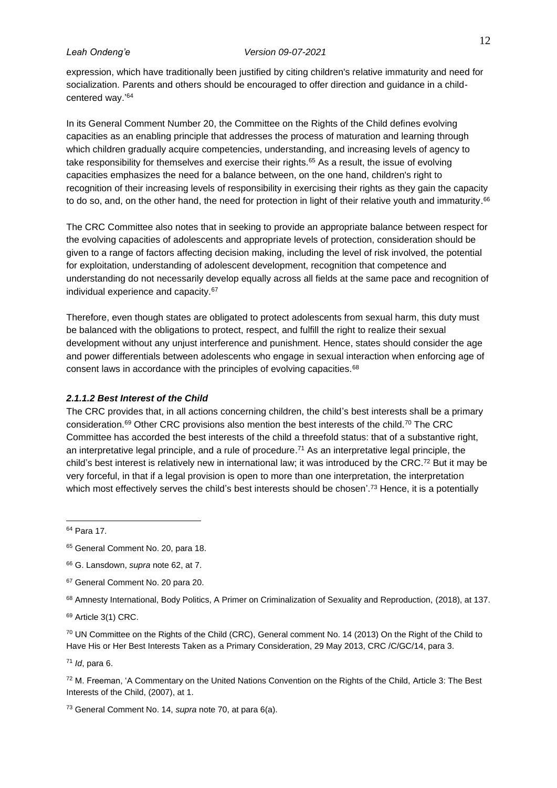expression, which have traditionally been justified by citing children's relative immaturity and need for socialization. Parents and others should be encouraged to offer direction and guidance in a childcentered way.' 64

In its General Comment Number 20, the Committee on the Rights of the Child defines evolving capacities as an enabling principle that addresses the process of maturation and learning through which children gradually acquire competencies, understanding, and increasing levels of agency to take responsibility for themselves and exercise their rights.<sup>65</sup> As a result, the issue of evolving capacities emphasizes the need for a balance between, on the one hand, children's right to recognition of their increasing levels of responsibility in exercising their rights as they gain the capacity to do so, and, on the other hand, the need for protection in light of their relative youth and immaturity.<sup>66</sup>

The CRC Committee also notes that in seeking to provide an appropriate balance between respect for the evolving capacities of adolescents and appropriate levels of protection, consideration should be given to a range of factors affecting decision making, including the level of risk involved, the potential for exploitation, understanding of adolescent development, recognition that competence and understanding do not necessarily develop equally across all fields at the same pace and recognition of individual experience and capacity.<sup>67</sup>

Therefore, even though states are obligated to protect adolescents from sexual harm, this duty must be balanced with the obligations to protect, respect, and fulfill the right to realize their sexual development without any unjust interference and punishment. Hence, states should consider the age and power differentials between adolescents who engage in sexual interaction when enforcing age of consent laws in accordance with the principles of evolving capacities.<sup>68</sup>

### <span id="page-20-0"></span>*2.1.1.2 Best Interest of the Child*

The CRC provides that, in all actions concerning children, the child's best interests shall be a primary consideration.<sup>69</sup> Other CRC provisions also mention the best interests of the child.<sup>70</sup> The CRC Committee has accorded the best interests of the child a threefold status: that of a substantive right, an interpretative legal principle, and a rule of procedure. <sup>71</sup> As an interpretative legal principle, the child's best interest is relatively new in international law; it was introduced by the CRC.<sup>72</sup> But it may be very forceful, in that if a legal provision is open to more than one interpretation, the interpretation which most effectively serves the child's best interests should be chosen'.<sup>73</sup> Hence, it is a potentially

<sup>70</sup> UN Committee on the Rights of the Child (CRC), General comment No. 14 (2013) On the Right of the Child to Have His or Her Best Interests Taken as a Primary Consideration, 29 May 2013, CRC /C/GC/14, para 3.

<sup>71</sup> *Id*, para 6.

<sup>72</sup> M. Freeman, 'A Commentary on the United Nations Convention on the Rights of the Child, Article 3: The Best Interests of the Child, (2007), at 1.

<sup>73</sup> General Comment No. 14, *supra* note 70, at para 6(a).

<sup>64</sup> Para 17.

<sup>&</sup>lt;sup>65</sup> General Comment No. 20, para 18.

<sup>66</sup> G. Lansdown, *supra* note 62, at 7.

<sup>&</sup>lt;sup>67</sup> General Comment No. 20 para 20.

<sup>&</sup>lt;sup>68</sup> Amnesty International, Body Politics, A Primer on Criminalization of Sexuality and Reproduction, (2018), at 137.

<sup>69</sup> Article 3(1) CRC.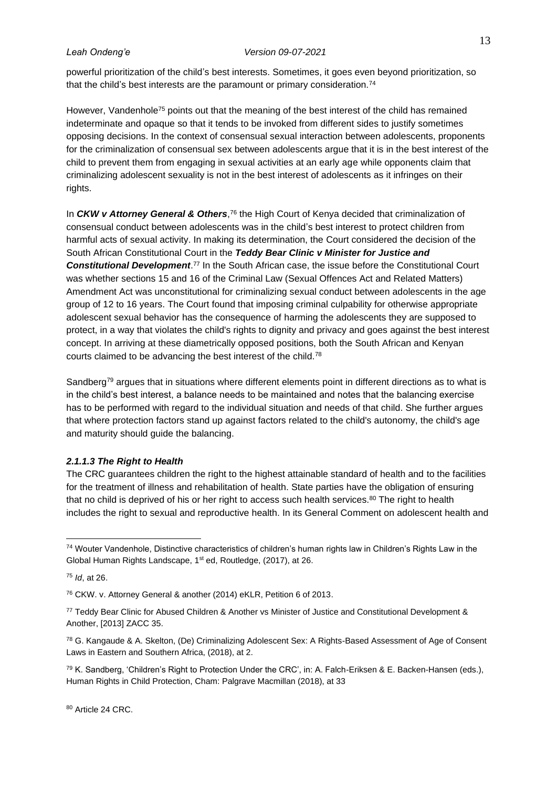powerful prioritization of the child's best interests. Sometimes, it goes even beyond prioritization, so that the child's best interests are the paramount or primary consideration.<sup>74</sup>

However, Vandenhole<sup>75</sup> points out that the meaning of the best interest of the child has remained indeterminate and opaque so that it tends to be invoked from different sides to justify sometimes opposing decisions. In the context of consensual sexual interaction between adolescents, proponents for the criminalization of consensual sex between adolescents argue that it is in the best interest of the child to prevent them from engaging in sexual activities at an early age while opponents claim that criminalizing adolescent sexuality is not in the best interest of adolescents as it infringes on their rights.

In *CKW v Attorney General & Others*, <sup>76</sup> the High Court of Kenya decided that criminalization of consensual conduct between adolescents was in the child's best interest to protect children from harmful acts of sexual activity. In making its determination, the Court considered the decision of the South African Constitutional Court in the *Teddy Bear Clinic v Minister for Justice and Constitutional Development*. <sup>77</sup> In the South African case, the issue before the Constitutional Court was whether sections 15 and 16 of the Criminal Law (Sexual Offences Act and Related Matters) Amendment Act was unconstitutional for criminalizing sexual conduct between adolescents in the age group of 12 to 16 years. The Court found that imposing criminal culpability for otherwise appropriate adolescent sexual behavior has the consequence of harming the adolescents they are supposed to protect, in a way that violates the child's rights to dignity and privacy and goes against the best interest concept. In arriving at these diametrically opposed positions, both the South African and Kenyan courts claimed to be advancing the best interest of the child.<sup>78</sup>

Sandberg<sup>79</sup> argues that in situations where different elements point in different directions as to what is in the child's best interest, a balance needs to be maintained and notes that the balancing exercise has to be performed with regard to the individual situation and needs of that child. She further argues that where protection factors stand up against factors related to the child's autonomy, the child's age and maturity should guide the balancing.

## <span id="page-21-0"></span>*2.1.1.3 The Right to Health*

The CRC guarantees children the right to the highest attainable standard of health and to the facilities for the treatment of illness and rehabilitation of health. State parties have the obligation of ensuring that no child is deprived of his or her right to access such health services.<sup>80</sup> The right to health includes the right to sexual and reproductive health. In its General Comment on adolescent health and

<sup>74</sup> Wouter Vandenhole, Distinctive characteristics of children's human rights law in Children's Rights Law in the Global Human Rights Landscape, 1<sup>st</sup> ed, Routledge, (2017), at 26.

<sup>75</sup> *Id*, at 26.

<sup>76</sup> CKW. v. Attorney General & another (2014) eKLR, Petition 6 of 2013.

<sup>77</sup> Teddy Bear Clinic for Abused Children & Another vs Minister of Justice and Constitutional Development & Another, [2013] ZACC 35.

<sup>78</sup> G. Kangaude & A. Skelton, (De) Criminalizing Adolescent Sex: A Rights-Based Assessment of Age of Consent Laws in Eastern and Southern Africa, (2018), at 2.

 $79$  K. Sandberg, 'Children's Right to Protection Under the CRC', in: A. Falch-Eriksen & E. Backen-Hansen (eds.), Human Rights in Child Protection, Cham: Palgrave Macmillan (2018), at 33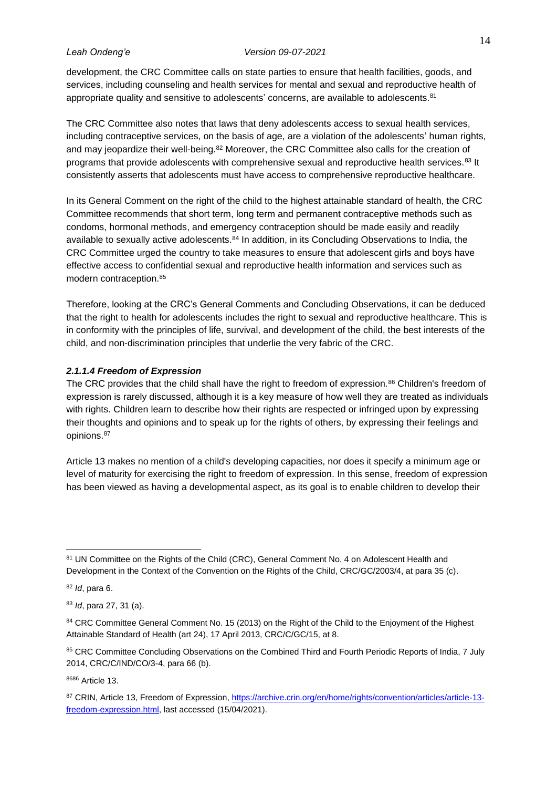development, the CRC Committee calls on state parties to ensure that health facilities, goods, and services, including counseling and health services for mental and sexual and reproductive health of appropriate quality and sensitive to adolescents' concerns, are available to adolescents.<sup>81</sup>

The CRC Committee also notes that laws that deny adolescents access to sexual health services, including contraceptive services, on the basis of age, are a violation of the adolescents' human rights, and may jeopardize their well-being.<sup>82</sup> Moreover, the CRC Committee also calls for the creation of programs that provide adolescents with comprehensive sexual and reproductive health services.<sup>83</sup> It consistently asserts that adolescents must have access to comprehensive reproductive healthcare.

In its General Comment on the right of the child to the highest attainable standard of health, the CRC Committee recommends that short term, long term and permanent contraceptive methods such as condoms, hormonal methods, and emergency contraception should be made easily and readily available to sexually active adolescents.<sup>84</sup> In addition, in its Concluding Observations to India, the CRC Committee urged the country to take measures to ensure that adolescent girls and boys have effective access to confidential sexual and reproductive health information and services such as modern contraception.<sup>85</sup>

Therefore, looking at the CRC's General Comments and Concluding Observations, it can be deduced that the right to health for adolescents includes the right to sexual and reproductive healthcare. This is in conformity with the principles of life, survival, and development of the child, the best interests of the child, and non-discrimination principles that underlie the very fabric of the CRC.

# <span id="page-22-0"></span>*2.1.1.4 Freedom of Expression*

The CRC provides that the child shall have the right to freedom of expression.<sup>86</sup> Children's freedom of expression is rarely discussed, although it is a key measure of how well they are treated as individuals with rights. Children learn to describe how their rights are respected or infringed upon by expressing their thoughts and opinions and to speak up for the rights of others, by expressing their feelings and opinions. 87

Article 13 makes no mention of a child's developing capacities, nor does it specify a minimum age or level of maturity for exercising the right to freedom of expression. In this sense, freedom of expression has been viewed as having a developmental aspect, as its goal is to enable children to develop their

<sup>82</sup> *Id*, para 6.

<sup>8686</sup> Article 13.

<sup>81</sup> UN Committee on the Rights of the Child (CRC), General Comment No. 4 on Adolescent Health and Development in the Context of the Convention on the Rights of the Child, CRC/GC/2003/4, at para 35 (c).

<sup>83</sup> *Id*, para 27, 31 (a).

<sup>84</sup> CRC Committee General Comment No. 15 (2013) on the Right of the Child to the Enjoyment of the Highest Attainable Standard of Health (art 24), 17 April 2013, CRC/C/GC/15, at 8.

<sup>85</sup> CRC Committee Concluding Observations on the Combined Third and Fourth Periodic Reports of India, 7 July 2014, CRC/C/IND/CO/3-4, para 66 (b).

<sup>87</sup> CRIN, Article 13, Freedom of Expression[, https://archive.crin.org/en/home/rights/convention/articles/article-13](https://archive.crin.org/en/home/rights/convention/articles/article-13-freedom-expression.html) [freedom-expression.html,](https://archive.crin.org/en/home/rights/convention/articles/article-13-freedom-expression.html) last accessed (15/04/2021).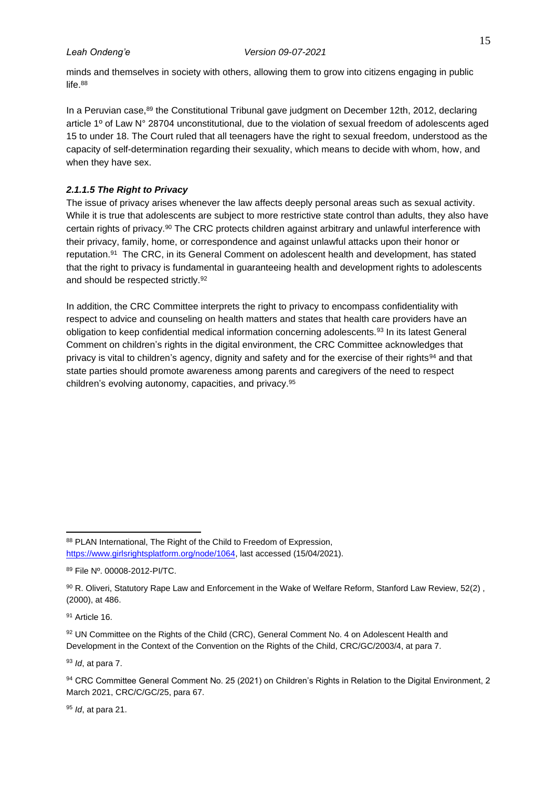minds and themselves in society with others, allowing them to grow into citizens engaging in public life. 88

In a Peruvian case,<sup>89</sup> the Constitutional Tribunal gave judgment on December 12th, 2012, declaring article 1º of Law N° 28704 unconstitutional, due to the violation of sexual freedom of adolescents aged 15 to under 18. The Court ruled that all teenagers have the right to sexual freedom, understood as the capacity of self-determination regarding their sexuality, which means to decide with whom, how, and when they have sex.

## <span id="page-23-0"></span>*2.1.1.5 The Right to Privacy*

The issue of privacy arises whenever the law affects deeply personal areas such as sexual activity. While it is true that adolescents are subject to more restrictive state control than adults, they also have certain rights of privacy.<sup>90</sup> The CRC protects children against arbitrary and unlawful interference with their privacy, family, home, or correspondence and against unlawful attacks upon their honor or reputation.<sup>91</sup> The CRC, in its General Comment on adolescent health and development, has stated that the right to privacy is fundamental in guaranteeing health and development rights to adolescents and should be respected strictly.<sup>92</sup>

In addition, the CRC Committee interprets the right to privacy to encompass confidentiality with respect to advice and counseling on health matters and states that health care providers have an obligation to keep confidential medical information concerning adolescents.<sup>93</sup> In its latest General Comment on children's rights in the digital environment, the CRC Committee acknowledges that privacy is vital to children's agency, dignity and safety and for the exercise of their rights<sup>94</sup> and that state parties should promote awareness among parents and caregivers of the need to respect children's evolving autonomy, capacities, and privacy.<sup>95</sup>

<sup>91</sup> Article 16.

92 UN Committee on the Rights of the Child (CRC), General Comment No. 4 on Adolescent Health and Development in the Context of the Convention on the Rights of the Child, CRC/GC/2003/4, at para 7.

<sup>93</sup> *Id*, at para 7.

<sup>95</sup> *Id*, at para 21.

<sup>88</sup> PLAN International, The Right of the Child to Freedom of Expression, [https://www.girlsrightsplatform.org/node/1064,](https://www.girlsrightsplatform.org/node/1064) last accessed (15/04/2021).

<sup>89</sup> File Nº. 00008-2012-PI/TC.

<sup>90</sup> R. Oliveri, Statutory Rape Law and Enforcement in the Wake of Welfare Reform, Stanford Law Review, 52(2), (2000), at 486.

<sup>94</sup> CRC Committee General Comment No. 25 (2021) on Children's Rights in Relation to the Digital Environment, 2 March 2021, CRC/C/GC/25, para 67.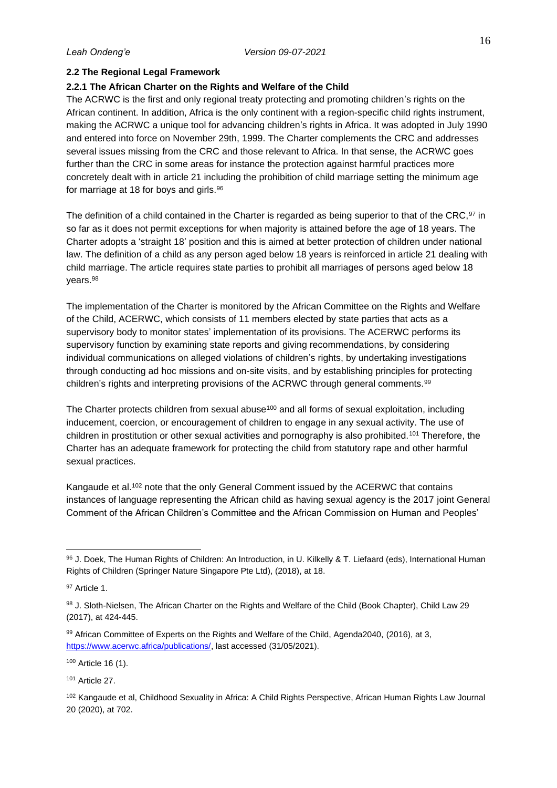# <span id="page-24-0"></span>**2.2 The Regional Legal Framework**

# <span id="page-24-1"></span>**2.2.1 The African Charter on the Rights and Welfare of the Child**

The ACRWC is the first and only regional treaty protecting and promoting children's rights on the African continent. In addition, Africa is the only continent with a region-specific child rights instrument, making the ACRWC a unique tool for advancing children's rights in Africa. It was adopted in July 1990 and entered into force on November 29th, 1999. The Charter complements the CRC and addresses several issues missing from the CRC and those relevant to Africa. In that sense, the ACRWC goes further than the CRC in some areas for instance the protection against harmful practices more concretely dealt with in article 21 including the prohibition of child marriage setting the minimum age for marriage at 18 for boys and girls.<sup>96</sup>

The definition of a child contained in the Charter is regarded as being superior to that of the CRC,<sup>97</sup> in so far as it does not permit exceptions for when majority is attained before the age of 18 years. The Charter adopts a 'straight 18' position and this is aimed at better protection of children under national law. The definition of a child as any person aged below 18 years is reinforced in article 21 dealing with child marriage. The article requires state parties to prohibit all marriages of persons aged below 18 years.<sup>98</sup>

The implementation of the Charter is monitored by the African Committee on the Rights and Welfare of the Child, ACERWC, which consists of 11 members elected by state parties that acts as a supervisory body to monitor states' implementation of its provisions. The ACERWC performs its supervisory function by examining state reports and giving recommendations, by considering individual communications on alleged violations of children's rights, by undertaking investigations through conducting ad hoc missions and on-site visits, and by establishing principles for protecting children's rights and interpreting provisions of the ACRWC through general comments.<sup>99</sup>

The Charter protects children from sexual abuse<sup>100</sup> and all forms of sexual exploitation, including inducement, coercion, or encouragement of children to engage in any sexual activity. The use of children in prostitution or other sexual activities and pornography is also prohibited.<sup>101</sup> Therefore, the Charter has an adequate framework for protecting the child from statutory rape and other harmful sexual practices.

Kangaude et al.<sup>102</sup> note that the only General Comment issued by the ACERWC that contains instances of language representing the African child as having sexual agency is the 2017 joint General Comment of the African Children's Committee and the African Commission on Human and Peoples'

<sup>96</sup> J. Doek, The Human Rights of Children: An Introduction, in U. Kilkelly & T. Liefaard (eds), International Human Rights of Children (Springer Nature Singapore Pte Ltd), (2018), at 18.

<sup>97</sup> Article 1.

<sup>98</sup> J. Sloth-Nielsen, The African Charter on the Rights and Welfare of the Child (Book Chapter), Child Law 29 (2017), at 424-445.

<sup>99</sup> African Committee of Experts on the Rights and Welfare of the Child, Agenda2040, (2016), at 3, [https://www.acerwc.africa/publications/,](https://www.acerwc.africa/publications/) last accessed (31/05/2021).

<sup>100</sup> Article 16 (1).

<sup>101</sup> Article 27.

<sup>102</sup> Kangaude et al, Childhood Sexuality in Africa: A Child Rights Perspective, African Human Rights Law Journal 20 (2020), at 702.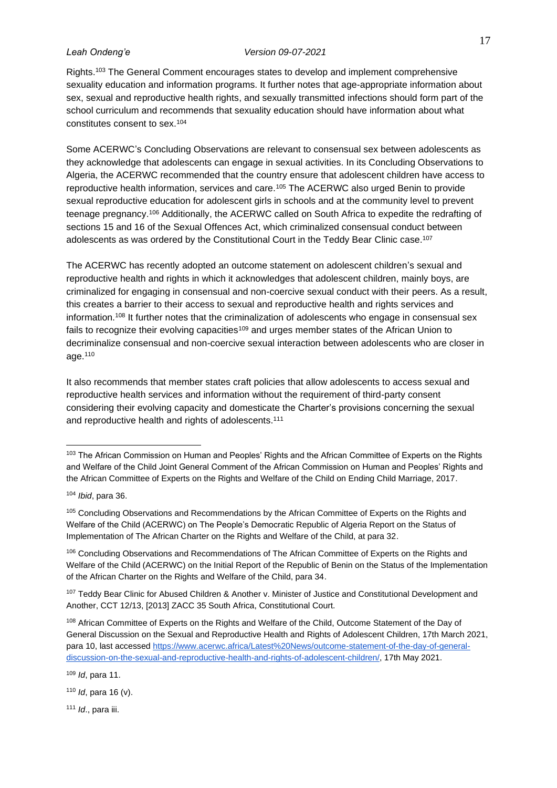Rights.<sup>103</sup> The General Comment encourages states to develop and implement comprehensive sexuality education and information programs. It further notes that age-appropriate information about sex, sexual and reproductive health rights, and sexually transmitted infections should form part of the school curriculum and recommends that sexuality education should have information about what constitutes consent to sex.<sup>104</sup>

Some ACERWC's Concluding Observations are relevant to consensual sex between adolescents as they acknowledge that adolescents can engage in sexual activities. In its Concluding Observations to Algeria, the ACERWC recommended that the country ensure that adolescent children have access to reproductive health information, services and care.<sup>105</sup> The ACERWC also urged Benin to provide sexual reproductive education for adolescent girls in schools and at the community level to prevent teenage pregnancy.<sup>106</sup> Additionally, the ACERWC called on South Africa to expedite the redrafting of sections 15 and 16 of the Sexual Offences Act, which criminalized consensual conduct between adolescents as was ordered by the Constitutional Court in the Teddy Bear Clinic case.<sup>107</sup>

The ACERWC has recently adopted an outcome statement on adolescent children's sexual and reproductive health and rights in which it acknowledges that adolescent children, mainly boys, are criminalized for engaging in consensual and non-coercive sexual conduct with their peers. As a result, this creates a barrier to their access to sexual and reproductive health and rights services and information.<sup>108</sup> It further notes that the criminalization of adolescents who engage in consensual sex fails to recognize their evolving capacities<sup>109</sup> and urges member states of the African Union to decriminalize consensual and non-coercive sexual interaction between adolescents who are closer in age.<sup>110</sup>

It also recommends that member states craft policies that allow adolescents to access sexual and reproductive health services and information without the requirement of third-party consent considering their evolving capacity and domesticate the Charter's provisions concerning the sexual and reproductive health and rights of adolescents.<sup>111</sup>

106 Concluding Observations and Recommendations of The African Committee of Experts on the Rights and Welfare of the Child (ACERWC) on the Initial Report of the Republic of Benin on the Status of the Implementation of the African Charter on the Rights and Welfare of the Child, para 34.

107 Teddy Bear Clinic for Abused Children & Another v. Minister of Justice and Constitutional Development and Another, CCT 12/13, [2013] ZACC 35 South Africa, Constitutional Court.

<sup>109</sup> *Id*, para 11.

<sup>111</sup> *Id*., para iii.

<sup>&</sup>lt;sup>103</sup> The African Commission on Human and Peoples' Rights and the African Committee of Experts on the Rights and Welfare of the Child Joint General Comment of the African Commission on Human and Peoples' Rights and the African Committee of Experts on the Rights and Welfare of the Child on Ending Child Marriage, 2017.

<sup>104</sup> *Ibid*, para 36.

<sup>&</sup>lt;sup>105</sup> Concluding Observations and Recommendations by the African Committee of Experts on the Rights and Welfare of the Child (ACERWC) on The People's Democratic Republic of Algeria Report on the Status of Implementation of The African Charter on the Rights and Welfare of the Child, at para 32.

<sup>&</sup>lt;sup>108</sup> African Committee of Experts on the Rights and Welfare of the Child, Outcome Statement of the Day of General Discussion on the Sexual and Reproductive Health and Rights of Adolescent Children, 17th March 2021, para 10, last accessed [https://www.acerwc.africa/Latest%20News/outcome-statement-of-the-day-of-general](https://www.acerwc.africa/Latest%20News/outcome-statement-of-the-day-of-general-discussion-on-the-sexual-and-reproductive-health-and-rights-of-adolescent-children/)[discussion-on-the-sexual-and-reproductive-health-and-rights-of-adolescent-children/,](https://www.acerwc.africa/Latest%20News/outcome-statement-of-the-day-of-general-discussion-on-the-sexual-and-reproductive-health-and-rights-of-adolescent-children/) 17th May 2021.

<sup>110</sup> *Id*, para 16 (v).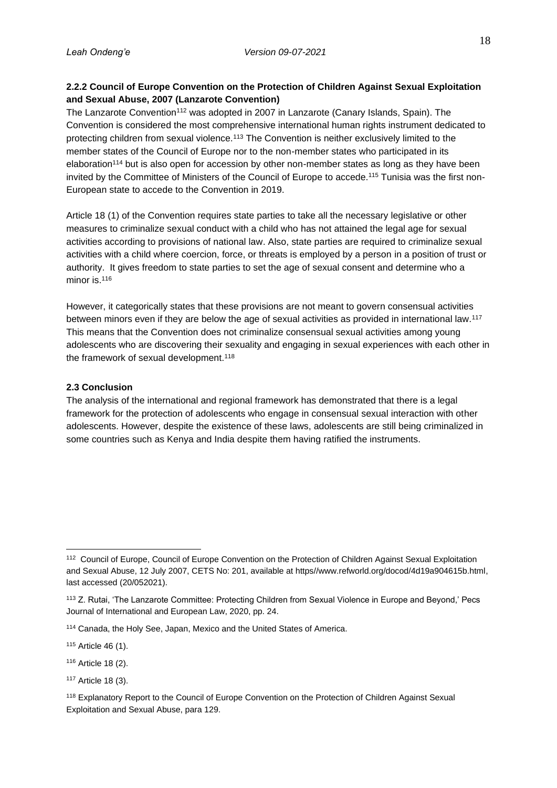# <span id="page-26-0"></span>**2.2.2 Council of Europe Convention on the Protection of Children Against Sexual Exploitation and Sexual Abuse, 2007 (Lanzarote Convention)**

The Lanzarote Convention<sup>112</sup> was adopted in 2007 in Lanzarote (Canary Islands, Spain). The Convention is considered the most comprehensive international human rights instrument dedicated to protecting children from sexual violence.<sup>113</sup> The Convention is neither exclusively limited to the member states of the Council of Europe nor to the non-member states who participated in its elaboration<sup>114</sup> but is also open for accession by other non-member states as long as they have been invited by the Committee of Ministers of the Council of Europe to accede.<sup>115</sup> Tunisia was the first non-European state to accede to the Convention in 2019.

Article 18 (1) of the Convention requires state parties to take all the necessary legislative or other measures to criminalize sexual conduct with a child who has not attained the legal age for sexual activities according to provisions of national law. Also, state parties are required to criminalize sexual activities with a child where coercion, force, or threats is employed by a person in a position of trust or authority. It gives freedom to state parties to set the age of sexual consent and determine who a minor is.<sup>116</sup>

However, it categorically states that these provisions are not meant to govern consensual activities between minors even if they are below the age of sexual activities as provided in international law.<sup>117</sup> This means that the Convention does not criminalize consensual sexual activities among young adolescents who are discovering their sexuality and engaging in sexual experiences with each other in the framework of sexual development.<sup>118</sup>

# <span id="page-26-1"></span>**2.3 Conclusion**

The analysis of the international and regional framework has demonstrated that there is a legal framework for the protection of adolescents who engage in consensual sexual interaction with other adolescents. However, despite the existence of these laws, adolescents are still being criminalized in some countries such as Kenya and India despite them having ratified the instruments.

<sup>112</sup> Council of Europe, Council of Europe Convention on the Protection of Children Against Sexual Exploitation and Sexual Abuse, 12 July 2007, CETS No: 201, available at https//www.refworld.org/docod/4d19a904615b.html, last accessed (20/052021).

<sup>113</sup> Z. Rutai, 'The Lanzarote Committee: Protecting Children from Sexual Violence in Europe and Beyond,' Pecs Journal of International and European Law, 2020, pp. 24.

<sup>114</sup> Canada, the Holy See, Japan, Mexico and the United States of America.

<sup>115</sup> Article 46 (1).

<sup>116</sup> Article 18 (2).

<sup>117</sup> Article 18 (3).

<sup>118</sup> Explanatory Report to the Council of Europe Convention on the Protection of Children Against Sexual Exploitation and Sexual Abuse, para 129.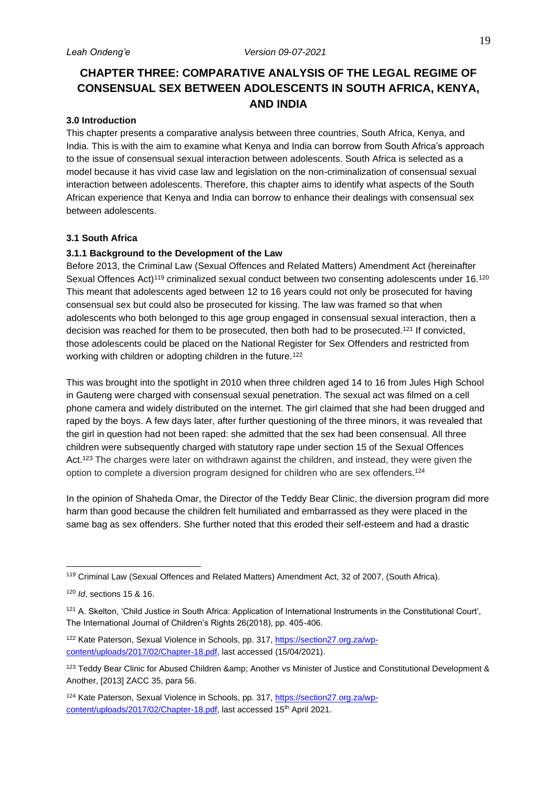# <span id="page-27-0"></span>**CHAPTER THREE: COMPARATIVE ANALYSIS OF THE LEGAL REGIME OF CONSENSUAL SEX BETWEEN ADOLESCENTS IN SOUTH AFRICA, KENYA, AND INDIA**

# <span id="page-27-1"></span>**3.0 Introduction**

This chapter presents a comparative analysis between three countries, South Africa, Kenya, and India. This is with the aim to examine what Kenya and India can borrow from South Africa's approach to the issue of consensual sexual interaction between adolescents. South Africa is selected as a model because it has vivid case law and legislation on the non-criminalization of consensual sexual interaction between adolescents. Therefore, this chapter aims to identify what aspects of the South African experience that Kenya and India can borrow to enhance their dealings with consensual sex between adolescents.

### <span id="page-27-2"></span>**3.1 South Africa**

# <span id="page-27-3"></span>**3.1.1 Background to the Development of the Law**

Before 2013, the Criminal Law (Sexual Offences and Related Matters) Amendment Act (hereinafter Sexual Offences Act)<sup>119</sup> criminalized sexual conduct between two consenting adolescents under 16.<sup>120</sup> This meant that adolescents aged between 12 to 16 years could not only be prosecuted for having consensual sex but could also be prosecuted for kissing. The law was framed so that when adolescents who both belonged to this age group engaged in consensual sexual interaction, then a decision was reached for them to be prosecuted, then both had to be prosecuted.<sup>121</sup> If convicted, those adolescents could be placed on the National Register for Sex Offenders and restricted from working with children or adopting children in the future.<sup>122</sup>

This was brought into the spotlight in 2010 when three children aged 14 to 16 from Jules High School in Gauteng were charged with consensual sexual penetration. The sexual act was filmed on a cell phone camera and widely distributed on the internet. The girl claimed that she had been drugged and raped by the boys. A few days later, after further questioning of the three minors, it was revealed that the girl in question had not been raped: she admitted that the sex had been consensual. All three children were subsequently charged with statutory rape under section 15 of the Sexual Offences Act.<sup>123</sup> The charges were later on withdrawn against the children, and instead, they were given the option to complete a diversion program designed for children who are sex offenders.<sup>124</sup>

In the opinion of Shaheda Omar, the Director of the Teddy Bear Clinic, the diversion program did more harm than good because the children felt humiliated and embarrassed as they were placed in the same bag as sex offenders. She further noted that this eroded their self-esteem and had a drastic

<sup>119</sup> Criminal Law (Sexual Offences and Related Matters) Amendment Act, 32 of 2007, (South Africa).

<sup>120</sup> *Id*, sections 15 & 16.

<sup>121</sup> A. Skelton, 'Child Justice in South Africa: Application of International Instruments in the Constitutional Court', The International Journal of Children's Rights 26(2018), pp. 405-406.

<sup>122</sup> Kate Paterson, Sexual Violence in Schools, pp. 317, [https://section27.org.za/wp](https://section27.org.za/wp-content/uploads/2017/02/Chapter-18.pdf)[content/uploads/2017/02/Chapter-18.pdf,](https://section27.org.za/wp-content/uploads/2017/02/Chapter-18.pdf) last accessed (15/04/2021).

<sup>123</sup> Teddy Bear Clinic for Abused Children & amp; Another vs Minister of Justice and Constitutional Development & Another, [2013] ZACC 35, para 56.

<sup>124</sup> Kate Paterson, Sexual Violence in Schools, pp. 317, [https://section27.org.za/wp](https://section27.org.za/wp-content/uploads/2017/02/Chapter-18.pdf)[content/uploads/2017/02/Chapter-18.pdf,](https://section27.org.za/wp-content/uploads/2017/02/Chapter-18.pdf) last accessed 15<sup>th</sup> April 2021.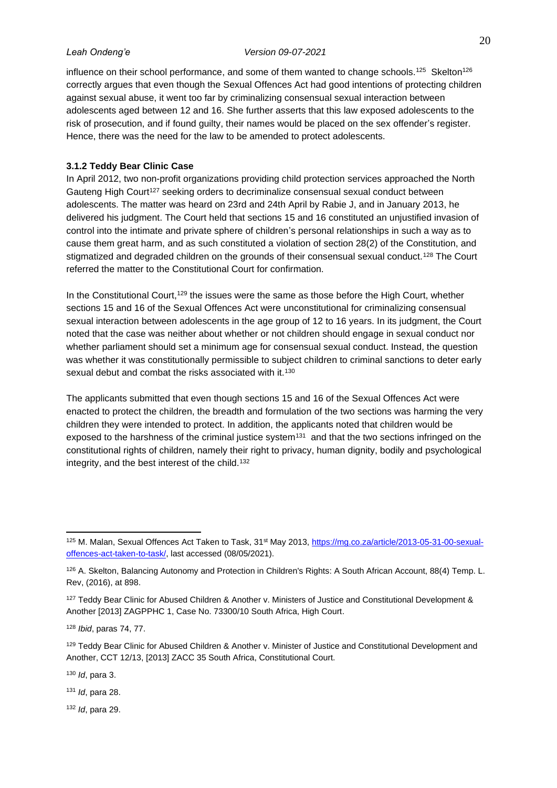influence on their school performance, and some of them wanted to change schools.<sup>125</sup> Skelton<sup>126</sup> correctly argues that even though the Sexual Offences Act had good intentions of protecting children against sexual abuse, it went too far by criminalizing consensual sexual interaction between adolescents aged between 12 and 16. She further asserts that this law exposed adolescents to the risk of prosecution, and if found guilty, their names would be placed on the sex offender's register. Hence, there was the need for the law to be amended to protect adolescents.

# <span id="page-28-0"></span>**3.1.2 Teddy Bear Clinic Case**

In April 2012, two non-profit organizations providing child protection services approached the North Gauteng High Court<sup>127</sup> seeking orders to decriminalize consensual sexual conduct between adolescents. The matter was heard on 23rd and 24th April by Rabie J, and in January 2013, he delivered his judgment. The Court held that sections 15 and 16 constituted an unjustified invasion of control into the intimate and private sphere of children's personal relationships in such a way as to cause them great harm, and as such constituted a violation of section 28(2) of the Constitution, and stigmatized and degraded children on the grounds of their consensual sexual conduct.<sup>128</sup> The Court referred the matter to the Constitutional Court for confirmation.

In the Constitutional Court,<sup>129</sup> the issues were the same as those before the High Court, whether sections 15 and 16 of the Sexual Offences Act were unconstitutional for criminalizing consensual sexual interaction between adolescents in the age group of 12 to 16 years. In its judgment, the Court noted that the case was neither about whether or not children should engage in sexual conduct nor whether parliament should set a minimum age for consensual sexual conduct. Instead, the question was whether it was constitutionally permissible to subject children to criminal sanctions to deter early sexual debut and combat the risks associated with it.<sup>130</sup>

The applicants submitted that even though sections 15 and 16 of the Sexual Offences Act were enacted to protect the children, the breadth and formulation of the two sections was harming the very children they were intended to protect. In addition, the applicants noted that children would be exposed to the harshness of the criminal justice system $131$  and that the two sections infringed on the constitutional rights of children, namely their right to privacy, human dignity, bodily and psychological integrity, and the best interest of the child.<sup>132</sup>

<sup>130</sup> *Id*, para 3.

<sup>131</sup> *Id*, para 28.

<sup>132</sup> *Id*, para 29.

<sup>125</sup> M. Malan, Sexual Offences Act Taken to Task, 31<sup>st</sup> May 2013, [https://mg.co.za/article/2013-05-31-00-sexual](https://mg.co.za/article/2013-05-31-00-sexual-offences-act-taken-to-task/)[offences-act-taken-to-task/,](https://mg.co.za/article/2013-05-31-00-sexual-offences-act-taken-to-task/) last accessed (08/05/2021).

<sup>126</sup> A. Skelton, Balancing Autonomy and Protection in Children's Rights: A South African Account, 88(4) Temp. L. Rev, (2016), at 898.

<sup>127</sup> Teddy Bear Clinic for Abused Children & Another v. Ministers of Justice and Constitutional Development & Another [2013] ZAGPPHC 1, Case No. 73300/10 South Africa, High Court.

<sup>128</sup> *Ibid*, paras 74, 77.

<sup>129</sup> Teddy Bear Clinic for Abused Children & Another v. Minister of Justice and Constitutional Development and Another, CCT 12/13, [2013] ZACC 35 South Africa, Constitutional Court.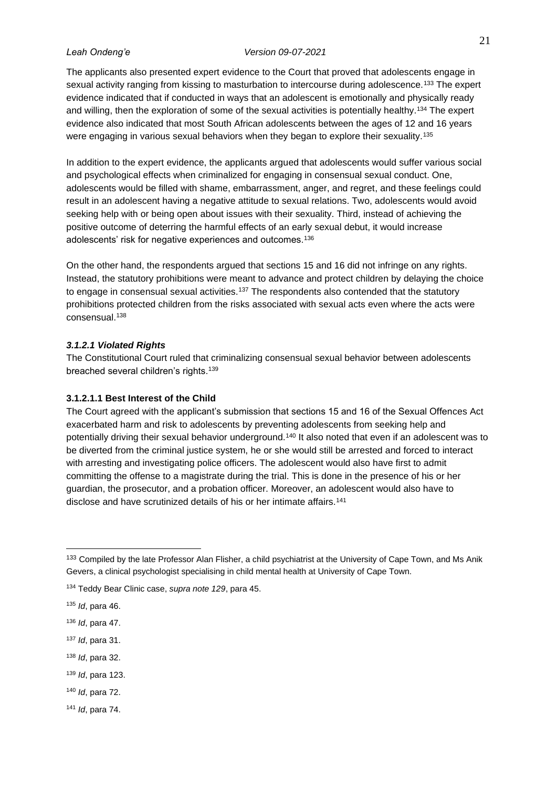The applicants also presented expert evidence to the Court that proved that adolescents engage in sexual activity ranging from kissing to masturbation to intercourse during adolescence.<sup>133</sup> The expert evidence indicated that if conducted in ways that an adolescent is emotionally and physically ready and willing, then the exploration of some of the sexual activities is potentially healthy.<sup>134</sup> The expert evidence also indicated that most South African adolescents between the ages of 12 and 16 years were engaging in various sexual behaviors when they began to explore their sexuality.<sup>135</sup>

In addition to the expert evidence, the applicants argued that adolescents would suffer various social and psychological effects when criminalized for engaging in consensual sexual conduct. One, adolescents would be filled with shame, embarrassment, anger, and regret, and these feelings could result in an adolescent having a negative attitude to sexual relations. Two, adolescents would avoid seeking help with or being open about issues with their sexuality. Third, instead of achieving the positive outcome of deterring the harmful effects of an early sexual debut, it would increase adolescents' risk for negative experiences and outcomes.<sup>136</sup>

On the other hand, the respondents argued that sections 15 and 16 did not infringe on any rights. Instead, the statutory prohibitions were meant to advance and protect children by delaying the choice to engage in consensual sexual activities.<sup>137</sup> The respondents also contended that the statutory prohibitions protected children from the risks associated with sexual acts even where the acts were consensual.<sup>138</sup>

### <span id="page-29-0"></span>*3.1.2.1 Violated Rights*

The Constitutional Court ruled that criminalizing consensual sexual behavior between adolescents breached several children's rights.<sup>139</sup>

# <span id="page-29-1"></span>**3.1.2.1.1 Best Interest of the Child**

The Court agreed with the applicant's submission that sections 15 and 16 of the Sexual Offences Act exacerbated harm and risk to adolescents by preventing adolescents from seeking help and potentially driving their sexual behavior underground.<sup>140</sup> It also noted that even if an adolescent was to be diverted from the criminal justice system, he or she would still be arrested and forced to interact with arresting and investigating police officers. The adolescent would also have first to admit committing the offense to a magistrate during the trial. This is done in the presence of his or her guardian, the prosecutor, and a probation officer. Moreover, an adolescent would also have to disclose and have scrutinized details of his or her intimate affairs.<sup>141</sup>

- <sup>137</sup> *Id*, para 31.
- <sup>138</sup> *Id*, para 32.
- <sup>139</sup> *Id*, para 123.
- <sup>140</sup> *Id*, para 72.
- <sup>141</sup> *Id*, para 74.

<sup>&</sup>lt;sup>133</sup> Compiled by the late Professor Alan Flisher, a child psychiatrist at the University of Cape Town, and Ms Anik Gevers, a clinical psychologist specialising in child mental health at University of Cape Town.

<sup>134</sup> Teddy Bear Clinic case, *supra note 129*, para 45.

<sup>135</sup> *Id*, para 46.

<sup>136</sup> *Id*, para 47.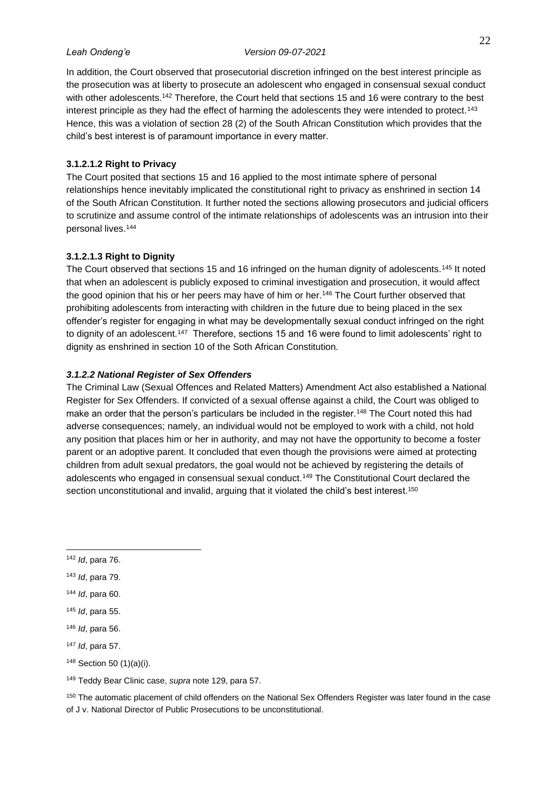In addition, the Court observed that prosecutorial discretion infringed on the best interest principle as the prosecution was at liberty to prosecute an adolescent who engaged in consensual sexual conduct with other adolescents.<sup>142</sup> Therefore, the Court held that sections 15 and 16 were contrary to the best interest principle as they had the effect of harming the adolescents they were intended to protect.<sup>143</sup> Hence, this was a violation of section 28 (2) of the South African Constitution which provides that the child's best interest is of paramount importance in every matter.

# <span id="page-30-0"></span>**3.1.2.1.2 Right to Privacy**

The Court posited that sections 15 and 16 applied to the most intimate sphere of personal relationships hence inevitably implicated the constitutional right to privacy as enshrined in section 14 of the South African Constitution. It further noted the sections allowing prosecutors and judicial officers to scrutinize and assume control of the intimate relationships of adolescents was an intrusion into their personal lives.<sup>144</sup>

### <span id="page-30-1"></span>**3.1.2.1.3 Right to Dignity**

The Court observed that sections 15 and 16 infringed on the human dignity of adolescents.<sup>145</sup> It noted that when an adolescent is publicly exposed to criminal investigation and prosecution, it would affect the good opinion that his or her peers may have of him or her.<sup>146</sup> The Court further observed that prohibiting adolescents from interacting with children in the future due to being placed in the sex offender's register for engaging in what may be developmentally sexual conduct infringed on the right to dignity of an adolescent.<sup>147</sup> Therefore, sections 15 and 16 were found to limit adolescents' right to dignity as enshrined in section 10 of the Soth African Constitution.

## <span id="page-30-2"></span>*3.1.2.2 National Register of Sex Offenders*

The Criminal Law (Sexual Offences and Related Matters) Amendment Act also established a National Register for Sex Offenders. If convicted of a sexual offense against a child, the Court was obliged to make an order that the person's particulars be included in the register.<sup>148</sup> The Court noted this had adverse consequences; namely, an individual would not be employed to work with a child, not hold any position that places him or her in authority, and may not have the opportunity to become a foster parent or an adoptive parent. It concluded that even though the provisions were aimed at protecting children from adult sexual predators, the goal would not be achieved by registering the details of adolescents who engaged in consensual sexual conduct.<sup>149</sup> The Constitutional Court declared the section unconstitutional and invalid, arguing that it violated the child's best interest.<sup>150</sup>

- <sup>147</sup> *Id*, para 57.
- <sup>148</sup> Section 50 (1)(a)(i).

<sup>150</sup> The automatic placement of child offenders on the National Sex Offenders Register was later found in the case of J v. National Director of Public Prosecutions to be unconstitutional.

<sup>142</sup> *Id*, para 76.

<sup>143</sup> *Id*, para 79.

<sup>144</sup> *Id*, para 60.

<sup>145</sup> *Id*, para 55.

<sup>146</sup> *Id*, para 56.

<sup>149</sup> Teddy Bear Clinic case, *supra* note 129, para 57.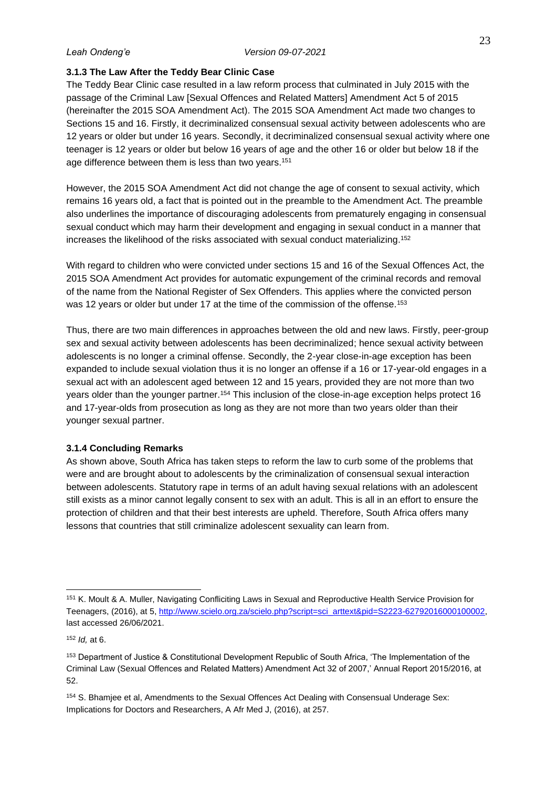## <span id="page-31-0"></span>**3.1.3 The Law After the Teddy Bear Clinic Case**

The Teddy Bear Clinic case resulted in a law reform process that culminated in July 2015 with the passage of the Criminal Law [Sexual Offences and Related Matters] Amendment Act 5 of 2015 (hereinafter the 2015 SOA Amendment Act). The 2015 SOA Amendment Act made two changes to Sections 15 and 16. Firstly, it decriminalized consensual sexual activity between adolescents who are 12 years or older but under 16 years. Secondly, it decriminalized consensual sexual activity where one teenager is 12 years or older but below 16 years of age and the other 16 or older but below 18 if the age difference between them is less than two years.<sup>151</sup>

However, the 2015 SOA Amendment Act did not change the age of consent to sexual activity, which remains 16 years old, a fact that is pointed out in the preamble to the Amendment Act. The preamble also underlines the importance of discouraging adolescents from prematurely engaging in consensual sexual conduct which may harm their development and engaging in sexual conduct in a manner that increases the likelihood of the risks associated with sexual conduct materializing.<sup>152</sup>

With regard to children who were convicted under sections 15 and 16 of the Sexual Offences Act, the 2015 SOA Amendment Act provides for automatic expungement of the criminal records and removal of the name from the National Register of Sex Offenders. This applies where the convicted person was 12 years or older but under 17 at the time of the commission of the offense.<sup>153</sup>

Thus, there are two main differences in approaches between the old and new laws. Firstly, peer-group sex and sexual activity between adolescents has been decriminalized; hence sexual activity between adolescents is no longer a criminal offense. Secondly, the 2-year close-in-age exception has been expanded to include sexual violation thus it is no longer an offense if a 16 or 17-year-old engages in a sexual act with an adolescent aged between 12 and 15 years, provided they are not more than two years older than the younger partner.<sup>154</sup> This inclusion of the close-in-age exception helps protect 16 and 17-year-olds from prosecution as long as they are not more than two years older than their younger sexual partner.

### <span id="page-31-1"></span>**3.1.4 Concluding Remarks**

As shown above, South Africa has taken steps to reform the law to curb some of the problems that were and are brought about to adolescents by the criminalization of consensual sexual interaction between adolescents. Statutory rape in terms of an adult having sexual relations with an adolescent still exists as a minor cannot legally consent to sex with an adult. This is all in an effort to ensure the protection of children and that their best interests are upheld. Therefore, South Africa offers many lessons that countries that still criminalize adolescent sexuality can learn from.

<sup>151</sup> K. Moult & A. Muller, Navigating Confliciting Laws in Sexual and Reproductive Health Service Provision for Teenagers, (2016), at 5, [http://www.scielo.org.za/scielo.php?script=sci\\_arttext&pid=S2223-62792016000100002,](http://www.scielo.org.za/scielo.php?script=sci_arttext&pid=S2223-62792016000100002) last accessed 26/06/2021.

<sup>152</sup> *Id,* at 6.

<sup>153</sup> Department of Justice & Constitutional Development Republic of South Africa, 'The Implementation of the Criminal Law (Sexual Offences and Related Matters) Amendment Act 32 of 2007,' Annual Report 2015/2016, at 52.

<sup>154</sup> S. Bhamjee et al, Amendments to the Sexual Offences Act Dealing with Consensual Underage Sex: Implications for Doctors and Researchers, A Afr Med J, (2016), at 257.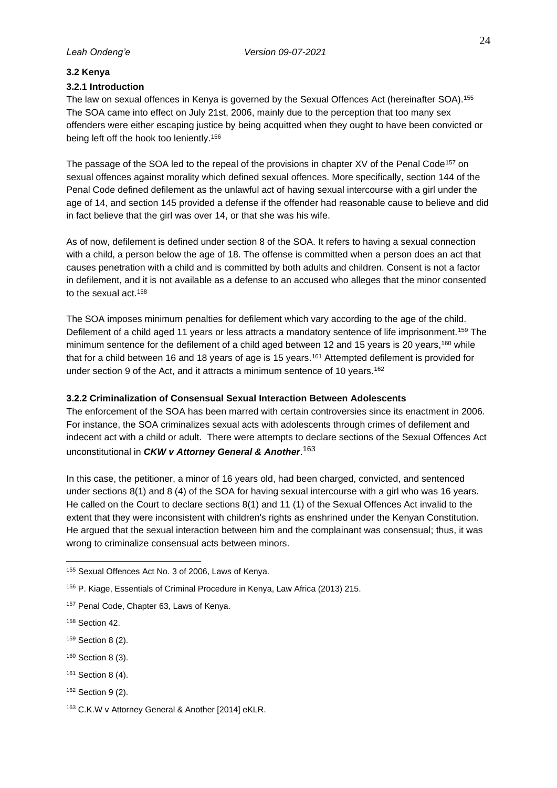### <span id="page-32-0"></span>**3.2 Kenya**

### <span id="page-32-1"></span>**3.2.1 Introduction**

The law on sexual offences in Kenya is governed by the Sexual Offences Act (hereinafter SOA).<sup>155</sup> The SOA came into effect on July 21st, 2006, mainly due to the perception that too many sex offenders were either escaping justice by being acquitted when they ought to have been convicted or being left off the hook too leniently.<sup>156</sup>

The passage of the SOA led to the repeal of the provisions in chapter XV of the Penal Code<sup>157</sup> on sexual offences against morality which defined sexual offences. More specifically, section 144 of the Penal Code defined defilement as the unlawful act of having sexual intercourse with a girl under the age of 14, and section 145 provided a defense if the offender had reasonable cause to believe and did in fact believe that the girl was over 14, or that she was his wife.

As of now, defilement is defined under section 8 of the SOA. It refers to having a sexual connection with a child, a person below the age of 18. The offense is committed when a person does an act that causes penetration with a child and is committed by both adults and children. Consent is not a factor in defilement, and it is not available as a defense to an accused who alleges that the minor consented to the sexual act.<sup>158</sup>

The SOA imposes minimum penalties for defilement which vary according to the age of the child. Defilement of a child aged 11 years or less attracts a mandatory sentence of life imprisonment.<sup>159</sup> The minimum sentence for the defilement of a child aged between 12 and 15 years is 20 years,<sup>160</sup> while that for a child between 16 and 18 years of age is 15 years.<sup>161</sup> Attempted defilement is provided for under section 9 of the Act, and it attracts a minimum sentence of 10 years.<sup>162</sup>

### <span id="page-32-2"></span>**3.2.2 Criminalization of Consensual Sexual Interaction Between Adolescents**

The enforcement of the SOA has been marred with certain controversies since its enactment in 2006. For instance, the SOA criminalizes sexual acts with adolescents through crimes of defilement and indecent act with a child or adult. There were attempts to declare sections of the Sexual Offences Act unconstitutional in *CKW v Attorney General & Another*. 163

In this case, the petitioner, a minor of 16 years old, had been charged, convicted, and sentenced under sections 8(1) and 8 (4) of the SOA for having sexual intercourse with a girl who was 16 years. He called on the Court to declare sections 8(1) and 11 (1) of the Sexual Offences Act invalid to the extent that they were inconsistent with children's rights as enshrined under the Kenyan Constitution. He argued that the sexual interaction between him and the complainant was consensual; thus, it was wrong to criminalize consensual acts between minors.

- <sup>159</sup> Section 8 (2).
- <sup>160</sup> Section 8 (3).
- <sup>161</sup> Section 8 (4).
- 162 Section 9 (2).

<sup>155</sup> Sexual Offences Act No. 3 of 2006, Laws of Kenya.

<sup>156</sup> P. Kiage, Essentials of Criminal Procedure in Kenya, Law Africa (2013) 215.

<sup>157</sup> Penal Code, Chapter 63, Laws of Kenya.

<sup>158</sup> Section 42.

<sup>163</sup> C.K.W v Attorney General & Another [2014] eKLR.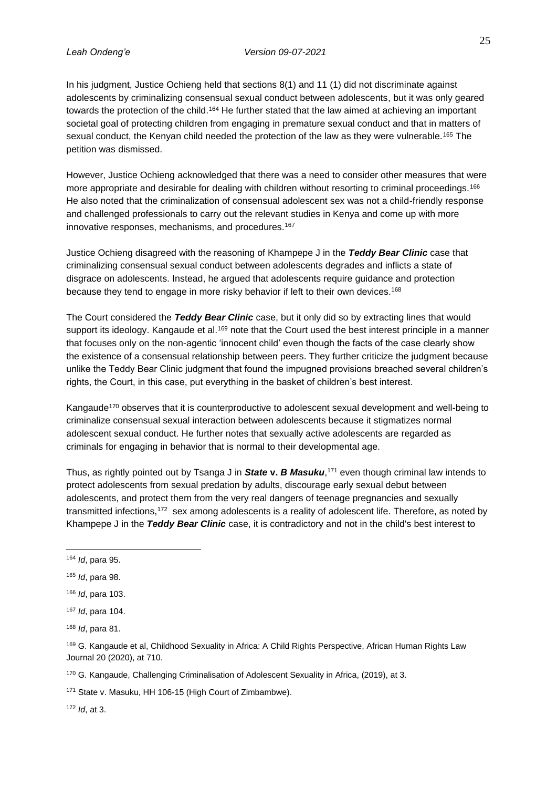In his judgment, Justice Ochieng held that sections 8(1) and 11 (1) did not discriminate against adolescents by criminalizing consensual sexual conduct between adolescents, but it was only geared towards the protection of the child.<sup>164</sup> He further stated that the law aimed at achieving an important societal goal of protecting children from engaging in premature sexual conduct and that in matters of sexual conduct, the Kenyan child needed the protection of the law as they were vulnerable.<sup>165</sup> The petition was dismissed.

However, Justice Ochieng acknowledged that there was a need to consider other measures that were more appropriate and desirable for dealing with children without resorting to criminal proceedings.<sup>166</sup> He also noted that the criminalization of consensual adolescent sex was not a child-friendly response and challenged professionals to carry out the relevant studies in Kenya and come up with more innovative responses, mechanisms, and procedures.<sup>167</sup>

Justice Ochieng disagreed with the reasoning of Khampepe J in the *Teddy Bear Clinic* case that criminalizing consensual sexual conduct between adolescents degrades and inflicts a state of disgrace on adolescents. Instead, he argued that adolescents require guidance and protection because they tend to engage in more risky behavior if left to their own devices.<sup>168</sup>

The Court considered the *Teddy Bear Clinic* case, but it only did so by extracting lines that would support its ideology. Kangaude et al.<sup>169</sup> note that the Court used the best interest principle in a manner that focuses only on the non-agentic 'innocent child' even though the facts of the case clearly show the existence of a consensual relationship between peers. They further criticize the judgment because unlike the Teddy Bear Clinic judgment that found the impugned provisions breached several children's rights, the Court, in this case, put everything in the basket of children's best interest.

Kangaude<sup>170</sup> observes that it is counterproductive to adolescent sexual development and well-being to criminalize consensual sexual interaction between adolescents because it stigmatizes normal adolescent sexual conduct. He further notes that sexually active adolescents are regarded as criminals for engaging in behavior that is normal to their developmental age.

Thus, as rightly pointed out by Tsanga J in *State* **v.** *B Masuku*, <sup>171</sup> even though criminal law intends to protect adolescents from sexual predation by adults, discourage early sexual debut between adolescents, and protect them from the very real dangers of teenage pregnancies and sexually transmitted infections,<sup>172</sup> sex among adolescents is a reality of adolescent life. Therefore, as noted by Khampepe J in the *Teddy Bear Clinic* case, it is contradictory and not in the child's best interest to

<sup>170</sup> G. Kangaude, Challenging Criminalisation of Adolescent Sexuality in Africa, (2019), at 3.

<sup>171</sup> State v. Masuku, HH 106-15 (High Court of Zimbambwe).

<sup>172</sup> *Id*, at 3.

<sup>164</sup> *Id*, para 95.

<sup>165</sup> *Id*, para 98.

<sup>166</sup> *Id*, para 103.

<sup>167</sup> *Id*, para 104.

<sup>168</sup> *Id*, para 81.

<sup>&</sup>lt;sup>169</sup> G. Kangaude et al, Childhood Sexuality in Africa: A Child Rights Perspective, African Human Rights Law Journal 20 (2020), at 710.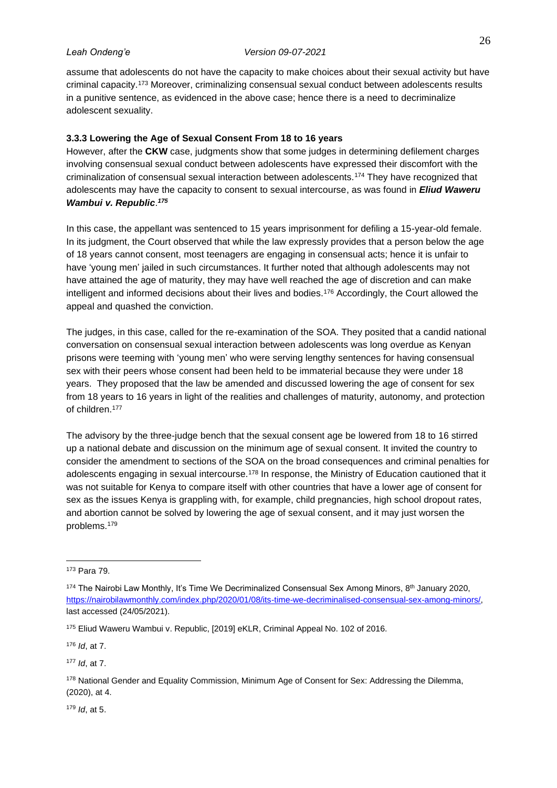assume that adolescents do not have the capacity to make choices about their sexual activity but have criminal capacity.<sup>173</sup> Moreover, criminalizing consensual sexual conduct between adolescents results in a punitive sentence, as evidenced in the above case; hence there is a need to decriminalize adolescent sexuality.

# <span id="page-34-0"></span>**3.3.3 Lowering the Age of Sexual Consent From 18 to 16 years**

However, after the **CKW** case, judgments show that some judges in determining defilement charges involving consensual sexual conduct between adolescents have expressed their discomfort with the criminalization of consensual sexual interaction between adolescents.<sup>174</sup> They have recognized that adolescents may have the capacity to consent to sexual intercourse, as was found in *Eliud Waweru Wambui v. Republic*. *175*

In this case, the appellant was sentenced to 15 years imprisonment for defiling a 15-year-old female. In its judgment, the Court observed that while the law expressly provides that a person below the age of 18 years cannot consent, most teenagers are engaging in consensual acts; hence it is unfair to have 'young men' jailed in such circumstances. It further noted that although adolescents may not have attained the age of maturity, they may have well reached the age of discretion and can make intelligent and informed decisions about their lives and bodies.<sup>176</sup> Accordingly, the Court allowed the appeal and quashed the conviction.

The judges, in this case, called for the re-examination of the SOA. They posited that a candid national conversation on consensual sexual interaction between adolescents was long overdue as Kenyan prisons were teeming with 'young men' who were serving lengthy sentences for having consensual sex with their peers whose consent had been held to be immaterial because they were under 18 years. They proposed that the law be amended and discussed lowering the age of consent for sex from 18 years to 16 years in light of the realities and challenges of maturity, autonomy, and protection of children.<sup>177</sup>

The advisory by the three-judge bench that the sexual consent age be lowered from 18 to 16 stirred up a national debate and discussion on the minimum age of sexual consent. It invited the country to consider the amendment to sections of the SOA on the broad consequences and criminal penalties for adolescents engaging in sexual intercourse.<sup>178</sup> In response, the Ministry of Education cautioned that it was not suitable for Kenya to compare itself with other countries that have a lower age of consent for sex as the issues Kenya is grappling with, for example, child pregnancies, high school dropout rates, and abortion cannot be solved by lowering the age of sexual consent, and it may just worsen the problems.<sup>179</sup>

<sup>176</sup> *Id*, at 7.

<sup>177</sup> *Id*, at 7.

<sup>179</sup> *Id*, at 5.

<sup>173</sup> Para 79.

 $174$  The Nairobi Law Monthly, It's Time We Decriminalized Consensual Sex Among Minors,  $8<sup>th</sup>$  January 2020, [https://nairobilawmonthly.com/index.php/2020/01/08/its-time-we-decriminalised-consensual-sex-among-minors/,](https://nairobilawmonthly.com/index.php/2020/01/08/its-time-we-decriminalised-consensual-sex-among-minors/) last accessed (24/05/2021).

<sup>175</sup> Eliud Waweru Wambui v. Republic, [2019] eKLR, Criminal Appeal No. 102 of 2016.

<sup>178</sup> National Gender and Equality Commission, Minimum Age of Consent for Sex: Addressing the Dilemma, (2020), at 4.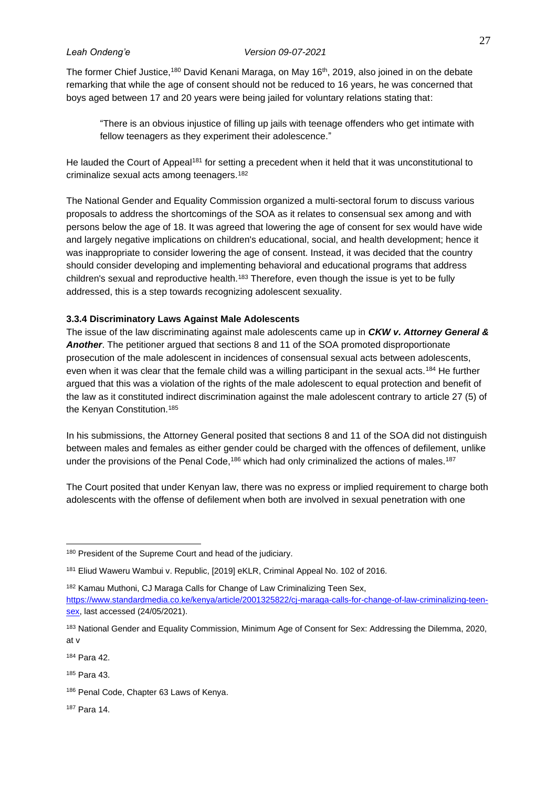The former Chief Justice,<sup>180</sup> David Kenani Maraga, on May 16<sup>th</sup>, 2019, also joined in on the debate remarking that while the age of consent should not be reduced to 16 years, he was concerned that boys aged between 17 and 20 years were being jailed for voluntary relations stating that:

"There is an obvious injustice of filling up jails with teenage offenders who get intimate with fellow teenagers as they experiment their adolescence."

He lauded the Court of Appeal<sup>181</sup> for setting a precedent when it held that it was unconstitutional to criminalize sexual acts among teenagers.<sup>182</sup>

The National Gender and Equality Commission organized a multi-sectoral forum to discuss various proposals to address the shortcomings of the SOA as it relates to consensual sex among and with persons below the age of 18. It was agreed that lowering the age of consent for sex would have wide and largely negative implications on children's educational, social, and health development; hence it was inappropriate to consider lowering the age of consent. Instead, it was decided that the country should consider developing and implementing behavioral and educational programs that address children's sexual and reproductive health.<sup>183</sup> Therefore, even though the issue is yet to be fully addressed, this is a step towards recognizing adolescent sexuality.

### <span id="page-35-0"></span>**3.3.4 Discriminatory Laws Against Male Adolescents**

The issue of the law discriminating against male adolescents came up in *CKW v. Attorney General & Another*. The petitioner argued that sections 8 and 11 of the SOA promoted disproportionate prosecution of the male adolescent in incidences of consensual sexual acts between adolescents, even when it was clear that the female child was a willing participant in the sexual acts.<sup>184</sup> He further argued that this was a violation of the rights of the male adolescent to equal protection and benefit of the law as it constituted indirect discrimination against the male adolescent contrary to article 27 (5) of the Kenyan Constitution.<sup>185</sup>

In his submissions, the Attorney General posited that sections 8 and 11 of the SOA did not distinguish between males and females as either gender could be charged with the offences of defilement, unlike under the provisions of the Penal Code,<sup>186</sup> which had only criminalized the actions of males.<sup>187</sup>

The Court posited that under Kenyan law, there was no express or implied requirement to charge both adolescents with the offense of defilement when both are involved in sexual penetration with one

<sup>184</sup> Para 42.

<sup>185</sup> Para 43.

<sup>187</sup> Para 14.

<sup>&</sup>lt;sup>180</sup> President of the Supreme Court and head of the judiciary.

<sup>181</sup> Eliud Waweru Wambui v. Republic, [2019] eKLR, Criminal Appeal No. 102 of 2016.

<sup>182</sup> Kamau Muthoni, CJ Maraga Calls for Change of Law Criminalizing Teen Sex, [https://www.standardmedia.co.ke/kenya/article/2001325822/cj-maraga-calls-for-change-of-law-criminalizing-teen](https://www.standardmedia.co.ke/kenya/article/2001325822/cj-maraga-calls-for-change-of-law-criminalizing-teen-sex)[sex,](https://www.standardmedia.co.ke/kenya/article/2001325822/cj-maraga-calls-for-change-of-law-criminalizing-teen-sex) last accessed (24/05/2021).

<sup>183</sup> National Gender and Equality Commission, Minimum Age of Consent for Sex: Addressing the Dilemma, 2020, at v

<sup>186</sup> Penal Code, Chapter 63 Laws of Kenya.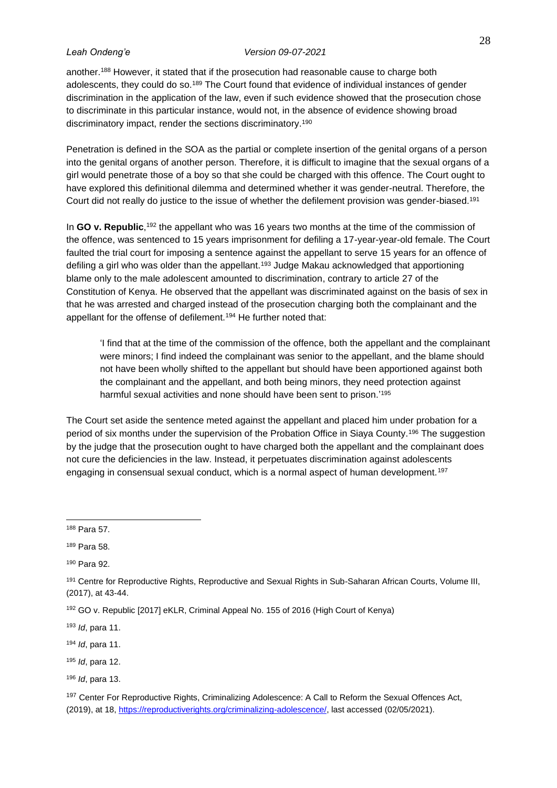another.<sup>188</sup> However, it stated that if the prosecution had reasonable cause to charge both adolescents, they could do so.<sup>189</sup> The Court found that evidence of individual instances of gender discrimination in the application of the law, even if such evidence showed that the prosecution chose to discriminate in this particular instance, would not, in the absence of evidence showing broad discriminatory impact, render the sections discriminatory.<sup>190</sup>

Penetration is defined in the SOA as the partial or complete insertion of the genital organs of a person into the genital organs of another person. Therefore, it is difficult to imagine that the sexual organs of a girl would penetrate those of a boy so that she could be charged with this offence. The Court ought to have explored this definitional dilemma and determined whether it was gender-neutral. Therefore, the Court did not really do justice to the issue of whether the defilement provision was gender-biased.<sup>191</sup>

In GO v. Republic,<sup>192</sup> the appellant who was 16 years two months at the time of the commission of the offence, was sentenced to 15 years imprisonment for defiling a 17-year-year-old female. The Court faulted the trial court for imposing a sentence against the appellant to serve 15 years for an offence of defiling a girl who was older than the appellant.<sup>193</sup> Judge Makau acknowledged that apportioning blame only to the male adolescent amounted to discrimination, contrary to article 27 of the Constitution of Kenya. He observed that the appellant was discriminated against on the basis of sex in that he was arrested and charged instead of the prosecution charging both the complainant and the appellant for the offense of defilement.<sup>194</sup> He further noted that:

'I find that at the time of the commission of the offence, both the appellant and the complainant were minors; I find indeed the complainant was senior to the appellant, and the blame should not have been wholly shifted to the appellant but should have been apportioned against both the complainant and the appellant, and both being minors, they need protection against harmful sexual activities and none should have been sent to prison.<sup>'195</sup>

The Court set aside the sentence meted against the appellant and placed him under probation for a period of six months under the supervision of the Probation Office in Siaya County.<sup>196</sup> The suggestion by the judge that the prosecution ought to have charged both the appellant and the complainant does not cure the deficiencies in the law. Instead, it perpetuates discrimination against adolescents engaging in consensual sexual conduct, which is a normal aspect of human development.<sup>197</sup>

<sup>195</sup> *Id*, para 12.

<sup>188</sup> Para 57.

<sup>189</sup> Para 58.

<sup>190</sup> Para 92.

<sup>191</sup> Centre for Reproductive Rights, Reproductive and Sexual Rights in Sub-Saharan African Courts, Volume III, (2017), at 43-44.

<sup>192</sup> GO v. Republic [2017] eKLR, Criminal Appeal No. 155 of 2016 (High Court of Kenya)

<sup>193</sup> *Id*, para 11.

<sup>194</sup> *Id*, para 11.

<sup>196</sup> *Id*, para 13.

<sup>197</sup> Center For Reproductive Rights, Criminalizing Adolescence: A Call to Reform the Sexual Offences Act, (2019), at 18, [https://reproductiverights.org/criminalizing-adolescence/,](https://reproductiverights.org/criminalizing-adolescence/) last accessed (02/05/2021).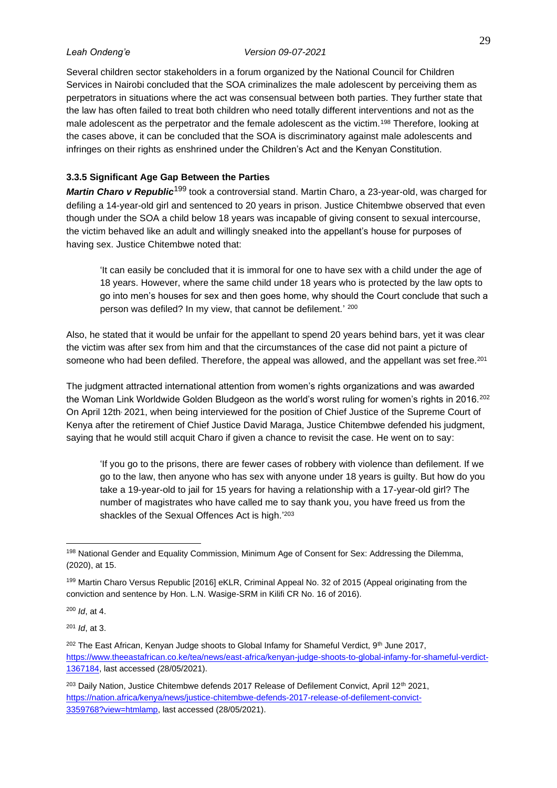Several children sector stakeholders in a forum organized by the National Council for Children Services in Nairobi concluded that the SOA criminalizes the male adolescent by perceiving them as perpetrators in situations where the act was consensual between both parties. They further state that the law has often failed to treat both children who need totally different interventions and not as the male adolescent as the perpetrator and the female adolescent as the victim.<sup>198</sup> Therefore, looking at the cases above, it can be concluded that the SOA is discriminatory against male adolescents and infringes on their rights as enshrined under the Children's Act and the Kenyan Constitution.

# <span id="page-37-0"></span>**3.3.5 Significant Age Gap Between the Parties**

*Martin Charo v Republic*<sup>199</sup> took a controversial stand. Martin Charo, a 23-year-old, was charged for defiling a 14-year-old girl and sentenced to 20 years in prison. Justice Chitembwe observed that even though under the SOA a child below 18 years was incapable of giving consent to sexual intercourse, the victim behaved like an adult and willingly sneaked into the appellant's house for purposes of having sex. Justice Chitembwe noted that:

'It can easily be concluded that it is immoral for one to have sex with a child under the age of 18 years. However, where the same child under 18 years who is protected by the law opts to go into men's houses for sex and then goes home, why should the Court conclude that such a person was defiled? In my view, that cannot be defilement.' 200

Also, he stated that it would be unfair for the appellant to spend 20 years behind bars, yet it was clear the victim was after sex from him and that the circumstances of the case did not paint a picture of someone who had been defiled. Therefore, the appeal was allowed, and the appellant was set free.<sup>201</sup>

The judgment attracted international attention from women's rights organizations and was awarded the Woman Link Worldwide Golden Bludgeon as the world's worst ruling for women's rights in 2016.<sup>202</sup> On April 12th, 2021, when being interviewed for the position of Chief Justice of the Supreme Court of Kenya after the retirement of Chief Justice David Maraga, Justice Chitembwe defended his judgment, saying that he would still acquit Charo if given a chance to revisit the case. He went on to say:

'If you go to the prisons, there are fewer cases of robbery with violence than defilement. If we go to the law, then anyone who has sex with anyone under 18 years is guilty. But how do you take a 19-year-old to jail for 15 years for having a relationship with a 17-year-old girl? The number of magistrates who have called me to say thank you, you have freed us from the shackles of the Sexual Offences Act is high.<sup>'203</sup>

<sup>200</sup> *Id*, at 4.

<sup>201</sup> *Id*, at 3.

<sup>198</sup> National Gender and Equality Commission, Minimum Age of Consent for Sex: Addressing the Dilemma, (2020), at 15.

<sup>199</sup> Martin Charo Versus Republic [2016] eKLR, Criminal Appeal No. 32 of 2015 (Appeal originating from the conviction and sentence by Hon. L.N. Wasige-SRM in Kilifi CR No. 16 of 2016).

<sup>&</sup>lt;sup>202</sup> The East African, Kenyan Judge shoots to Global Infamy for Shameful Verdict, 9<sup>th</sup> June 2017, [https://www.theeastafrican.co.ke/tea/news/east-africa/kenyan-judge-shoots-to-global-infamy-for-shameful-verdict-](https://www.theeastafrican.co.ke/tea/news/east-africa/kenyan-judge-shoots-to-global-infamy-for-shameful-verdict-1367184)[1367184,](https://www.theeastafrican.co.ke/tea/news/east-africa/kenyan-judge-shoots-to-global-infamy-for-shameful-verdict-1367184) last accessed (28/05/2021).

<sup>&</sup>lt;sup>203</sup> Daily Nation, Justice Chitembwe defends 2017 Release of Defilement Convict, April 12<sup>th</sup> 2021, [https://nation.africa/kenya/news/justice-chitembwe-defends-2017-release-of-defilement-convict-](https://nation.africa/kenya/news/justice-chitembwe-defends-2017-release-of-defilement-convict-3359768?view=htmlamp)[3359768?view=htmlamp,](https://nation.africa/kenya/news/justice-chitembwe-defends-2017-release-of-defilement-convict-3359768?view=htmlamp) last accessed (28/05/2021).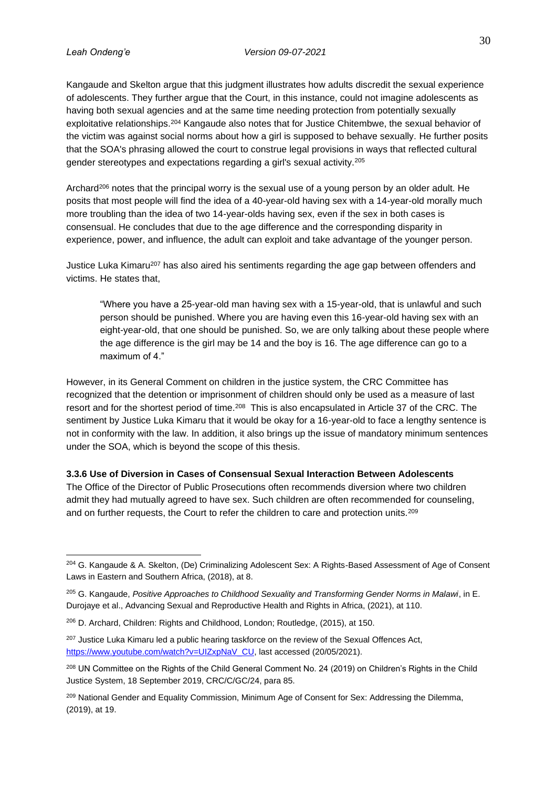Kangaude and Skelton argue that this judgment illustrates how adults discredit the sexual experience of adolescents. They further argue that the Court, in this instance, could not imagine adolescents as having both sexual agencies and at the same time needing protection from potentially sexually exploitative relationships.<sup>204</sup> Kangaude also notes that for Justice Chitembwe, the sexual behavior of the victim was against social norms about how a girl is supposed to behave sexually. He further posits that the SOA's phrasing allowed the court to construe legal provisions in ways that reflected cultural gender stereotypes and expectations regarding a girl's sexual activity.<sup>205</sup>

Archard<sup>206</sup> notes that the principal worry is the sexual use of a young person by an older adult. He posits that most people will find the idea of a 40-year-old having sex with a 14-year-old morally much more troubling than the idea of two 14-year-olds having sex, even if the sex in both cases is consensual. He concludes that due to the age difference and the corresponding disparity in experience, power, and influence, the adult can exploit and take advantage of the younger person.

Justice Luka Kimaru<sup>207</sup> has also aired his sentiments regarding the age gap between offenders and victims. He states that,

"Where you have a 25-year-old man having sex with a 15-year-old, that is unlawful and such person should be punished. Where you are having even this 16-year-old having sex with an eight-year-old, that one should be punished. So, we are only talking about these people where the age difference is the girl may be 14 and the boy is 16. The age difference can go to a maximum of 4."

However, in its General Comment on children in the justice system, the CRC Committee has recognized that the detention or imprisonment of children should only be used as a measure of last resort and for the shortest period of time.<sup>208</sup> This is also encapsulated in Article 37 of the CRC. The sentiment by Justice Luka Kimaru that it would be okay for a 16-year-old to face a lengthy sentence is not in conformity with the law. In addition, it also brings up the issue of mandatory minimum sentences under the SOA, which is beyond the scope of this thesis.

<span id="page-38-0"></span>**3.3.6 Use of Diversion in Cases of Consensual Sexual Interaction Between Adolescents** The Office of the Director of Public Prosecutions often recommends diversion where two children admit they had mutually agreed to have sex. Such children are often recommended for counseling, and on further requests, the Court to refer the children to care and protection units.<sup>209</sup>

<sup>&</sup>lt;sup>204</sup> G. Kangaude & A. Skelton, (De) Criminalizing Adolescent Sex: A Rights-Based Assessment of Age of Consent Laws in Eastern and Southern Africa, (2018), at 8.

<sup>205</sup> G. Kangaude, *Positive Approaches to Childhood Sexuality and Transforming Gender Norms in Malawi*, in E. Durojaye et al., Advancing Sexual and Reproductive Health and Rights in Africa, (2021), at 110.

<sup>206</sup> D. Archard, Children: Rights and Childhood, London; Routledge, (2015), at 150.

<sup>&</sup>lt;sup>207</sup> Justice Luka Kimaru led a public hearing taskforce on the review of the Sexual Offences Act, [https://www.youtube.com/watch?v=UIZxpNaV\\_CU,](https://www.youtube.com/watch?v=UIZxpNaV_CU) last accessed (20/05/2021).

<sup>&</sup>lt;sup>208</sup> UN Committee on the Rights of the Child General Comment No. 24 (2019) on Children's Rights in the Child Justice System, 18 September 2019, CRC/C/GC/24, para 85.

<sup>&</sup>lt;sup>209</sup> National Gender and Equality Commission, Minimum Age of Consent for Sex: Addressing the Dilemma, (2019), at 19.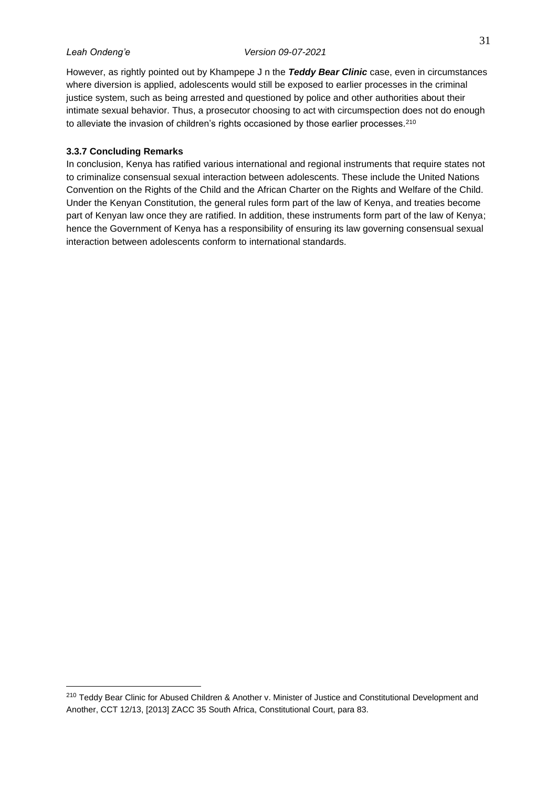However, as rightly pointed out by Khampepe J n the *Teddy Bear Clinic* case, even in circumstances where diversion is applied, adolescents would still be exposed to earlier processes in the criminal justice system, such as being arrested and questioned by police and other authorities about their intimate sexual behavior. Thus, a prosecutor choosing to act with circumspection does not do enough to alleviate the invasion of children's rights occasioned by those earlier processes.<sup>210</sup>

## <span id="page-39-0"></span>**3.3.7 Concluding Remarks**

In conclusion, Kenya has ratified various international and regional instruments that require states not to criminalize consensual sexual interaction between adolescents. These include the United Nations Convention on the Rights of the Child and the African Charter on the Rights and Welfare of the Child. Under the Kenyan Constitution, the general rules form part of the law of Kenya, and treaties become part of Kenyan law once they are ratified. In addition, these instruments form part of the law of Kenya; hence the Government of Kenya has a responsibility of ensuring its law governing consensual sexual interaction between adolescents conform to international standards.

<sup>210</sup> Teddy Bear Clinic for Abused Children & Another v. Minister of Justice and Constitutional Development and Another, CCT 12/13, [2013] ZACC 35 South Africa, Constitutional Court, para 83.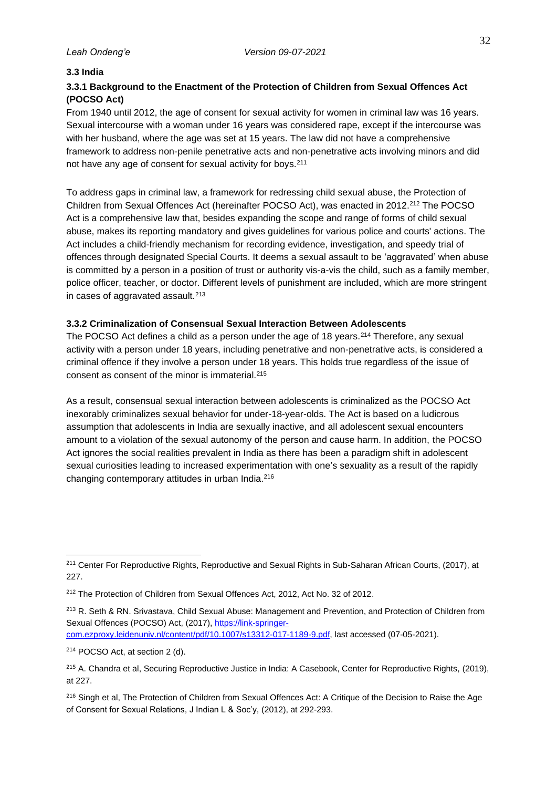### <span id="page-40-0"></span>**3.3 India**

# <span id="page-40-1"></span>**3.3.1 Background to the Enactment of the Protection of Children from Sexual Offences Act (POCSO Act)**

From 1940 until 2012, the age of consent for sexual activity for women in criminal law was 16 years. Sexual intercourse with a woman under 16 years was considered rape, except if the intercourse was with her husband, where the age was set at 15 years. The law did not have a comprehensive framework to address non-penile penetrative acts and non-penetrative acts involving minors and did not have any age of consent for sexual activity for boys.<sup>211</sup>

To address gaps in criminal law, a framework for redressing child sexual abuse, the Protection of Children from Sexual Offences Act (hereinafter POCSO Act), was enacted in 2012.<sup>212</sup> The POCSO Act is a comprehensive law that, besides expanding the scope and range of forms of child sexual abuse, makes its reporting mandatory and gives guidelines for various police and courts' actions. The Act includes a child-friendly mechanism for recording evidence, investigation, and speedy trial of offences through designated Special Courts. It deems a sexual assault to be 'aggravated' when abuse is committed by a person in a position of trust or authority vis-a-vis the child, such as a family member, police officer, teacher, or doctor. Different levels of punishment are included, which are more stringent in cases of aggravated assault.<sup>213</sup>

# <span id="page-40-2"></span>**3.3.2 Criminalization of Consensual Sexual Interaction Between Adolescents**

The POCSO Act defines a child as a person under the age of 18 years.<sup>214</sup> Therefore, any sexual activity with a person under 18 years, including penetrative and non-penetrative acts, is considered a criminal offence if they involve a person under 18 years. This holds true regardless of the issue of consent as consent of the minor is immaterial.<sup>215</sup>

As a result, consensual sexual interaction between adolescents is criminalized as the POCSO Act inexorably criminalizes sexual behavior for under-18-year-olds. The Act is based on a ludicrous assumption that adolescents in India are sexually inactive, and all adolescent sexual encounters amount to a violation of the sexual autonomy of the person and cause harm. In addition, the POCSO Act ignores the social realities prevalent in India as there has been a paradigm shift in adolescent sexual curiosities leading to increased experimentation with one's sexuality as a result of the rapidly changing contemporary attitudes in urban India.<sup>216</sup>

<sup>211</sup> Center For Reproductive Rights, Reproductive and Sexual Rights in Sub-Saharan African Courts, (2017), at 227.

<sup>212</sup> The Protection of Children from Sexual Offences Act, 2012, Act No. 32 of 2012.

<sup>213</sup> R. Seth & RN. Srivastava, Child Sexual Abuse: Management and Prevention, and Protection of Children from Sexual Offences (POCSO) Act, (2017)[, https://link-springer](https://link-springer-com.ezproxy.leidenuniv.nl/content/pdf/10.1007/s13312-017-1189-9.pdf)[com.ezproxy.leidenuniv.nl/content/pdf/10.1007/s13312-017-1189-9.pdf,](https://link-springer-com.ezproxy.leidenuniv.nl/content/pdf/10.1007/s13312-017-1189-9.pdf) last accessed (07-05-2021).

<sup>214</sup> POCSO Act, at section 2 (d).

<sup>215</sup> A. Chandra et al, Securing Reproductive Justice in India: A Casebook, Center for Reproductive Rights, (2019), at 227.

<sup>&</sup>lt;sup>216</sup> Singh et al, The Protection of Children from Sexual Offences Act: A Critique of the Decision to Raise the Age of Consent for Sexual Relations, J Indian L & Soc'y, (2012), at 292-293.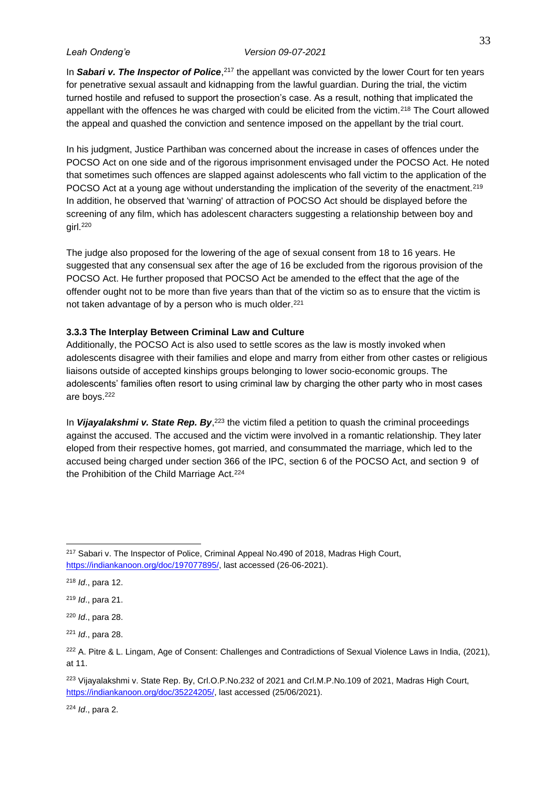In Sabari v. The Inspector of Police,<sup>217</sup> the appellant was convicted by the lower Court for ten years for penetrative sexual assault and kidnapping from the lawful guardian. During the trial, the victim turned hostile and refused to support the prosection's case. As a result, nothing that implicated the appellant with the offences he was charged with could be elicited from the victim.<sup>218</sup> The Court allowed the appeal and quashed the conviction and sentence imposed on the appellant by the trial court.

In his judgment, Justice Parthiban was concerned about the increase in cases of offences under the POCSO Act on one side and of the rigorous imprisonment envisaged under the POCSO Act. He noted that sometimes such offences are slapped against adolescents who fall victim to the application of the POCSO Act at a young age without understanding the implication of the severity of the enactment.<sup>219</sup> In addition, he observed that 'warning' of attraction of POCSO Act should be displayed before the screening of any film, which has adolescent characters suggesting a relationship between boy and girl.<sup>220</sup>

The judge also proposed for the lowering of the age of sexual consent from 18 to 16 years. He suggested that any consensual sex after the age of 16 be excluded from the rigorous provision of the POCSO Act. He further proposed that POCSO Act be amended to the effect that the age of the offender ought not to be more than five years than that of the victim so as to ensure that the victim is not taken advantage of by a person who is much older.<sup>221</sup>

## <span id="page-41-0"></span>**3.3.3 The Interplay Between Criminal Law and Culture**

Additionally, the POCSO Act is also used to settle scores as the law is mostly invoked when adolescents disagree with their families and elope and marry from either from other castes or religious liaisons outside of accepted kinships groups belonging to lower socio-economic groups. The adolescents' families often resort to using criminal law by charging the other party who in most cases are boys.<sup>222</sup>

In *Vijayalakshmi v. State Rep. By*,<sup>223</sup> the victim filed a petition to quash the criminal proceedings against the accused. The accused and the victim were involved in a romantic relationship. They later eloped from their respective homes, got married, and consummated the marriage, which led to the accused being charged under section 366 of the IPC, section 6 of the POCSO Act, and section 9 of the Prohibition of the Child Marriage Act.<sup>224</sup>

<sup>224</sup> *Id*., para 2.

<sup>&</sup>lt;sup>217</sup> Sabari v. The Inspector of Police, Criminal Appeal No.490 of 2018, Madras High Court, [https://indiankanoon.org/doc/197077895/,](https://indiankanoon.org/doc/197077895/) last accessed (26-06-2021).

<sup>218</sup> *Id*., para 12.

<sup>219</sup> *Id*., para 21.

<sup>220</sup> *Id*., para 28.

<sup>221</sup> *Id*., para 28.

<sup>&</sup>lt;sup>222</sup> A. Pitre & L. Lingam, Age of Consent: Challenges and Contradictions of Sexual Violence Laws in India, (2021), at 11.

<sup>&</sup>lt;sup>223</sup> Vijayalakshmi v. State Rep. By, Crl.O.P.No.232 of 2021 and Crl.M.P.No.109 of 2021, Madras High Court, [https://indiankanoon.org/doc/35224205/,](https://indiankanoon.org/doc/35224205/) last accessed (25/06/2021).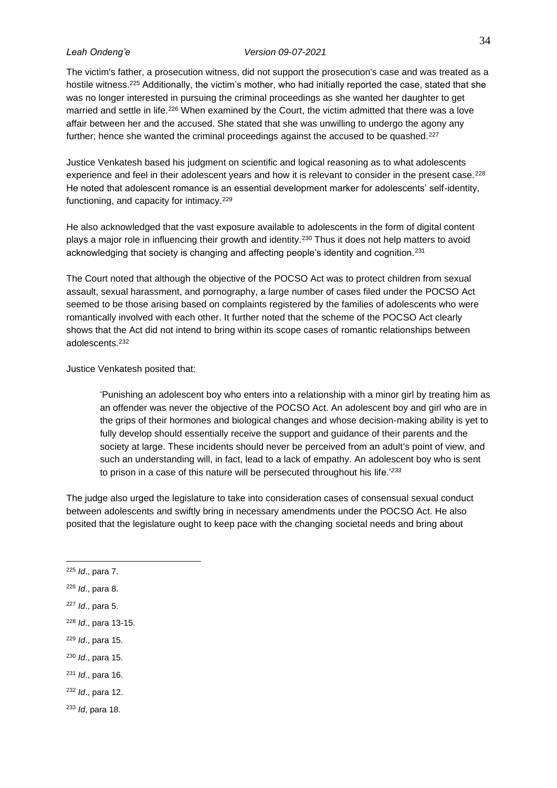The victim's father, a prosecution witness, did not support the prosecution's case and was treated as a hostile witness.<sup>225</sup> Additionally, the victim's mother, who had initially reported the case, stated that she was no longer interested in pursuing the criminal proceedings as she wanted her daughter to get married and settle in life.<sup>226</sup> When examined by the Court, the victim admitted that there was a love affair between her and the accused. She stated that she was unwilling to undergo the agony any further; hence she wanted the criminal proceedings against the accused to be quashed.<sup>227</sup>

Justice Venkatesh based his judgment on scientific and logical reasoning as to what adolescents experience and feel in their adolescent years and how it is relevant to consider in the present case.<sup>228</sup> He noted that adolescent romance is an essential development marker for adolescents' self-identity, functioning, and capacity for intimacy.<sup>229</sup>

He also acknowledged that the vast exposure available to adolescents in the form of digital content plays a major role in influencing their growth and identity.<sup>230</sup> Thus it does not help matters to avoid acknowledging that society is changing and affecting people's identity and cognition.<sup>231</sup>

The Court noted that although the objective of the POCSO Act was to protect children from sexual assault, sexual harassment, and pornography, a large number of cases filed under the POCSO Act seemed to be those arising based on complaints registered by the families of adolescents who were romantically involved with each other. It further noted that the scheme of the POCSO Act clearly shows that the Act did not intend to bring within its scope cases of romantic relationships between adolescents.<sup>232</sup>

Justice Venkatesh posited that:

'Punishing an adolescent boy who enters into a relationship with a minor girl by treating him as an offender was never the objective of the POCSO Act. An adolescent boy and girl who are in the grips of their hormones and biological changes and whose decision-making ability is yet to fully develop should essentially receive the support and guidance of their parents and the society at large. These incidents should never be perceived from an adult's point of view, and such an understanding will, in fact, lead to a lack of empathy. An adolescent boy who is sent to prison in a case of this nature will be persecuted throughout his life.'*<sup>233</sup>*

The judge also urged the legislature to take into consideration cases of consensual sexual conduct between adolescents and swiftly bring in necessary amendments under the POCSO Act. He also posited that the legislature ought to keep pace with the changing societal needs and bring about

- <sup>229</sup> *Id*., para 15.
- <sup>230</sup> *Id*., para 15.
- <sup>231</sup> *Id*., para 16.

<sup>232</sup> *Id*., para 12.

<sup>233</sup> *Id*, para 18.

<sup>225</sup> *Id*., para 7.

<sup>226</sup> *Id*., para 8.

<sup>227</sup> *Id*., para 5.

<sup>228</sup> *Id*., para 13-15.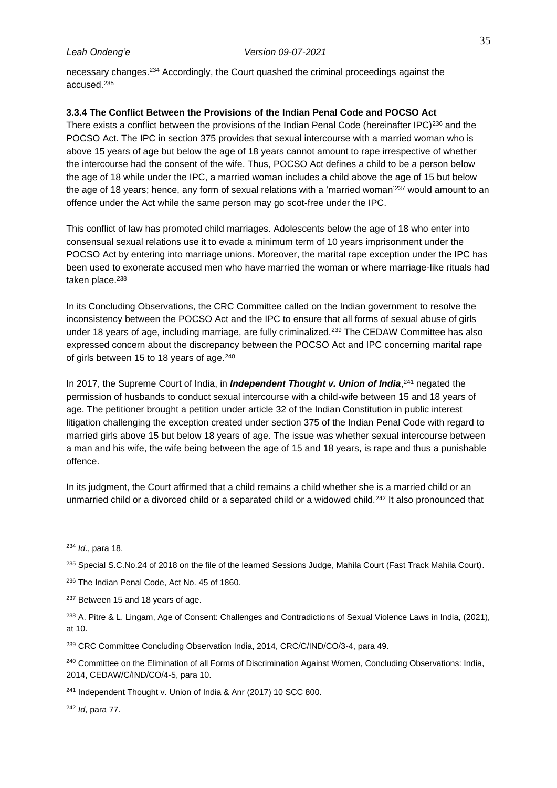necessary changes.<sup>234</sup> Accordingly, the Court quashed the criminal proceedings against the accused.<sup>235</sup>

# <span id="page-43-0"></span>**3.3.4 The Conflict Between the Provisions of the Indian Penal Code and POCSO Act**

There exists a conflict between the provisions of the Indian Penal Code (hereinafter IPC)<sup>236</sup> and the POCSO Act. The IPC in section 375 provides that sexual intercourse with a married woman who is above 15 years of age but below the age of 18 years cannot amount to rape irrespective of whether the intercourse had the consent of the wife. Thus, POCSO Act defines a child to be a person below the age of 18 while under the IPC, a married woman includes a child above the age of 15 but below the age of 18 years; hence, any form of sexual relations with a 'married woman'<sup>237</sup> would amount to an offence under the Act while the same person may go scot-free under the IPC.

This conflict of law has promoted child marriages. Adolescents below the age of 18 who enter into consensual sexual relations use it to evade a minimum term of 10 years imprisonment under the POCSO Act by entering into marriage unions. Moreover, the marital rape exception under the IPC has been used to exonerate accused men who have married the woman or where marriage-like rituals had taken place.<sup>238</sup>

In its Concluding Observations, the CRC Committee called on the Indian government to resolve the inconsistency between the POCSO Act and the IPC to ensure that all forms of sexual abuse of girls under 18 years of age, including marriage, are fully criminalized.<sup>239</sup> The CEDAW Committee has also expressed concern about the discrepancy between the POCSO Act and IPC concerning marital rape of girls between 15 to 18 years of age.<sup>240</sup>

In 2017, the Supreme Court of India, in *Independent Thought v. Union of India*,<sup>241</sup> negated the permission of husbands to conduct sexual intercourse with a child-wife between 15 and 18 years of age. The petitioner brought a petition under article 32 of the Indian Constitution in public interest litigation challenging the exception created under section 375 of the Indian Penal Code with regard to married girls above 15 but below 18 years of age. The issue was whether sexual intercourse between a man and his wife, the wife being between the age of 15 and 18 years, is rape and thus a punishable offence.

In its judgment, the Court affirmed that a child remains a child whether she is a married child or an unmarried child or a divorced child or a separated child or a widowed child.<sup>242</sup> It also pronounced that

<sup>237</sup> Between 15 and 18 years of age.

<sup>242</sup> *Id*, para 77.

<sup>234</sup> *Id*., para 18.

<sup>&</sup>lt;sup>235</sup> Special S.C.No.24 of 2018 on the file of the learned Sessions Judge, Mahila Court (Fast Track Mahila Court).

<sup>236</sup> The Indian Penal Code, Act No. 45 of 1860.

<sup>&</sup>lt;sup>238</sup> A. Pitre & L. Lingam, Age of Consent: Challenges and Contradictions of Sexual Violence Laws in India, (2021), at 10.

<sup>239</sup> CRC Committee Concluding Observation India, 2014, CRC/C/IND/CO/3-4, para 49.

<sup>&</sup>lt;sup>240</sup> Committee on the Elimination of all Forms of Discrimination Against Women, Concluding Observations: India, 2014, CEDAW/C/IND/CO/4-5, para 10.

<sup>241</sup> Independent Thought v. Union of India & Anr (2017) 10 SCC 800.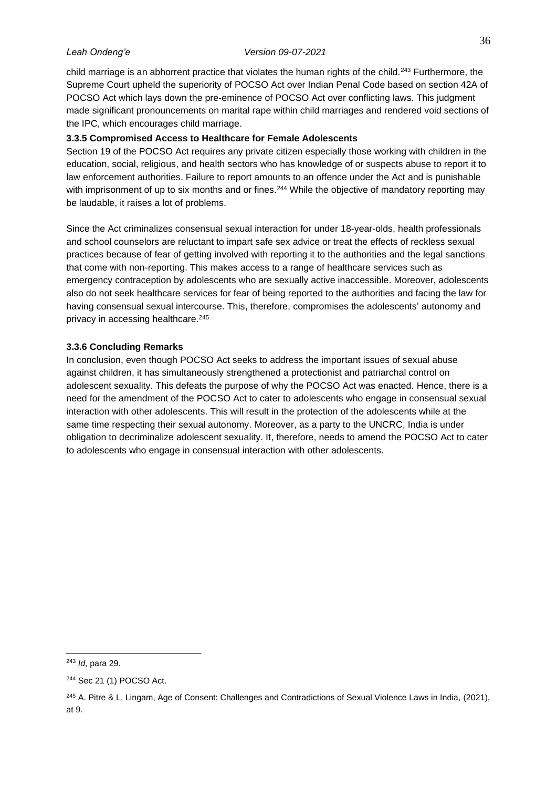child marriage is an abhorrent practice that violates the human rights of the child.<sup>243</sup> Furthermore, the Supreme Court upheld the superiority of POCSO Act over Indian Penal Code based on section 42A of POCSO Act which lays down the pre-eminence of POCSO Act over conflicting laws. This judgment made significant pronouncements on marital rape within child marriages and rendered void sections of the IPC, which encourages child marriage.

# <span id="page-44-0"></span>**3.3.5 Compromised Access to Healthcare for Female Adolescents**

Section 19 of the POCSO Act requires any private citizen especially those working with children in the education, social, religious, and health sectors who has knowledge of or suspects abuse to report it to law enforcement authorities. Failure to report amounts to an offence under the Act and is punishable with imprisonment of up to six months and or fines.<sup>244</sup> While the objective of mandatory reporting may be laudable, it raises a lot of problems.

Since the Act criminalizes consensual sexual interaction for under 18-year-olds, health professionals and school counselors are reluctant to impart safe sex advice or treat the effects of reckless sexual practices because of fear of getting involved with reporting it to the authorities and the legal sanctions that come with non-reporting. This makes access to a range of healthcare services such as emergency contraception by adolescents who are sexually active inaccessible. Moreover, adolescents also do not seek healthcare services for fear of being reported to the authorities and facing the law for having consensual sexual intercourse. This, therefore, compromises the adolescents' autonomy and privacy in accessing healthcare.<sup>245</sup>

# <span id="page-44-1"></span>**3.3.6 Concluding Remarks**

In conclusion, even though POCSO Act seeks to address the important issues of sexual abuse against children, it has simultaneously strengthened a protectionist and patriarchal control on adolescent sexuality. This defeats the purpose of why the POCSO Act was enacted. Hence, there is a need for the amendment of the POCSO Act to cater to adolescents who engage in consensual sexual interaction with other adolescents. This will result in the protection of the adolescents while at the same time respecting their sexual autonomy. Moreover, as a party to the UNCRC, India is under obligation to decriminalize adolescent sexuality. It, therefore, needs to amend the POCSO Act to cater to adolescents who engage in consensual interaction with other adolescents.

<sup>243</sup> *Id*, para 29.

<sup>244</sup> Sec 21 (1) POCSO Act.

<sup>245</sup> A. Pitre & L. Lingam, Age of Consent: Challenges and Contradictions of Sexual Violence Laws in India, (2021), at 9.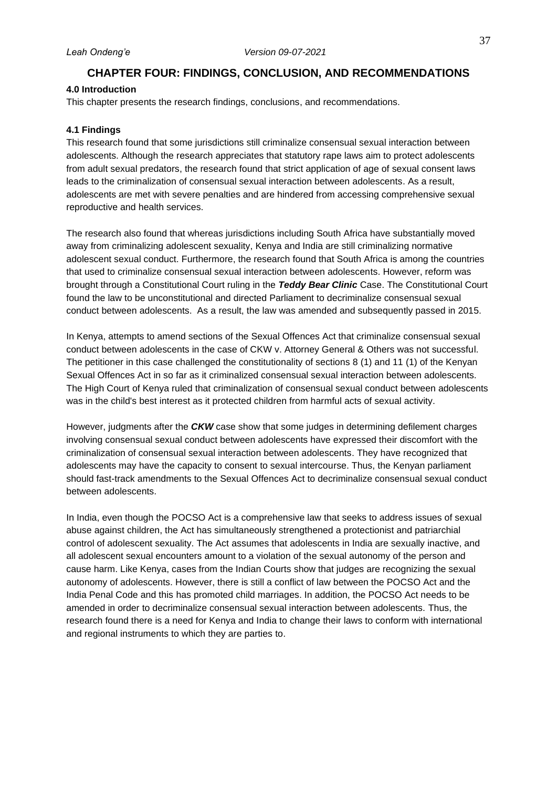# **CHAPTER FOUR: FINDINGS, CONCLUSION, AND RECOMMENDATIONS**

### <span id="page-45-1"></span><span id="page-45-0"></span>**4.0 Introduction**

This chapter presents the research findings, conclusions, and recommendations.

### <span id="page-45-2"></span>**4.1 Findings**

This research found that some jurisdictions still criminalize consensual sexual interaction between adolescents. Although the research appreciates that statutory rape laws aim to protect adolescents from adult sexual predators, the research found that strict application of age of sexual consent laws leads to the criminalization of consensual sexual interaction between adolescents. As a result, adolescents are met with severe penalties and are hindered from accessing comprehensive sexual reproductive and health services.

The research also found that whereas jurisdictions including South Africa have substantially moved away from criminalizing adolescent sexuality, Kenya and India are still criminalizing normative adolescent sexual conduct. Furthermore, the research found that South Africa is among the countries that used to criminalize consensual sexual interaction between adolescents. However, reform was brought through a Constitutional Court ruling in the *Teddy Bear Clinic* Case. The Constitutional Court found the law to be unconstitutional and directed Parliament to decriminalize consensual sexual conduct between adolescents. As a result, the law was amended and subsequently passed in 2015.

In Kenya, attempts to amend sections of the Sexual Offences Act that criminalize consensual sexual conduct between adolescents in the case of CKW v. Attorney General & Others was not successful. The petitioner in this case challenged the constitutionality of sections 8 (1) and 11 (1) of the Kenyan Sexual Offences Act in so far as it criminalized consensual sexual interaction between adolescents. The High Court of Kenya ruled that criminalization of consensual sexual conduct between adolescents was in the child's best interest as it protected children from harmful acts of sexual activity.

However, judgments after the *CKW* case show that some judges in determining defilement charges involving consensual sexual conduct between adolescents have expressed their discomfort with the criminalization of consensual sexual interaction between adolescents. They have recognized that adolescents may have the capacity to consent to sexual intercourse. Thus, the Kenyan parliament should fast-track amendments to the Sexual Offences Act to decriminalize consensual sexual conduct between adolescents.

In India, even though the POCSO Act is a comprehensive law that seeks to address issues of sexual abuse against children, the Act has simultaneously strengthened a protectionist and patriarchial control of adolescent sexuality. The Act assumes that adolescents in India are sexually inactive, and all adolescent sexual encounters amount to a violation of the sexual autonomy of the person and cause harm. Like Kenya, cases from the Indian Courts show that judges are recognizing the sexual autonomy of adolescents. However, there is still a conflict of law between the POCSO Act and the India Penal Code and this has promoted child marriages. In addition, the POCSO Act needs to be amended in order to decriminalize consensual sexual interaction between adolescents. Thus, the research found there is a need for Kenya and India to change their laws to conform with international and regional instruments to which they are parties to.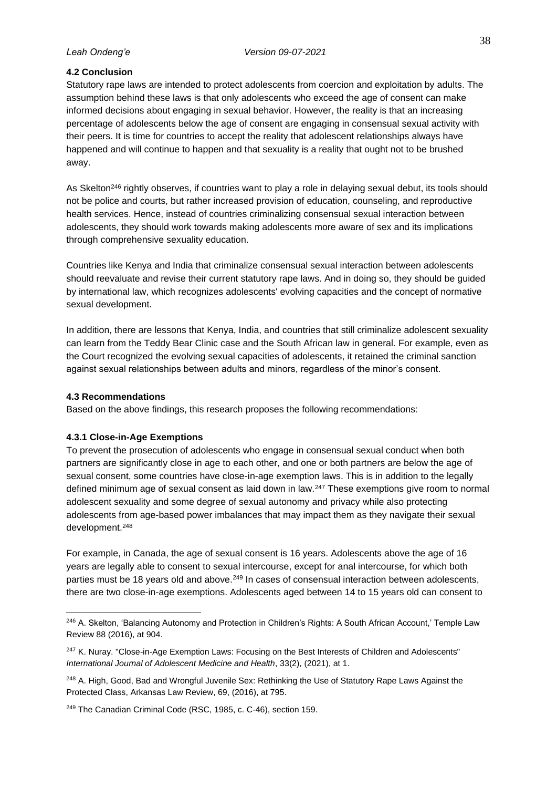# <span id="page-46-0"></span>**4.2 Conclusion**

Statutory rape laws are intended to protect adolescents from coercion and exploitation by adults. The assumption behind these laws is that only adolescents who exceed the age of consent can make informed decisions about engaging in sexual behavior. However, the reality is that an increasing percentage of adolescents below the age of consent are engaging in consensual sexual activity with their peers. It is time for countries to accept the reality that adolescent relationships always have happened and will continue to happen and that sexuality is a reality that ought not to be brushed away.

As Skelton<sup>246</sup> rightly observes, if countries want to play a role in delaying sexual debut, its tools should not be police and courts, but rather increased provision of education, counseling, and reproductive health services. Hence, instead of countries criminalizing consensual sexual interaction between adolescents, they should work towards making adolescents more aware of sex and its implications through comprehensive sexuality education.

Countries like Kenya and India that criminalize consensual sexual interaction between adolescents should reevaluate and revise their current statutory rape laws. And in doing so, they should be guided by international law, which recognizes adolescents' evolving capacities and the concept of normative sexual development.

In addition, there are lessons that Kenya, India, and countries that still criminalize adolescent sexuality can learn from the Teddy Bear Clinic case and the South African law in general. For example, even as the Court recognized the evolving sexual capacities of adolescents, it retained the criminal sanction against sexual relationships between adults and minors, regardless of the minor's consent.

# <span id="page-46-1"></span>**4.3 Recommendations**

Based on the above findings, this research proposes the following recommendations:

# <span id="page-46-2"></span>**4.3.1 Close-in-Age Exemptions**

To prevent the prosecution of adolescents who engage in consensual sexual conduct when both partners are significantly close in age to each other, and one or both partners are below the age of sexual consent, some countries have close-in-age exemption laws. This is in addition to the legally defined minimum age of sexual consent as laid down in law.<sup>247</sup> These exemptions give room to normal adolescent sexuality and some degree of sexual autonomy and privacy while also protecting adolescents from age-based power imbalances that may impact them as they navigate their sexual development.<sup>248</sup>

For example, in Canada, the age of sexual consent is 16 years. Adolescents above the age of 16 years are legally able to consent to sexual intercourse, except for anal intercourse, for which both parties must be 18 years old and above.<sup>249</sup> In cases of consensual interaction between adolescents, there are two close-in-age exemptions. Adolescents aged between 14 to 15 years old can consent to

<sup>&</sup>lt;sup>246</sup> A. Skelton, 'Balancing Autonomy and Protection in Children's Rights: A South African Account,' Temple Law Review 88 (2016), at 904.

<sup>&</sup>lt;sup>247</sup> K. Nuray. "Close-in-Age Exemption Laws: Focusing on the Best Interests of Children and Adolescents" *International Journal of Adolescent Medicine and Health*, 33(2), (2021), at 1.

<sup>&</sup>lt;sup>248</sup> A. High, Good, Bad and Wrongful Juvenile Sex: Rethinking the Use of Statutory Rape Laws Against the Protected Class, Arkansas Law Review, 69, (2016), at 795.

<sup>249</sup> The Canadian Criminal Code (RSC, 1985, c. C-46), section 159.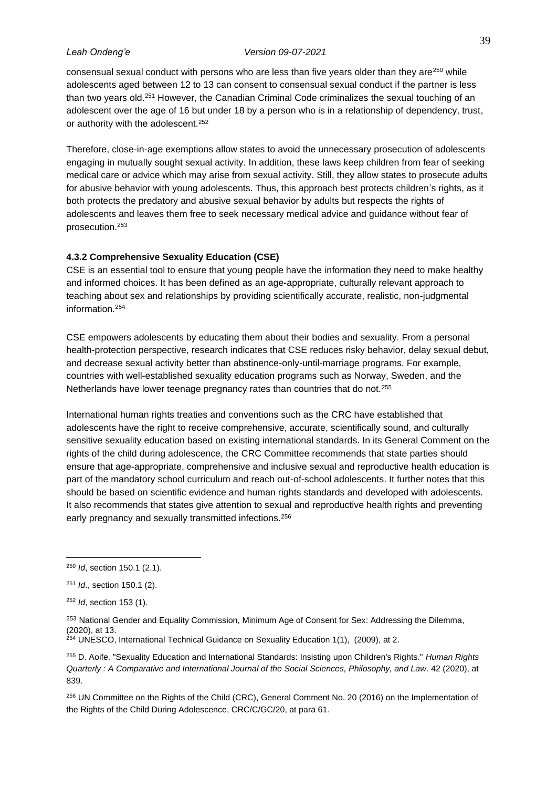consensual sexual conduct with persons who are less than five years older than they are<sup>250</sup> while adolescents aged between 12 to 13 can consent to consensual sexual conduct if the partner is less than two years old.<sup>251</sup> However, the Canadian Criminal Code criminalizes the sexual touching of an adolescent over the age of 16 but under 18 by a person who is in a relationship of dependency, trust, or authority with the adolescent.<sup>252</sup>

Therefore, close-in-age exemptions allow states to avoid the unnecessary prosecution of adolescents engaging in mutually sought sexual activity. In addition, these laws keep children from fear of seeking medical care or advice which may arise from sexual activity. Still, they allow states to prosecute adults for abusive behavior with young adolescents. Thus, this approach best protects children's rights, as it both protects the predatory and abusive sexual behavior by adults but respects the rights of adolescents and leaves them free to seek necessary medical advice and guidance without fear of prosecution. 253

# <span id="page-47-0"></span>**4.3.2 Comprehensive Sexuality Education (CSE)**

CSE is an essential tool to ensure that young people have the information they need to make healthy and informed choices. It has been defined as an age-appropriate, culturally relevant approach to teaching about sex and relationships by providing scientifically accurate, realistic, non-judgmental information.<sup>254</sup>

CSE empowers adolescents by educating them about their bodies and sexuality. From a personal health-protection perspective, research indicates that CSE reduces risky behavior, delay sexual debut, and decrease sexual activity better than abstinence-only-until-marriage programs. For example, countries with well-established sexuality education programs such as Norway, Sweden, and the Netherlands have lower teenage pregnancy rates than countries that do not.<sup>255</sup>

International human rights treaties and conventions such as the CRC have established that adolescents have the right to receive comprehensive, accurate, scientifically sound, and culturally sensitive sexuality education based on existing international standards. In its General Comment on the rights of the child during adolescence, the CRC Committee recommends that state parties should ensure that age-appropriate, comprehensive and inclusive sexual and reproductive health education is part of the mandatory school curriculum and reach out-of-school adolescents. It further notes that this should be based on scientific evidence and human rights standards and developed with adolescents. It also recommends that states give attention to sexual and reproductive health rights and preventing early pregnancy and sexually transmitted infections.<sup>256</sup>

<sup>250</sup> *Id*, section 150.1 (2.1).

<sup>251</sup> *Id*., section 150.1 (2).

<sup>252</sup> *Id*, section 153 (1).

<sup>&</sup>lt;sup>253</sup> National Gender and Equality Commission, Minimum Age of Consent for Sex: Addressing the Dilemma, (2020), at 13.

 $254$  UNESCO, International Technical Guidance on Sexuality Education 1(1), (2009), at 2.

<sup>255</sup> D. Aoife. "Sexuality Education and International Standards: Insisting upon Children's Rights." *Human Rights Quarterly : A Comparative and International Journal of the Social Sciences, Philosophy, and Law*. 42 (2020), at 839.

<sup>256</sup> UN Committee on the Rights of the Child (CRC), General Comment No. 20 (2016) on the Implementation of the Rights of the Child During Adolescence, CRC/C/GC/20, at para 61.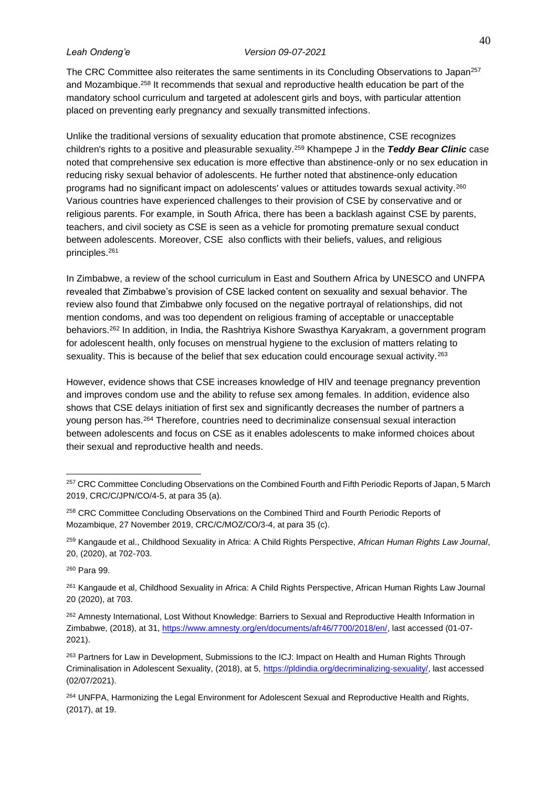The CRC Committee also reiterates the same sentiments in its Concluding Observations to Japan<sup>257</sup> and Mozambique.<sup>258</sup> It recommends that sexual and reproductive health education be part of the mandatory school curriculum and targeted at adolescent girls and boys, with particular attention placed on preventing early pregnancy and sexually transmitted infections.

Unlike the traditional versions of sexuality education that promote abstinence, CSE recognizes children's rights to a positive and pleasurable sexuality.<sup>259</sup> Khampepe J in the *Teddy Bear Clinic* case noted that comprehensive sex education is more effective than abstinence-only or no sex education in reducing risky sexual behavior of adolescents. He further noted that abstinence-only education programs had no significant impact on adolescents' values or attitudes towards sexual activity.<sup>260</sup> Various countries have experienced challenges to their provision of CSE by conservative and or religious parents. For example, in South Africa, there has been a backlash against CSE by parents, teachers, and civil society as CSE is seen as a vehicle for promoting premature sexual conduct between adolescents. Moreover, CSE also conflicts with their beliefs, values, and religious principles.<sup>261</sup>

In Zimbabwe, a review of the school curriculum in East and Southern Africa by UNESCO and UNFPA revealed that Zimbabwe's provision of CSE lacked content on sexuality and sexual behavior. The review also found that Zimbabwe only focused on the negative portrayal of relationships, did not mention condoms, and was too dependent on religious framing of acceptable or unacceptable behaviors.<sup>262</sup> In addition, in India, the Rashtriya Kishore Swasthya Karyakram, a government program for adolescent health, only focuses on menstrual hygiene to the exclusion of matters relating to sexuality. This is because of the belief that sex education could encourage sexual activity.<sup>263</sup>

However, evidence shows that CSE increases knowledge of HIV and teenage pregnancy prevention and improves condom use and the ability to refuse sex among females. In addition, evidence also shows that CSE delays initiation of first sex and significantly decreases the number of partners a young person has.<sup>264</sup> Therefore, countries need to decriminalize consensual sexual interaction between adolescents and focus on CSE as it enables adolescents to make informed choices about their sexual and reproductive health and needs.

<sup>260</sup> Para 99.

<sup>&</sup>lt;sup>257</sup> CRC Committee Concluding Observations on the Combined Fourth and Fifth Periodic Reports of Japan, 5 March 2019, CRC/C/JPN/CO/4-5, at para 35 (a).

<sup>&</sup>lt;sup>258</sup> CRC Committee Concluding Observations on the Combined Third and Fourth Periodic Reports of Mozambique, 27 November 2019, CRC/C/MOZ/CO/3-4, at para 35 (c).

<sup>259</sup> Kangaude et al., Childhood Sexuality in Africa: A Child Rights Perspective, *African Human Rights Law Journal*, 20, (2020), at 702-703.

<sup>&</sup>lt;sup>261</sup> Kangaude et al, Childhood Sexuality in Africa: A Child Rights Perspective, African Human Rights Law Journal 20 (2020), at 703.

<sup>262</sup> Amnesty International, Lost Without Knowledge: Barriers to Sexual and Reproductive Health Information in Zimbabwe, (2018), at 31[, https://www.amnesty.org/en/documents/afr46/7700/2018/en/,](https://www.amnesty.org/en/documents/afr46/7700/2018/en/) last accessed (01-07- 2021).

<sup>&</sup>lt;sup>263</sup> Partners for Law in Development, Submissions to the ICJ: Impact on Health and Human Rights Through Criminalisation in Adolescent Sexuality, (2018), at 5, [https://pldindia.org/decriminalizing-sexuality/,](https://pldindia.org/decriminalizing-sexuality/) last accessed (02/07/2021).

<sup>&</sup>lt;sup>264</sup> UNFPA, Harmonizing the Legal Environment for Adolescent Sexual and Reproductive Health and Rights, (2017), at 19.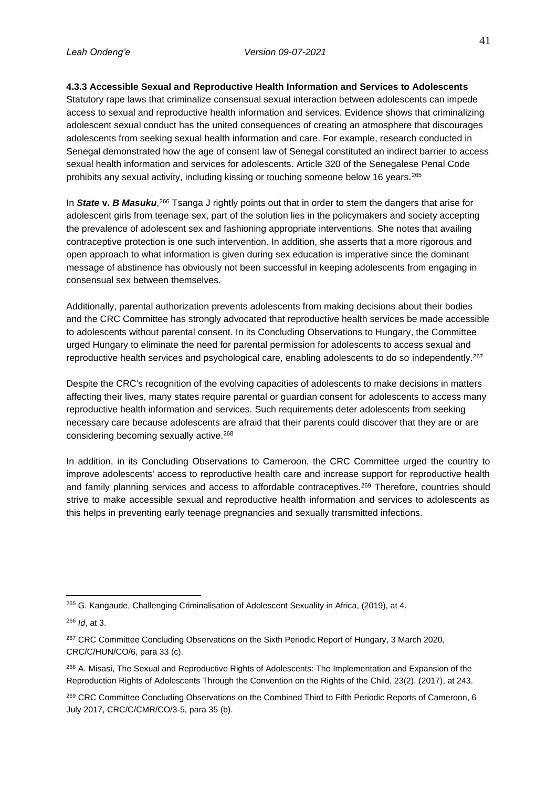# <span id="page-49-0"></span>**4.3.3 Accessible Sexual and Reproductive Health Information and Services to Adolescents**

Statutory rape laws that criminalize consensual sexual interaction between adolescents can impede access to sexual and reproductive health information and services. Evidence shows that criminalizing adolescent sexual conduct has the united consequences of creating an atmosphere that discourages adolescents from seeking sexual health information and care. For example, research conducted in Senegal demonstrated how the age of consent law of Senegal constituted an indirect barrier to access sexual health information and services for adolescents. Article 320 of the Senegalese Penal Code prohibits any sexual activity, including kissing or touching someone below 16 years.<sup>265</sup>

In State v. B Masuku,<sup>266</sup> Tsanga J rightly points out that in order to stem the dangers that arise for adolescent girls from teenage sex, part of the solution lies in the policymakers and society accepting the prevalence of adolescent sex and fashioning appropriate interventions. She notes that availing contraceptive protection is one such intervention. In addition, she asserts that a more rigorous and open approach to what information is given during sex education is imperative since the dominant message of abstinence has obviously not been successful in keeping adolescents from engaging in consensual sex between themselves.

Additionally, parental authorization prevents adolescents from making decisions about their bodies and the CRC Committee has strongly advocated that reproductive health services be made accessible to adolescents without parental consent. In its Concluding Observations to Hungary, the Committee urged Hungary to eliminate the need for parental permission for adolescents to access sexual and reproductive health services and psychological care, enabling adolescents to do so independently.<sup>267</sup>

Despite the CRC's recognition of the evolving capacities of adolescents to make decisions in matters affecting their lives, many states require parental or guardian consent for adolescents to access many reproductive health information and services. Such requirements deter adolescents from seeking necessary care because adolescents are afraid that their parents could discover that they are or are considering becoming sexually active.<sup>268</sup>

In addition, in its Concluding Observations to Cameroon, the CRC Committee urged the country to improve adolescents' access to reproductive health care and increase support for reproductive health and family planning services and access to affordable contraceptives.<sup>269</sup> Therefore, countries should strive to make accessible sexual and reproductive health information and services to adolescents as this helps in preventing early teenage pregnancies and sexually transmitted infections.

<sup>&</sup>lt;sup>265</sup> G. Kangaude, Challenging Criminalisation of Adolescent Sexuality in Africa, (2019), at 4.

<sup>266</sup> *Id*, at 3.

<sup>&</sup>lt;sup>267</sup> CRC Committee Concluding Observations on the Sixth Periodic Report of Hungary, 3 March 2020, CRC/C/HUN/CO/6, para 33 (c).

<sup>&</sup>lt;sup>268</sup> A. Misasi, The Sexual and Reproductive Rights of Adolescents: The Implementation and Expansion of the Reproduction Rights of Adolescents Through the Convention on the Rights of the Child, 23(2), (2017), at 243.

<sup>269</sup> CRC Committee Concluding Observations on the Combined Third to Fifth Periodic Reports of Cameroon, 6 July 2017, CRC/C/CMR/CO/3-5, para 35 (b).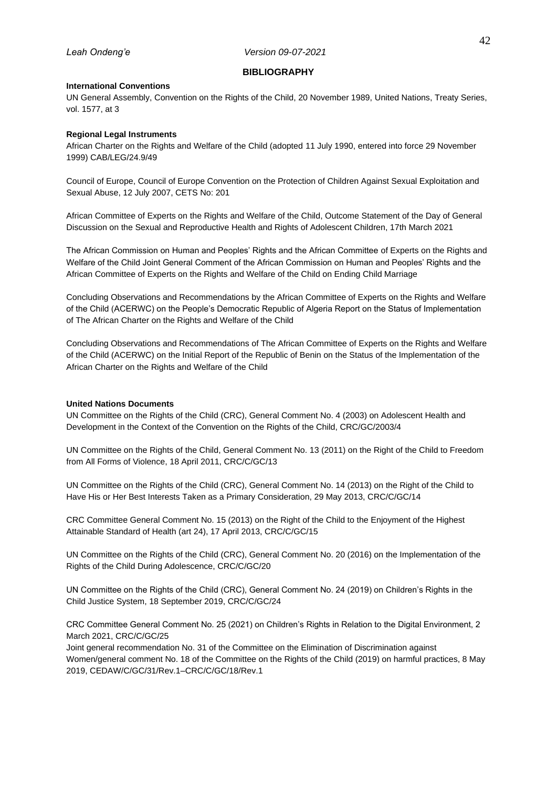#### **BIBLIOGRAPHY**

#### <span id="page-50-1"></span><span id="page-50-0"></span>**International Conventions**

UN General Assembly, Convention on the Rights of the Child, 20 November 1989, United Nations, Treaty Series, vol. 1577, at 3

### <span id="page-50-2"></span>**Regional Legal Instruments**

African Charter on the Rights and Welfare of the Child (adopted 11 July 1990, entered into force 29 November 1999) CAB/LEG/24.9/49

Council of Europe, Council of Europe Convention on the Protection of Children Against Sexual Exploitation and Sexual Abuse, 12 July 2007, CETS No: 201

African Committee of Experts on the Rights and Welfare of the Child, Outcome Statement of the Day of General Discussion on the Sexual and Reproductive Health and Rights of Adolescent Children, 17th March 2021

The African Commission on Human and Peoples' Rights and the African Committee of Experts on the Rights and Welfare of the Child Joint General Comment of the African Commission on Human and Peoples' Rights and the African Committee of Experts on the Rights and Welfare of the Child on Ending Child Marriage

Concluding Observations and Recommendations by the African Committee of Experts on the Rights and Welfare of the Child (ACERWC) on the People's Democratic Republic of Algeria Report on the Status of Implementation of The African Charter on the Rights and Welfare of the Child

Concluding Observations and Recommendations of The African Committee of Experts on the Rights and Welfare of the Child (ACERWC) on the Initial Report of the Republic of Benin on the Status of the Implementation of the African Charter on the Rights and Welfare of the Child

### <span id="page-50-3"></span>**United Nations Documents**

UN Committee on the Rights of the Child (CRC), General Comment No. 4 (2003) on Adolescent Health and Development in the Context of the Convention on the Rights of the Child, CRC/GC/2003/4

UN Committee on the Rights of the Child, General Comment No. 13 (2011) on the Right of the Child to Freedom from All Forms of Violence, 18 April 2011, CRC/C/GC/13

UN Committee on the Rights of the Child (CRC), General Comment No. 14 (2013) on the Right of the Child to Have His or Her Best Interests Taken as a Primary Consideration, 29 May 2013, CRC/C/GC/14

CRC Committee General Comment No. 15 (2013) on the Right of the Child to the Enjoyment of the Highest Attainable Standard of Health (art 24), 17 April 2013, CRC/C/GC/15

UN Committee on the Rights of the Child (CRC), General Comment No. 20 (2016) on the Implementation of the Rights of the Child During Adolescence, CRC/C/GC/20

UN Committee on the Rights of the Child (CRC), General Comment No. 24 (2019) on Children's Rights in the Child Justice System, 18 September 2019, CRC/C/GC/24

CRC Committee General Comment No. 25 (2021) on Children's Rights in Relation to the Digital Environment, 2 March 2021, CRC/C/GC/25

Joint general recommendation No. 31 of the Committee on the Elimination of Discrimination against Women/general comment No. 18 of the Committee on the Rights of the Child (2019) on harmful practices, 8 May 2019, CEDAW/C/GC/31/Rev.1–CRC/C/GC/18/Rev.1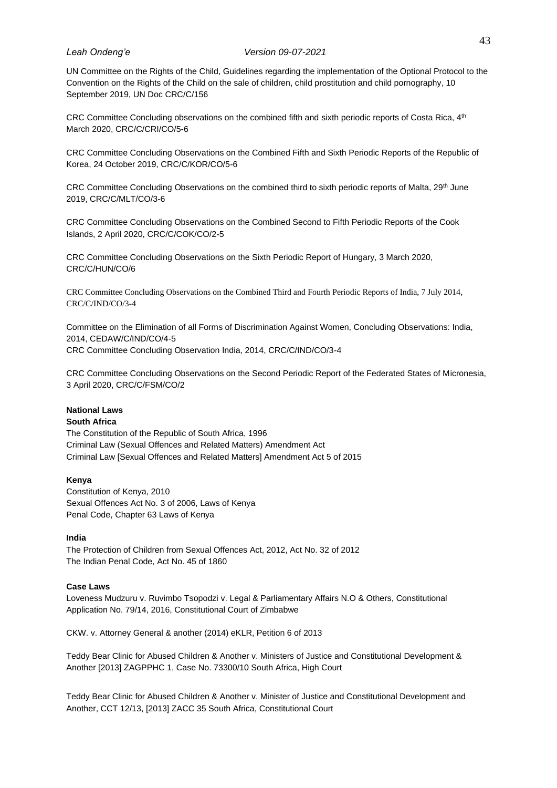UN Committee on the Rights of the Child, Guidelines regarding the implementation of the Optional Protocol to the Convention on the Rights of the Child on the sale of children, child prostitution and child pornography, 10 September 2019, UN Doc CRC/C/156

CRC Committee Concluding observations on the combined fifth and sixth periodic reports of Costa Rica, 4<sup>th</sup> March 2020, CRC/C/CRI/CO/5-6

CRC Committee Concluding Observations on the Combined Fifth and Sixth Periodic Reports of the Republic of Korea, 24 October 2019, CRC/C/KOR/CO/5-6

CRC Committee Concluding Observations on the combined third to sixth periodic reports of Malta, 29<sup>th</sup> June 2019, CRC/C/MLT/CO/3-6

CRC Committee Concluding Observations on the Combined Second to Fifth Periodic Reports of the Cook Islands, 2 April 2020, CRC/C/COK/CO/2-5

CRC Committee Concluding Observations on the Sixth Periodic Report of Hungary, 3 March 2020, CRC/C/HUN/CO/6

CRC Committee Concluding Observations on the Combined Third and Fourth Periodic Reports of India, 7 July 2014, CRC/C/IND/CO/3-4

Committee on the Elimination of all Forms of Discrimination Against Women, Concluding Observations: India, 2014, CEDAW/C/IND/CO/4-5 CRC Committee Concluding Observation India, 2014, CRC/C/IND/CO/3-4

CRC Committee Concluding Observations on the Second Periodic Report of the Federated States of Micronesia, 3 April 2020, CRC/C/FSM/CO/2

#### <span id="page-51-0"></span>**National Laws South Africa**

The Constitution of the Republic of South Africa, 1996 Criminal Law (Sexual Offences and Related Matters) Amendment Act Criminal Law [Sexual Offences and Related Matters] Amendment Act 5 of 2015

### **Kenya**

Constitution of Kenya, 2010 Sexual Offences Act No. 3 of 2006, Laws of Kenya Penal Code, Chapter 63 Laws of Kenya

### **India**

The Protection of Children from Sexual Offences Act, 2012, Act No. 32 of 2012 The Indian Penal Code, Act No. 45 of 1860

### <span id="page-51-1"></span>**Case Laws**

Loveness Mudzuru v. Ruvimbo Tsopodzi v. Legal & Parliamentary Affairs N.O & Others, Constitutional Application No. 79/14, 2016, Constitutional Court of Zimbabwe

CKW. v. Attorney General & another (2014) eKLR, Petition 6 of 2013

Teddy Bear Clinic for Abused Children & Another v. Ministers of Justice and Constitutional Development & Another [2013] ZAGPPHC 1, Case No. 73300/10 South Africa, High Court

Teddy Bear Clinic for Abused Children & Another v. Minister of Justice and Constitutional Development and Another, CCT 12/13, [2013] ZACC 35 South Africa, Constitutional Court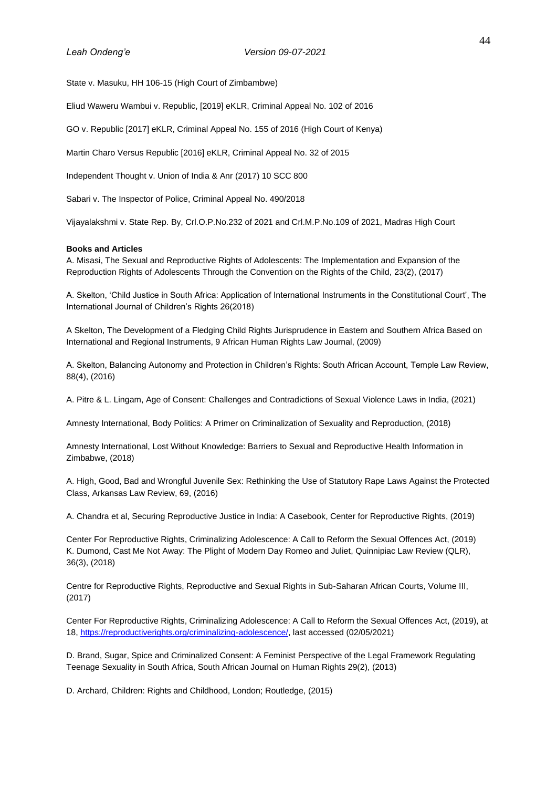State v. Masuku, HH 106-15 (High Court of Zimbambwe)

Eliud Waweru Wambui v. Republic, [2019] eKLR, Criminal Appeal No. 102 of 2016

GO v. Republic [2017] eKLR, Criminal Appeal No. 155 of 2016 (High Court of Kenya)

Martin Charo Versus Republic [2016] eKLR, Criminal Appeal No. 32 of 2015

Independent Thought v. Union of India & Anr (2017) 10 SCC 800

Sabari v. The Inspector of Police, Criminal Appeal No. 490/2018

Vijayalakshmi v. State Rep. By, Crl.O.P.No.232 of 2021 and Crl.M.P.No.109 of 2021, Madras High Court

### <span id="page-52-0"></span>**Books and Articles**

A. Misasi, The Sexual and Reproductive Rights of Adolescents: The Implementation and Expansion of the Reproduction Rights of Adolescents Through the Convention on the Rights of the Child, 23(2), (2017)

A. Skelton, 'Child Justice in South Africa: Application of International Instruments in the Constitutional Court', The International Journal of Children's Rights 26(2018)

A Skelton, The Development of a Fledging Child Rights Jurisprudence in Eastern and Southern Africa Based on International and Regional Instruments, 9 African Human Rights Law Journal, (2009)

A. Skelton, Balancing Autonomy and Protection in Children's Rights: South African Account, Temple Law Review, 88(4), (2016)

A. Pitre & L. Lingam, Age of Consent: Challenges and Contradictions of Sexual Violence Laws in India, (2021)

Amnesty International, Body Politics: A Primer on Criminalization of Sexuality and Reproduction, (2018)

Amnesty International, Lost Without Knowledge: Barriers to Sexual and Reproductive Health Information in Zimbabwe, (2018)

A. High, Good, Bad and Wrongful Juvenile Sex: Rethinking the Use of Statutory Rape Laws Against the Protected Class, Arkansas Law Review, 69, (2016)

A. Chandra et al, Securing Reproductive Justice in India: A Casebook, Center for Reproductive Rights, (2019)

Center For Reproductive Rights, Criminalizing Adolescence: A Call to Reform the Sexual Offences Act, (2019) K. Dumond, Cast Me Not Away: The Plight of Modern Day Romeo and Juliet, Quinnipiac Law Review (QLR), 36(3), (2018)

Centre for Reproductive Rights, Reproductive and Sexual Rights in Sub-Saharan African Courts, Volume III, (2017)

Center For Reproductive Rights, Criminalizing Adolescence: A Call to Reform the Sexual Offences Act, (2019), at 18, [https://reproductiverights.org/criminalizing-adolescence/,](https://reproductiverights.org/criminalizing-adolescence/) last accessed (02/05/2021)

D. Brand, Sugar, Spice and Criminalized Consent: A Feminist Perspective of the Legal Framework Regulating Teenage Sexuality in South Africa, South African Journal on Human Rights 29(2), (2013)

D. Archard, Children: Rights and Childhood, London; Routledge, (2015)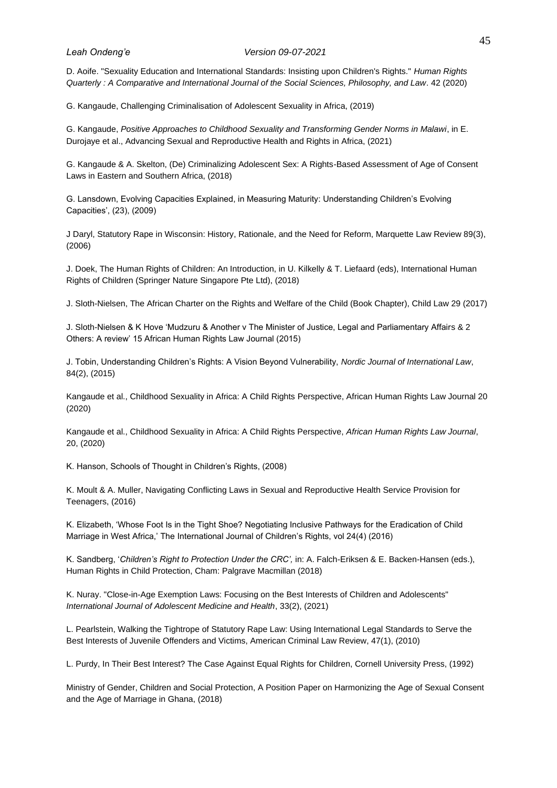D. Aoife. "Sexuality Education and International Standards: Insisting upon Children's Rights." *Human Rights Quarterly : A Comparative and International Journal of the Social Sciences, Philosophy, and Law*. 42 (2020)

G. Kangaude, Challenging Criminalisation of Adolescent Sexuality in Africa, (2019)

G. Kangaude, *Positive Approaches to Childhood Sexuality and Transforming Gender Norms in Malawi*, in E. Durojaye et al., Advancing Sexual and Reproductive Health and Rights in Africa, (2021)

G. Kangaude & A. Skelton, (De) Criminalizing Adolescent Sex: A Rights-Based Assessment of Age of Consent Laws in Eastern and Southern Africa, (2018)

G. Lansdown, Evolving Capacities Explained, in Measuring Maturity: Understanding Children's Evolving Capacities', (23), (2009)

J Daryl, Statutory Rape in Wisconsin: History, Rationale, and the Need for Reform, Marquette Law Review 89(3), (2006)

J. Doek, The Human Rights of Children: An Introduction, in U. Kilkelly & T. Liefaard (eds), International Human Rights of Children (Springer Nature Singapore Pte Ltd), (2018)

J. Sloth-Nielsen, The African Charter on the Rights and Welfare of the Child (Book Chapter), Child Law 29 (2017)

J. Sloth-Nielsen & K Hove 'Mudzuru & Another v The Minister of Justice, Legal and Parliamentary Affairs & 2 Others: A review' 15 African Human Rights Law Journal (2015)

J. Tobin, Understanding Children's Rights: A Vision Beyond Vulnerability, *Nordic Journal of International Law*, 84(2), (2015)

Kangaude et al., Childhood Sexuality in Africa: A Child Rights Perspective, African Human Rights Law Journal 20 (2020)

Kangaude et al., Childhood Sexuality in Africa: A Child Rights Perspective, *African Human Rights Law Journal*, 20, (2020)

K. Hanson, Schools of Thought in Children's Rights, (2008)

K. Moult & A. Muller, Navigating Conflicting Laws in Sexual and Reproductive Health Service Provision for Teenagers, (2016)

K. Elizabeth, 'Whose Foot Is in the Tight Shoe? Negotiating Inclusive Pathways for the Eradication of Child Marriage in West Africa,' The International Journal of Children's Rights, vol 24(4) (2016)

K. Sandberg, '*Children's Right to Protection Under the CRC',* in: A. Falch-Eriksen & E. Backen-Hansen (eds.), Human Rights in Child Protection, Cham: Palgrave Macmillan (2018)

K. Nuray. "Close-in-Age Exemption Laws: Focusing on the Best Interests of Children and Adolescents" *International Journal of Adolescent Medicine and Health*, 33(2), (2021)

L. Pearlstein, Walking the Tightrope of Statutory Rape Law: Using International Legal Standards to Serve the Best Interests of Juvenile Offenders and Victims, American Criminal Law Review, 47(1), (2010)

L. Purdy, In Their Best Interest? The Case Against Equal Rights for Children, Cornell University Press, (1992)

Ministry of Gender, Children and Social Protection, A Position Paper on Harmonizing the Age of Sexual Consent and the Age of Marriage in Ghana, (2018)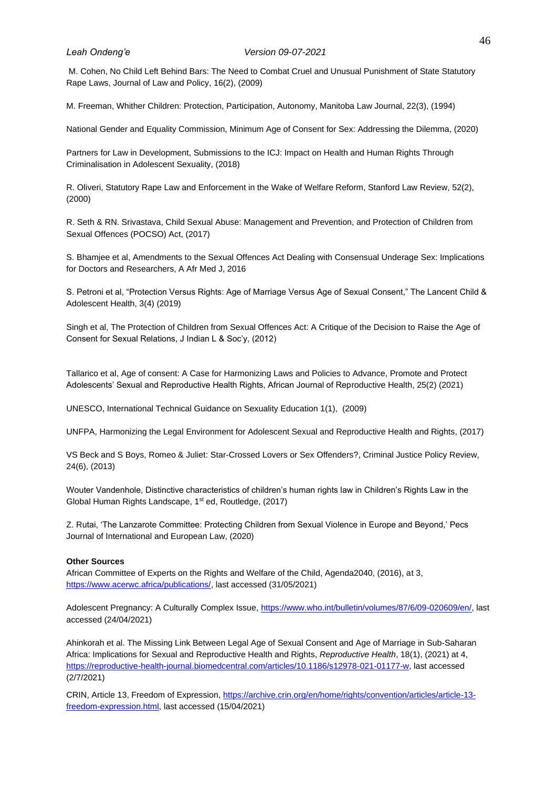M. Cohen, No Child Left Behind Bars: The Need to Combat Cruel and Unusual Punishment of State Statutory Rape Laws, Journal of Law and Policy, 16(2), (2009)

M. Freeman, Whither Children: Protection, Participation, Autonomy, Manitoba Law Journal, 22(3), (1994)

National Gender and Equality Commission, Minimum Age of Consent for Sex: Addressing the Dilemma, (2020)

Partners for Law in Development, Submissions to the ICJ: Impact on Health and Human Rights Through Criminalisation in Adolescent Sexuality, (2018)

R. Oliveri, Statutory Rape Law and Enforcement in the Wake of Welfare Reform, Stanford Law Review, 52(2), (2000)

R. Seth & RN. Srivastava, Child Sexual Abuse: Management and Prevention, and Protection of Children from Sexual Offences (POCSO) Act, (2017)

S. Bhamjee et al, Amendments to the Sexual Offences Act Dealing with Consensual Underage Sex: Implications for Doctors and Researchers, A Afr Med J, 2016

S. Petroni et al, "Protection Versus Rights: Age of Marriage Versus Age of Sexual Consent," The Lancent Child & Adolescent Health, 3(4) (2019)

Singh et al, The Protection of Children from Sexual Offences Act: A Critique of the Decision to Raise the Age of Consent for Sexual Relations, J Indian L & Soc'y, (2012)

Tallarico et al, Age of consent: A Case for Harmonizing Laws and Policies to Advance, Promote and Protect Adolescents' Sexual and Reproductive Health Rights, African Journal of Reproductive Health, 25(2) (2021)

UNESCO, International Technical Guidance on Sexuality Education 1(1), (2009)

UNFPA, Harmonizing the Legal Environment for Adolescent Sexual and Reproductive Health and Rights, (2017)

VS Beck and S Boys, Romeo & Juliet: Star-Crossed Lovers or Sex Offenders?, Criminal Justice Policy Review, 24(6), (2013)

Wouter Vandenhole, Distinctive characteristics of children's human rights law in Children's Rights Law in the Global Human Rights Landscape, 1st ed, Routledge, (2017)

Z. Rutai, 'The Lanzarote Committee: Protecting Children from Sexual Violence in Europe and Beyond,' Pecs Journal of International and European Law, (2020)

#### <span id="page-54-0"></span>**Other Sources**

African Committee of Experts on the Rights and Welfare of the Child, Agenda2040, (2016), at 3, [https://www.acerwc.africa/publications/,](https://www.acerwc.africa/publications/) last accessed (31/05/2021)

Adolescent Pregnancy: A Culturally Complex Issue, [https://www.who.int/bulletin/volumes/87/6/09-020609/en/,](https://www.who.int/bulletin/volumes/87/6/09-020609/en/) last accessed (24/04/2021)

Ahinkorah et al. The Missing Link Between Legal Age of Sexual Consent and Age of Marriage in Sub-Saharan Africa: Implications for Sexual and Reproductive Health and Rights, *Reproductive Health*, 18(1), (2021) at 4, [https://reproductive-health-journal.biomedcentral.com/articles/10.1186/s12978-021-01177-w,](https://reproductive-health-journal.biomedcentral.com/articles/10.1186/s12978-021-01177-w) last accessed (2/7/2021)

CRIN, Article 13, Freedom of Expression[, https://archive.crin.org/en/home/rights/convention/articles/article-13](https://archive.crin.org/en/home/rights/convention/articles/article-13-freedom-expression.html) [freedom-expression.html,](https://archive.crin.org/en/home/rights/convention/articles/article-13-freedom-expression.html) last accessed (15/04/2021)